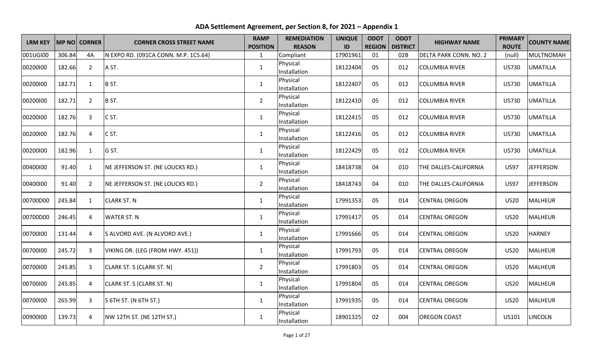| <b>LRM KEY</b> |        | <b>MP NO CORNER</b> | <b>CORNER CROSS STREET NAME</b>      | <b>RAMP</b><br><b>POSITION</b> | <b>REMEDIATION</b><br><b>REASON</b> | <b>UNIQUE</b><br>ID | <b>ODOT</b><br><b>REGION</b> | <b>ODOT</b><br><b>DISTRICT</b> | <b>HIGHWAY NAME</b>    | <b>PRIMARY</b><br><b>ROUTE</b> | <b>COUNTY NAME</b> |
|----------------|--------|---------------------|--------------------------------------|--------------------------------|-------------------------------------|---------------------|------------------------------|--------------------------------|------------------------|--------------------------------|--------------------|
| 001UGI00       | 306.84 | 4A                  | N EXPO RD. (091CA CONN. M.P. 1C5.64) | $\mathbf{1}$                   | Compliant                           | 17901961            | 01                           | 02B                            | DELTA PARK CONN. NO. 2 | (null)                         | <b>MULTNOMAH</b>   |
| 00200100       | 182.66 | $\overline{2}$      | A ST.                                | $\mathbf{1}$                   | Physical<br>Installation            | 18122404            | 05                           | 012                            | <b>COLUMBIA RIVER</b>  | <b>US730</b>                   | <b>UMATILLA</b>    |
| 00200100       | 182.71 | $\mathbf{1}$        | B ST.                                | $\mathbf{1}$                   | Physical<br>Installation            | 18122407            | 05                           | 012                            | <b>COLUMBIA RIVER</b>  | <b>US730</b>                   | <b>UMATILLA</b>    |
| 00200100       | 182.71 | $\overline{2}$      | B ST.                                | $\overline{2}$                 | Physical<br>Installation            | 18122410            | 05                           | 012                            | <b>COLUMBIA RIVER</b>  | <b>US730</b>                   | <b>UMATILLA</b>    |
| 00200100       | 182.76 | 3                   | C ST.                                | $\mathbf{1}$                   | Physical<br>Installation            | 18122415            | 05                           | 012                            | <b>COLUMBIA RIVER</b>  | <b>US730</b>                   | <b>UMATILLA</b>    |
| 00200100       | 182.76 | 4                   | C ST.                                | $\mathbf{1}$                   | Physical<br>Installation            | 18122416            | 05                           | 012                            | <b>COLUMBIA RIVER</b>  | <b>US730</b>                   | <b>UMATILLA</b>    |
| 00200100       | 182.96 | $\mathbf{1}$        | G ST.                                | $\mathbf{1}$                   | Physical<br>Installation            | 18122429            | 05                           | 012                            | <b>COLUMBIA RIVER</b>  | <b>US730</b>                   | <b>UMATILLA</b>    |
| 00400100       | 91.40  | $\mathbf{1}$        | NE JEFFERSON ST. (NE LOUCKS RD.)     | $\mathbf{1}$                   | Physical<br>Installation            | 18418738            | 04                           | 010                            | THE DALLES-CALIFORNIA  | <b>US97</b>                    | <b>JEFFERSON</b>   |
| 00400100       | 91.40  | $\overline{2}$      | NE JEFFERSON ST. (NE LOUCKS RD.)     | $\overline{2}$                 | Physical<br>Installation            | 18418743            | 04                           | 010                            | THE DALLES-CALIFORNIA  | <b>US97</b>                    | <b>JEFFERSON</b>   |
| 00700D00       | 245.84 | $\mathbf{1}$        | <b>CLARK ST. N</b>                   | $\mathbf{1}$                   | Physical<br>Installation            | 17991353            | 05                           | 014                            | <b>CENTRAL OREGON</b>  | <b>US20</b>                    | <b>MALHEUR</b>     |
| 00700D00       | 246.45 | 4                   | <b>WATER ST. N</b>                   | $\mathbf{1}$                   | Physical<br>Installation            | 17991417            | 05                           | 014                            | <b>CENTRAL OREGON</b>  | <b>US20</b>                    | <b>MALHEUR</b>     |
| 00700100       | 131.44 | 4                   | S ALVORD AVE. (N ALVORD AVE.)        | $\mathbf{1}$                   | Physical<br>Installation            | 17991666            | 05                           | 014                            | <b>CENTRAL OREGON</b>  | <b>US20</b>                    | <b>HARNEY</b>      |
| 00700100       | 245.72 | 3                   | VIKING DR. (LEG (FROM HWY. 451))     | $\mathbf{1}$                   | Physical<br>Installation            | 17991793            | 05                           | 014                            | <b>CENTRAL OREGON</b>  | <b>US20</b>                    | <b>MALHEUR</b>     |
| 00700100       | 245.85 | 3                   | CLARK ST. S (CLARK ST. N)            | $\overline{2}$                 | Physical<br>Installation            | 17991803            | 05                           | 014                            | <b>CENTRAL OREGON</b>  | <b>US20</b>                    | <b>MALHEUR</b>     |
| 00700100       | 245.85 | 4                   | CLARK ST. S (CLARK ST. N)            | $\mathbf{1}$                   | Physical<br>Installation            | 17991804            | 05                           | 014                            | <b>CENTRAL OREGON</b>  | <b>US20</b>                    | <b>MALHEUR</b>     |
| 00700100       | 265.99 | $\mathbf{3}$        | S 6TH ST. (N 6TH ST.)                | $\mathbf{1}$                   | Physical<br>Installation            | 17991935            | 05                           | 014                            | <b>CENTRAL OREGON</b>  | <b>US20</b>                    | <b>MALHEUR</b>     |
| 00900100       | 139.73 | 4                   | NW 12TH ST. (NE 12TH ST.)            | 1                              | Physical<br>Installation            | 18901325            | 02                           | 004                            | <b>OREGON COAST</b>    | US101                          | <b>LINCOLN</b>     |

**ADA Settlement Agreement, per Section 8, for 2021 – Appendix 1**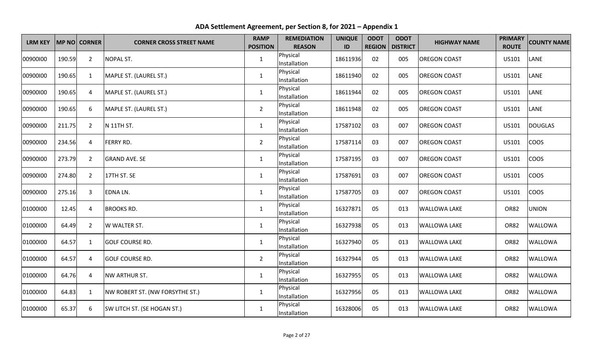| <b>LRM KEY</b> |        | <b>MP NO CORNER</b> | <b>CORNER CROSS STREET NAME</b>        | <b>RAMP</b><br><b>POSITION</b> | <b>REMEDIATION</b><br><b>REASON</b> | <b>UNIQUE</b><br>ID | <b>ODOT</b><br><b>REGION</b> | <b>ODOT</b><br><b>DISTRICT</b> | <b>HIGHWAY NAME</b> | <b>PRIMARY</b><br><b>ROUTE</b> | <b>COUNTY NAME</b> |
|----------------|--------|---------------------|----------------------------------------|--------------------------------|-------------------------------------|---------------------|------------------------------|--------------------------------|---------------------|--------------------------------|--------------------|
| 00900100       | 190.59 | $\overline{2}$      | <b>NOPAL ST.</b>                       | $\mathbf{1}$                   | Physical<br>Installation            | 18611936            | 02                           | 005                            | <b>OREGON COAST</b> | US101                          | LANE               |
| 00900100       | 190.65 | 1                   | MAPLE ST. (LAUREL ST.)                 | $\mathbf{1}$                   | Physical<br>Installation            | 18611940            | 02                           | 005                            | <b>OREGON COAST</b> | US101                          | LANE               |
| 00900100       | 190.65 | 4                   | MAPLE ST. (LAUREL ST.)                 | $\mathbf{1}$                   | Physical<br>Installation            | 18611944            | 02                           | 005                            | <b>OREGON COAST</b> | US101                          | LANE               |
| 00900100       | 190.65 | 6                   | MAPLE ST. (LAUREL ST.)                 | $\overline{2}$                 | Physical<br>Installation            | 18611948            | 02                           | 005                            | <b>OREGON COAST</b> | US101                          | LANE               |
| 00900100       | 211.75 | $\overline{2}$      | <b>N 11TH ST.</b>                      | $\mathbf{1}$                   | Physical<br>Installation            | 17587102            | 03                           | 007                            | <b>OREGON COAST</b> | US101                          | <b>DOUGLAS</b>     |
| 00900100       | 234.56 | $\overline{4}$      | <b>FERRY RD.</b>                       | $\overline{2}$                 | Physical<br>Installation            | 17587114            | 03                           | 007                            | <b>OREGON COAST</b> | US101                          | <b>COOS</b>        |
| 00900100       | 273.79 | $\overline{2}$      | <b>GRAND AVE. SE</b>                   | $\mathbf{1}$                   | Physical<br>Installation            | 17587195            | 03                           | 007                            | <b>OREGON COAST</b> | US101                          | <b>COOS</b>        |
| 00900100       | 274.80 | $\overline{2}$      | 17TH ST. SE                            | $\mathbf{1}$                   | Physical<br>Installation            | 17587691            | 03                           | 007                            | <b>OREGON COAST</b> | US101                          | COOS               |
| 00900100       | 275.16 | $\overline{3}$      | <b>EDNALN.</b>                         | $\mathbf{1}$                   | Physical<br>Installation            | 17587705            | 03                           | 007                            | <b>OREGON COAST</b> | US101                          | <b>COOS</b>        |
| 01000100       | 12.45  | $\overline{4}$      | <b>BROOKS RD.</b>                      | $\mathbf{1}$                   | Physical<br>Installation            | 16327871            | 05                           | 013                            | <b>WALLOWA LAKE</b> | <b>OR82</b>                    | <b>UNION</b>       |
| 01000100       | 64.49  | $\overline{2}$      | W WALTER ST.                           | $\mathbf{1}$                   | Physical<br>Installation            | 16327938            | 05                           | 013                            | <b>WALLOWA LAKE</b> | <b>OR82</b>                    | <b>WALLOWA</b>     |
| 01000100       | 64.57  | $\mathbf{1}$        | <b>GOLF COURSE RD.</b>                 | $\mathbf{1}$                   | Physical<br>Installation            | 16327940            | 05                           | 013                            | <b>WALLOWA LAKE</b> | <b>OR82</b>                    | WALLOWA            |
| 01000100       | 64.57  | $\overline{a}$      | <b>GOLF COURSE RD.</b>                 | $\overline{2}$                 | Physical<br>Installation            | 16327944            | 05                           | 013                            | <b>WALLOWA LAKE</b> | <b>OR82</b>                    | WALLOWA            |
| 01000100       | 64.76  | $\overline{4}$      | <b>NW ARTHUR ST.</b>                   | $\mathbf{1}$                   | Physical<br>Installation            | 16327955            | 05                           | 013                            | <b>WALLOWA LAKE</b> | <b>OR82</b>                    | <b>WALLOWA</b>     |
| 01000100       | 64.83  | $\mathbf{1}$        | <b>NW ROBERT ST. (NW FORSYTHE ST.)</b> | $\mathbf{1}$                   | Physical<br>Installation            | 16327956            | 05                           | 013                            | <b>WALLOWA LAKE</b> | <b>OR82</b>                    | <b>WALLOWA</b>     |
| 01000100       | 65.37  | 6                   | SW LITCH ST. (SE HOGAN ST.)            | $\mathbf{1}$                   | Physical<br>Installation            | 16328006            | 05                           | 013                            | <b>WALLOWA LAKE</b> | <b>OR82</b>                    | <b>WALLOWA</b>     |

**ADA Settlement Agreement, per Section 8, for 2021 – Appendix 1**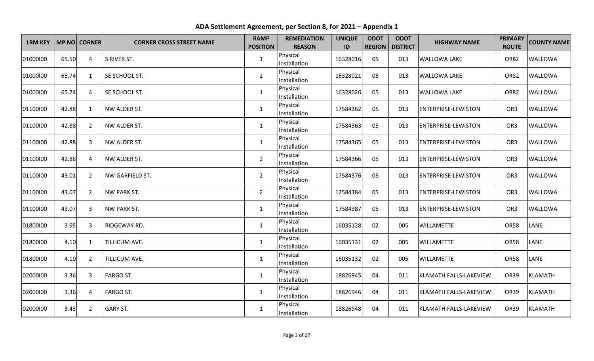| <b>LRM KEY</b> |       | MP NO CORNER   | <b>CORNER CROSS STREET NAME</b> | <b>RAMP</b><br><b>POSITION</b> | <b>REMEDIATION</b><br><b>REASON</b> | <b>UNIQUE</b><br>ID | <b>ODOT</b><br><b>REGION</b> | <b>ODOT</b><br><b>DISTRICT</b> | <b>HIGHWAY NAME</b>        | <b>PRIMARY</b><br><b>ROUTE</b> | <b>COUNTY NAME</b> |
|----------------|-------|----------------|---------------------------------|--------------------------------|-------------------------------------|---------------------|------------------------------|--------------------------------|----------------------------|--------------------------------|--------------------|
| 01000100       | 65.50 | 4              | S RIVER ST.                     | 1                              | Physical<br>Installation            | 16328016            | 05                           | 013                            | <b>WALLOWA LAKE</b>        | <b>OR82</b>                    | <b>WALLOWA</b>     |
| 01000100       | 65.74 | $\mathbf{1}$   | SE SCHOOL ST.                   | $\overline{2}$                 | Physical<br>Installation            | 16328021            | 05                           | 013                            | <b>WALLOWA LAKE</b>        | <b>OR82</b>                    | <b>WALLOWA</b>     |
| 01000100       | 65.74 | 4              | SE SCHOOL ST.                   | $\mathbf{1}$                   | Physical<br>Installation            | 16328026            | 05                           | 013                            | <b>WALLOWA LAKE</b>        | <b>OR82</b>                    | <b>WALLOWA</b>     |
| 01100100       | 42.88 | $\mathbf{1}$   | NW ALDER ST.                    | $\mathbf{1}$                   | Physical<br>Installation            | 17584362            | 05                           | 013                            | <b>ENTERPRISE-LEWISTON</b> | OR <sub>3</sub>                | <b>WALLOWA</b>     |
| 01100100       | 42.88 | $\overline{2}$ | NW ALDER ST.                    | $\mathbf{1}$                   | Physical<br>Installation            | 17584363            | 05                           | 013                            | <b>ENTERPRISE-LEWISTON</b> | OR <sub>3</sub>                | <b>WALLOWA</b>     |
| 01100100       | 42.88 | 3              | <b>NW ALDER ST.</b>             | 1                              | Physical<br>Installation            | 17584365            | 05                           | 013                            | <b>ENTERPRISE-LEWISTON</b> | OR <sub>3</sub>                | <b>WALLOWA</b>     |
| 01100100       | 42.88 | 4              | <b>NW ALDER ST.</b>             | $\overline{2}$                 | Physical<br>Installation            | 17584366            | 05                           | 013                            | <b>ENTERPRISE-LEWISTON</b> | OR <sub>3</sub>                | <b>WALLOWA</b>     |
| 01100100       | 43.01 | $\overline{2}$ | NW GARFIELD ST.                 | $\overline{2}$                 | Physical<br>Installation            | 17584376            | 05                           | 013                            | <b>ENTERPRISE-LEWISTON</b> | OR <sub>3</sub>                | <b>WALLOWA</b>     |
| 01100100       | 43.07 | $\overline{2}$ | <b>NW PARK ST.</b>              | $\overline{2}$                 | Physical<br>Installation            | 17584384            | 05                           | 013                            | <b>ENTERPRISE-LEWISTON</b> | OR <sub>3</sub>                | <b>WALLOWA</b>     |
| 01100100       | 43.07 | $\overline{3}$ | <b>NW PARK ST.</b>              | $\mathbf 1$                    | Physical<br>Installation            | 17584387            | 05                           | 013                            | <b>ENTERPRISE-LEWISTON</b> | OR <sub>3</sub>                | <b>WALLOWA</b>     |
| 01800100       | 3.95  | 3              | RIDGEWAY RD.                    | $\mathbf{1}$                   | Physical<br>Installation            | 16035128            | 02                           | 005                            | <b>WILLAMETTE</b>          | <b>OR58</b>                    | LANE               |
| 01800100       | 4.10  | 1              | <b>TILLICUM AVE.</b>            | $\mathbf{1}$                   | Physical<br>Installation            | 16035131            | 02                           | 005                            | <b>WILLAMETTE</b>          | <b>OR58</b>                    | LANE               |
| 01800100       | 4.10  | $\overline{2}$ | <b>TILLICUM AVE.</b>            | $\mathbf{1}$                   | Physical<br>Installation            | 16035132            | 02                           | 005                            | <b>WILLAMETTE</b>          | OR58                           | LANE               |
| 02000100       | 3.36  | 3              | <b>FARGO ST.</b>                | $\mathbf{1}$                   | Physical<br>Installation            | 18826945            | 04                           | 011                            | KLAMATH FALLS-LAKEVIEW     | <b>OR39</b>                    | <b>KLAMATH</b>     |
| 02000100       | 3.36  | 4              | <b>FARGO ST.</b>                | $\mathbf 1$                    | Physical<br>Installation            | 18826946            | 04                           | 011                            | KLAMATH FALLS-LAKEVIEW     | <b>OR39</b>                    | <b>KLAMATH</b>     |
| 02000100       | 3.43  | $\overline{2}$ | <b>GARY ST.</b>                 | $\mathbf{1}$                   | Physical<br>Installation            | 18826948            | 04                           | 011                            | KLAMATH FALLS-LAKEVIEW     | <b>OR39</b>                    | <b>KLAMATH</b>     |

**ADA Settlement Agreement, per Section 8, for 2021 – Appendix 1**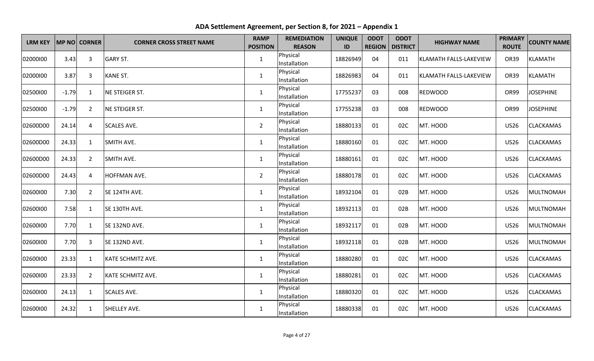| <b>LRM KEY</b> |         | MP NO CORNER   | <b>CORNER CROSS STREET NAME</b> | <b>RAMP</b><br><b>POSITION</b> | <b>REMEDIATION</b><br><b>REASON</b> | <b>UNIQUE</b><br>ID | <b>ODOT</b><br><b>REGION</b> | <b>ODOT</b><br><b>DISTRICT</b> | <b>HIGHWAY NAME</b>    | <b>PRIMARY</b><br><b>ROUTE</b> | <b>COUNTY NAME</b> |
|----------------|---------|----------------|---------------------------------|--------------------------------|-------------------------------------|---------------------|------------------------------|--------------------------------|------------------------|--------------------------------|--------------------|
| 02000100       | 3.43    | 3              | GARY ST.                        | $\mathbf{1}$                   | Physical<br>Installation            | 18826949            | 04                           | 011                            | KLAMATH FALLS-LAKEVIEW | <b>OR39</b>                    | <b>KLAMATH</b>     |
| 02000100       | 3.87    | 3              | KANE ST.                        | $\mathbf{1}$                   | Physical<br>Installation            | 18826983            | 04                           | 011                            | KLAMATH FALLS-LAKEVIEW | <b>OR39</b>                    | <b>KLAMATH</b>     |
| 02500100       | $-1.79$ | 1              | NE STEIGER ST.                  | $\mathbf{1}$                   | Physical<br>Installation            | 17755237            | 03                           | 008                            | <b>REDWOOD</b>         | OR99                           | <b>JOSEPHINE</b>   |
| 02500100       | $-1.79$ | $\overline{2}$ | NE STEIGER ST.                  | $\mathbf{1}$                   | Physical<br>Installation            | 17755238            | 03                           | 008                            | <b>REDWOOD</b>         | OR99                           | <b>JOSEPHINE</b>   |
| 02600D00       | 24.14   | 4              | <b>SCALES AVE.</b>              | $\overline{2}$                 | Physical<br>Installation            | 18880133            | 01                           | 02C                            | MT. HOOD               | <b>US26</b>                    | <b>CLACKAMAS</b>   |
| 02600D00       | 24.33   | 1              | SMITH AVE.                      | $\mathbf{1}$                   | Physical<br>Installation            | 18880160            | 01                           | 02C                            | MT. HOOD               | <b>US26</b>                    | <b>CLACKAMAS</b>   |
| 02600D00       | 24.33   | $\overline{2}$ | <b>SMITH AVE.</b>               | $\mathbf{1}$                   | Physical<br>Installation            | 18880161            | 01                           | 02C                            | MT. HOOD               | <b>US26</b>                    | CLACKAMAS          |
| 02600D00       | 24.43   | 4              | HOFFMAN AVE.                    | $\overline{2}$                 | Physical<br>Installation            | 18880178            | 01                           | 02C                            | MT. HOOD               | <b>US26</b>                    | <b>CLACKAMAS</b>   |
| 02600100       | 7.30    | $\overline{2}$ | SE 124TH AVE.                   | $\mathbf{1}$                   | Physical<br>Installation            | 18932104            | 01                           | 02B                            | MT. HOOD               | <b>US26</b>                    | <b>MULTNOMAH</b>   |
| 02600100       | 7.58    | 1              | SE 130TH AVE.                   | $\mathbf{1}$                   | Physical<br>Installation            | 18932113            | 01                           | 02B                            | MT. HOOD               | <b>US26</b>                    | <b>MULTNOMAH</b>   |
| 02600100       | 7.70    | $\mathbf{1}$   | SE 132ND AVE.                   | $\mathbf{1}$                   | Physical<br>Installation            | 18932117            | 01                           | 02B                            | MT. HOOD               | <b>US26</b>                    | <b>MULTNOMAH</b>   |
| 02600100       | 7.70    | 3              | SE 132ND AVE.                   | $\mathbf{1}$                   | Physical<br>Installation            | 18932118            | 01                           | 02B                            | MT. HOOD               | <b>US26</b>                    | <b>MULTNOMAH</b>   |
| 02600100       | 23.33   | $\mathbf{1}$   | KATE SCHMITZ AVE.               | $\mathbf{1}$                   | Physical<br>Installation            | 18880280            | 01                           | 02C                            | MT. HOOD               | <b>US26</b>                    | <b>CLACKAMAS</b>   |
| 02600100       | 23.33   | $\overline{2}$ | KATE SCHMITZ AVE.               | $\mathbf{1}$                   | Physical<br>Installation            | 18880281            | 01                           | 02C                            | MT. HOOD               | <b>US26</b>                    | <b>CLACKAMAS</b>   |
| 02600100       | 24.13   | $\mathbf{1}$   | <b>SCALES AVE.</b>              | $\mathbf{1}$                   | Physical<br>Installation            | 18880320            | 01                           | 02C                            | MT. HOOD               | <b>US26</b>                    | CLACKAMAS          |
| 02600100       | 24.32   | $\mathbf{1}$   | <b>SHELLEY AVE.</b>             | $\mathbf{1}$                   | Physical<br>Installation            | 18880338            | 01                           | 02C                            | MT. HOOD               | <b>US26</b>                    | <b>CLACKAMAS</b>   |

**ADA Settlement Agreement, per Section 8, for 2021 – Appendix 1**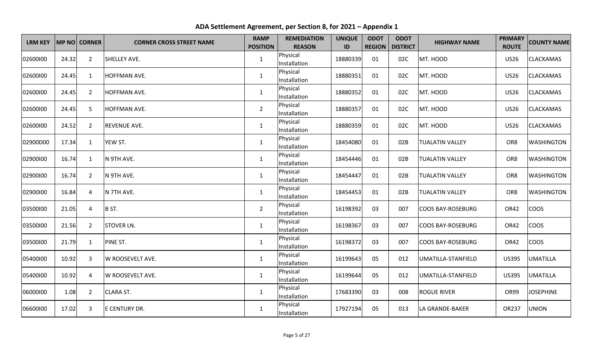| <b>LRM KEY</b> |       | MP NO CORNER   | <b>CORNER CROSS STREET NAME</b> | <b>RAMP</b><br><b>POSITION</b> | <b>REMEDIATION</b><br><b>REASON</b> | <b>UNIQUE</b><br>ID | <b>ODOT</b><br><b>REGION</b> | <b>ODOT</b><br><b>DISTRICT</b> | <b>HIGHWAY NAME</b>      | <b>PRIMARY</b><br><b>ROUTE</b> | <b>COUNTY NAME</b> |
|----------------|-------|----------------|---------------------------------|--------------------------------|-------------------------------------|---------------------|------------------------------|--------------------------------|--------------------------|--------------------------------|--------------------|
| 02600100       | 24.32 | 2              | SHELLEY AVE.                    | $\mathbf{1}$                   | Physical<br>Installation            | 18880339            | 01                           | 02C                            | MT. HOOD                 | <b>US26</b>                    | <b>CLACKAMAS</b>   |
| 02600100       | 24.45 | 1              | HOFFMAN AVE.                    | $\mathbf{1}$                   | Physical<br>Installation            | 18880351            | 01                           | 02C                            | MT. HOOD                 | <b>US26</b>                    | CLACKAMAS          |
| 02600100       | 24.45 | $\overline{2}$ | HOFFMAN AVE.                    | $\mathbf{1}$                   | Physical<br>Installation            | 18880352            | 01                           | 02C                            | MT. HOOD                 | <b>US26</b>                    | <b>CLACKAMAS</b>   |
| 02600100       | 24.45 | 5              | HOFFMAN AVE.                    | $\overline{2}$                 | Physical<br>Installation            | 18880357            | 01                           | 02C                            | MT. HOOD                 | <b>US26</b>                    | <b>CLACKAMAS</b>   |
| 02600100       | 24.52 | $\overline{2}$ | <b>REVENUE AVE.</b>             | $\mathbf 1$                    | Physical<br>Installation            | 18880359            | 01                           | 02C                            | MT. HOOD                 | <b>US26</b>                    | <b>CLACKAMAS</b>   |
| 02900D00       | 17.34 | $\mathbf{1}$   | YEW ST.                         | 1                              | Physical<br>Installation            | 18454080            | 01                           | 02B                            | <b>TUALATIN VALLEY</b>   | OR8                            | <b>WASHINGTON</b>  |
| 02900100       | 16.74 | 1              | N 9TH AVE.                      | $\mathbf{1}$                   | Physical<br>Installation            | 18454446            | 01                           | 02B                            | <b>TUALATIN VALLEY</b>   | OR8                            | <b>WASHINGTON</b>  |
| 02900100       | 16.74 | $\overline{2}$ | N 9TH AVE.                      | $\mathbf{1}$                   | Physical<br>Installation            | 18454447            | 01                           | 02B                            | <b>TUALATIN VALLEY</b>   | OR8                            | <b>WASHINGTON</b>  |
| 02900100       | 16.84 | 4              | N 7TH AVE.                      | $\mathbf{1}$                   | Physical<br>Installation            | 18454453            | 01                           | 02B                            | <b>TUALATIN VALLEY</b>   | OR8                            | <b>WASHINGTON</b>  |
| 03500100       | 21.05 | 4              | B ST.                           | $\overline{2}$                 | Physical<br>Installation            | 16198392            | 03                           | 007                            | <b>COOS BAY-ROSEBURG</b> | OR42                           | <b>COOS</b>        |
| 03500100       | 21.56 | $\overline{2}$ | <b>STOVER LN.</b>               | $\mathbf{1}$                   | Physical<br>Installation            | 16198367            | 03                           | 007                            | <b>COOS BAY-ROSEBURG</b> | OR42                           | <b>COOS</b>        |
| 03500100       | 21.79 | $\mathbf{1}$   | PINE ST.                        | $\mathbf{1}$                   | Physical<br>Installation            | 16198372            | 03                           | 007                            | <b>COOS BAY-ROSEBURG</b> | <b>OR42</b>                    | <b>COOS</b>        |
| 05400100       | 10.92 | 3              | W ROOSEVELT AVE.                | $\mathbf{1}$                   | Physical<br>Installation            | 16199643            | 05                           | 012                            | UMATILLA-STANFIELD       | <b>US395</b>                   | <b>UMATILLA</b>    |
| 05400100       | 10.92 | 4              | W ROOSEVELT AVE.                | $\mathbf{1}$                   | Physical<br>Installation            | 16199644            | 05                           | 012                            | UMATILLA-STANFIELD       | <b>US395</b>                   | <b>UMATILLA</b>    |
| 06000100       | 1.08  | $\overline{2}$ | <b>CLARA ST.</b>                | $\mathbf{1}$                   | Physical<br>Installation            | 17683390            | 03                           | 008                            | <b>ROGUE RIVER</b>       | OR99                           | <b>JOSEPHINE</b>   |
| 06600100       | 17.02 | 3              | E CENTURY DR.                   | $\mathbf{1}$                   | Physical<br>Installation            | 17927194            | 05                           | 013                            | LA GRANDE-BAKER          | OR237                          | <b>UNION</b>       |

**ADA Settlement Agreement, per Section 8, for 2021 – Appendix 1**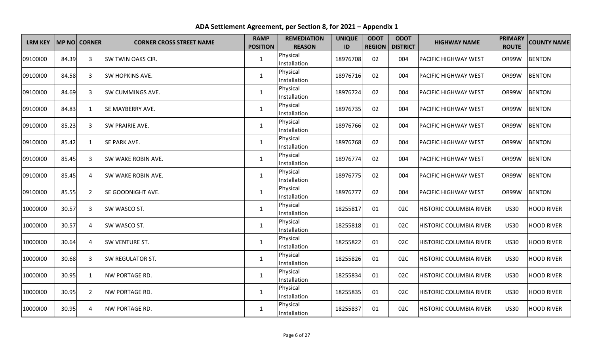| <b>LRM KEY</b> |       | <b>MP NO CORNER</b> | <b>CORNER CROSS STREET NAME</b> | <b>RAMP</b><br><b>POSITION</b> | <b>REMEDIATION</b><br><b>REASON</b> | <b>UNIQUE</b><br>ID | <b>ODOT</b> | <b>ODOT</b><br><b>REGION   DISTRICT</b> | <b>HIGHWAY NAME</b>            | <b>PRIMARY</b><br><b>ROUTE</b> | <b>COUNTY NAME</b> |
|----------------|-------|---------------------|---------------------------------|--------------------------------|-------------------------------------|---------------------|-------------|-----------------------------------------|--------------------------------|--------------------------------|--------------------|
| 09100100       | 84.39 | 3                   | <b>SW TWIN OAKS CIR.</b>        | 1                              | Physical<br>Installation            | 18976708            | 02          | 004                                     | <b>PACIFIC HIGHWAY WEST</b>    | OR99W                          | <b>BENTON</b>      |
| 09100100       | 84.58 | 3                   | <b>SW HOPKINS AVE.</b>          | $\mathbf{1}$                   | Physical<br>Installation            | 18976716            | 02          | 004                                     | <b>PACIFIC HIGHWAY WEST</b>    | OR99W                          | <b>BENTON</b>      |
| 09100100       | 84.69 | 3                   | <b>SW CUMMINGS AVE.</b>         | $\mathbf{1}$                   | Physical<br>Installation            | 18976724            | 02          | 004                                     | <b>PACIFIC HIGHWAY WEST</b>    | OR99W                          | <b>BENTON</b>      |
| 09100100       | 84.83 | $\mathbf{1}$        | <b>SE MAYBERRY AVE.</b>         | $\mathbf{1}$                   | Physical<br>Installation            | 18976735            | 02          | 004                                     | <b>PACIFIC HIGHWAY WEST</b>    | OR99W                          | <b>BENTON</b>      |
| 09100100       | 85.23 | $\mathbf{3}$        | SW PRAIRIE AVE.                 | $\mathbf{1}$                   | Physical<br>Installation            | 18976766            | 02          | 004                                     | <b>PACIFIC HIGHWAY WEST</b>    | OR99W                          | <b>BENTON</b>      |
| 09100100       | 85.42 | 1                   | <b>SE PARK AVE.</b>             | 1                              | Physical<br>Installation            | 18976768            | 02          | 004                                     | <b>PACIFIC HIGHWAY WEST</b>    | OR99W                          | <b>BENTON</b>      |
| 09100100       | 85.45 | 3                   | <b>SW WAKE ROBIN AVE.</b>       | $\mathbf{1}$                   | Physical<br>Installation            | 18976774            | 02          | 004                                     | <b>PACIFIC HIGHWAY WEST</b>    | OR99W                          | <b>BENTON</b>      |
| 09100100       | 85.45 | $\overline{4}$      | <b>SW WAKE ROBIN AVE.</b>       | $\mathbf{1}$                   | Physical<br>Installation            | 18976775            | 02          | 004                                     | <b>PACIFIC HIGHWAY WEST</b>    | OR99W                          | <b>BENTON</b>      |
| 09100100       | 85.55 | $\overline{2}$      | <b>SE GOODNIGHT AVE.</b>        | $\mathbf{1}$                   | Physical<br>Installation            | 18976777            | 02          | 004                                     | <b>PACIFIC HIGHWAY WEST</b>    | OR99W                          | <b>BENTON</b>      |
| 10000100       | 30.57 | $\mathbf{3}$        | SW WASCO ST.                    | $\mathbf 1$                    | Physical<br>Installation            | 18255817            | 01          | 02C                                     | <b>HISTORIC COLUMBIA RIVER</b> | <b>US30</b>                    | <b>HOOD RIVER</b>  |
| 10000100       | 30.57 | 4                   | SW WASCO ST.                    | $\mathbf{1}$                   | Physical<br>Installation            | 18255818            | 01          | 02C                                     | <b>HISTORIC COLUMBIA RIVER</b> | <b>US30</b>                    | <b>HOOD RIVER</b>  |
| 10000100       | 30.64 | $\overline{4}$      | <b>SW VENTURE ST.</b>           | $\mathbf{1}$                   | Physical<br>Installation            | 18255822            | 01          | 02C                                     | <b>HISTORIC COLUMBIA RIVER</b> | <b>US30</b>                    | <b>HOOD RIVER</b>  |
| 10000100       | 30.68 | 3                   | <b>SW REGULATOR ST.</b>         | $\mathbf{1}$                   | Physical<br>Installation            | 18255826            | 01          | 02C                                     | <b>HISTORIC COLUMBIA RIVER</b> | <b>US30</b>                    | <b>HOOD RIVER</b>  |
| 10000100       | 30.95 | $\mathbf{1}$        | <b>NW PORTAGE RD.</b>           | $\mathbf{1}$                   | Physical<br>Installation            | 18255834            | 01          | 02C                                     | <b>HISTORIC COLUMBIA RIVER</b> | <b>US30</b>                    | <b>HOOD RIVER</b>  |
| 10000100       | 30.95 | $\overline{2}$      | <b>NW PORTAGE RD.</b>           | $\mathbf 1$                    | Physical<br>Installation            | 18255835            | 01          | 02C                                     | <b>HISTORIC COLUMBIA RIVER</b> | <b>US30</b>                    | <b>HOOD RIVER</b>  |
| 10000100       | 30.95 | $\overline{a}$      | <b>NW PORTAGE RD.</b>           | $\mathbf{1}$                   | Physical<br>Installation            | 18255837            | 01          | 02C                                     | <b>HISTORIC COLUMBIA RIVER</b> | <b>US30</b>                    | <b>HOOD RIVER</b>  |

**ADA Settlement Agreement, per Section 8, for 2021 – Appendix 1**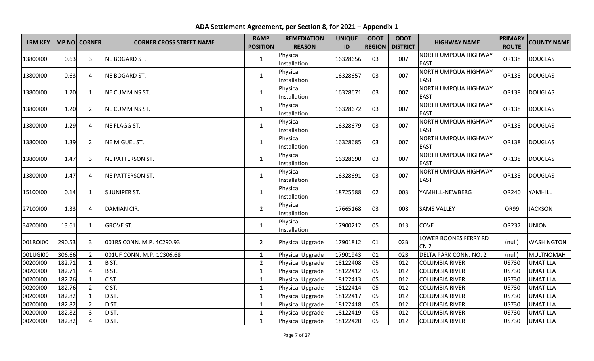| <b>LRM KEY</b> |        | MP NO CORNER   | <b>CORNER CROSS STREET NAME</b> | <b>RAMP</b><br><b>POSITION</b> | <b>REMEDIATION</b><br><b>REASON</b> | <b>UNIQUE</b><br>ID | <b>ODOT</b> | <b>ODOT</b><br><b>REGION   DISTRICT</b> | <b>HIGHWAY NAME</b>                        | <b>PRIMARY</b><br><b>ROUTE</b> | <b>COUNTY NAME</b> |
|----------------|--------|----------------|---------------------------------|--------------------------------|-------------------------------------|---------------------|-------------|-----------------------------------------|--------------------------------------------|--------------------------------|--------------------|
| 13800100       | 0.63   | 3              | NE BOGARD ST.                   | $\mathbf{1}$                   | Physical<br>Installation            | 16328656            | 03          | 007                                     | <b>NORTH UMPQUA HIGHWAY</b><br><b>EAST</b> | OR138                          | <b>DOUGLAS</b>     |
| 13800100       | 0.63   | 4              | NE BOGARD ST.                   | $\mathbf{1}$                   | Physical<br>Installation            | 16328657            | 03          | 007                                     | NORTH UMPQUA HIGHWAY<br><b>EAST</b>        | OR138                          | <b>DOUGLAS</b>     |
| 13800100       | 1.20   | $\mathbf{1}$   | NE CUMMINS ST.                  | $\mathbf{1}$                   | Physical<br>Installation            | 16328671            | 03          | 007                                     | <b>NORTH UMPQUA HIGHWAY</b><br><b>EAST</b> | OR138                          | <b>DOUGLAS</b>     |
| 13800100       | 1.20   | $\overline{2}$ | NE CUMMINS ST.                  | $\mathbf{1}$                   | Physical<br>Installation            | 16328672            | 03          | 007                                     | NORTH UMPQUA HIGHWAY<br><b>EAST</b>        | OR138                          | <b>DOUGLAS</b>     |
| 13800100       | 1.29   | 4              | NE FLAGG ST.                    | $\mathbf 1$                    | Physical<br>Installation            | 16328679            | 03          | 007                                     | <b>NORTH UMPQUA HIGHWAY</b><br><b>EAST</b> | OR138                          | <b>DOUGLAS</b>     |
| 13800100       | 1.39   | $\overline{2}$ | NE MIGUEL ST.                   | $\mathbf{1}$                   | Physical<br>Installation            | 16328685            | 03          | 007                                     | NORTH UMPQUA HIGHWAY<br><b>EAST</b>        | OR138                          | <b>DOUGLAS</b>     |
| 13800100       | 1.47   | 3              | <b>NE PATTERSON ST.</b>         | $\mathbf{1}$                   | Physical<br>Installation            | 16328690            | 03          | 007                                     | <b>NORTH UMPQUA HIGHWAY</b><br><b>EAST</b> | OR138                          | <b>DOUGLAS</b>     |
| 13800100       | 1.47   | 4              | NE PATTERSON ST.                | $\mathbf{1}$                   | Physical<br>Installation            | 16328691            | 03          | 007                                     | NORTH UMPQUA HIGHWAY<br><b>EAST</b>        | OR138                          | <b>DOUGLAS</b>     |
| 15100100       | 0.14   | 1              | S JUNIPER ST.                   | $\mathbf{1}$                   | Physical<br>Installation            | 18725588            | 02          | 003                                     | YAMHILL-NEWBERG                            | OR240                          | YAMHILL            |
| 27100100       | 1.33   | 4              | <b>DAMIAN CIR.</b>              | $\overline{2}$                 | Physical<br>Installation            | 17665168            | 03          | 008                                     | <b>SAMS VALLEY</b>                         | OR99                           | <b>JACKSON</b>     |
| 34200100       | 13.61  | $\mathbf{1}$   | <b>GROVE ST.</b>                | $\mathbf{1}$                   | Physical<br>Installation            | 17900212            | 05          | 013                                     | <b>COVE</b>                                | OR237                          | <b>UNION</b>       |
| 001RQI00       | 290.53 | 3              | 001RS CONN. M.P. 4C290.93       | $\overline{2}$                 | Physical Upgrade                    | 17901812            | 01          | 02B                                     | LOWER BOONES FERRY RD<br>CN <sub>2</sub>   | (null)                         | <b>WASHINGTON</b>  |
| 001UGI00       | 306.66 | $\overline{2}$ | 001UF CONN. M.P. 1C306.68       | $\mathbf{1}$                   | Physical Upgrade                    | 17901943            | 01          | 02B                                     | <b>DELTA PARK CONN. NO. 2</b>              | (null)                         | <b>MULTNOMAH</b>   |
| 00200100       | 182.71 | $\mathbf{1}$   | B ST.                           | $\overline{2}$                 | Physical Upgrade                    | 18122408            | 05          | 012                                     | <b>COLUMBIA RIVER</b>                      | <b>US730</b>                   | <b>UMATILLA</b>    |
| 00200100       | 182.71 | 4              | B ST.                           | $\mathbf{1}$                   | Physical Upgrade                    | 18122412            | 05          | 012                                     | <b>COLUMBIA RIVER</b>                      | <b>US730</b>                   | <b>UMATILLA</b>    |
| 00200100       | 182.76 | $\mathbf{1}$   | C ST.                           | $\mathbf{1}$                   | Physical Upgrade                    | 18122413            | 05          | 012                                     | <b>COLUMBIA RIVER</b>                      | <b>US730</b>                   | <b>UMATILLA</b>    |
| 00200100       | 182.76 | $\overline{2}$ | CST.                            | $\mathbf{1}$                   | Physical Upgrade                    | 18122414            | 05          | 012                                     | <b>COLUMBIA RIVER</b>                      | <b>US730</b>                   | <b>UMATILLA</b>    |
| 00200100       | 182.82 | $\mathbf{1}$   | D ST.                           | $\mathbf{1}$                   | Physical Upgrade                    | 18122417            | 05          | 012                                     | <b>COLUMBIA RIVER</b>                      | <b>US730</b>                   | <b>UMATILLA</b>    |
| 00200100       | 182.82 | $\overline{2}$ | D ST.                           | 1                              | Physical Upgrade                    | 18122418            | 05          | 012                                     | <b>COLUMBIA RIVER</b>                      | <b>US730</b>                   | <b>UMATILLA</b>    |
| 00200100       | 182.82 | $\overline{3}$ | D ST.                           | $\mathbf{1}$                   | Physical Upgrade                    | 18122419            | 05          | 012                                     | <b>COLUMBIA RIVER</b>                      | <b>US730</b>                   | <b>UMATILLA</b>    |
| 00200100       | 182.82 | 4              | D ST.                           | $\mathbf{1}$                   | Physical Upgrade                    | 18122420            | 05          | 012                                     | <b>COLUMBIA RIVER</b>                      | <b>US730</b>                   | <b>UMATILLA</b>    |

**ADA Settlement Agreement, per Section 8, for 2021 – Appendix 1**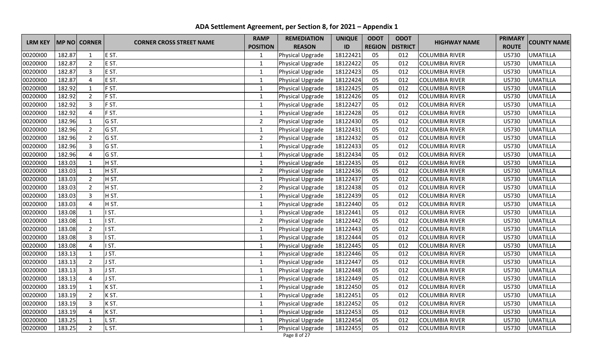| <b>LRM KEY</b><br><b>MP NO CORNER</b> |        | <b>CORNER CROSS STREET NAME</b> | <b>RAMP</b> | <b>REMEDIATION</b> | <b>UNIQUE</b>    | <b>ODOT</b> | <b>ODOT</b>   | <b>HIGHWAY NAME</b> | <b>PRIMARY</b>        | <b>COUNTY NAME</b> |                 |
|---------------------------------------|--------|---------------------------------|-------------|--------------------|------------------|-------------|---------------|---------------------|-----------------------|--------------------|-----------------|
|                                       |        |                                 |             | <b>POSITION</b>    | <b>REASON</b>    | ID          | <b>REGION</b> | <b>DISTRICT</b>     |                       | <b>ROUTE</b>       |                 |
| 00200100                              | 182.87 | $\mathbf{1}$                    | E ST.       | $\mathbf{1}$       | Physical Upgrade | 18122421    | 05            | 012                 | <b>COLUMBIA RIVER</b> | <b>US730</b>       | <b>UMATILLA</b> |
| 00200100                              | 182.87 | $\overline{2}$                  | E ST.       | $\mathbf{1}$       | Physical Upgrade | 18122422    | 05            | 012                 | <b>COLUMBIA RIVER</b> | <b>US730</b>       | <b>UMATILLA</b> |
| 00200100                              | 182.87 | $\overline{3}$                  | E ST.       | 1                  | Physical Upgrade | 18122423    | 05            | 012                 | <b>COLUMBIA RIVER</b> | <b>US730</b>       | <b>UMATILLA</b> |
| 00200100                              | 182.87 | $\overline{4}$                  | E ST.       | $\mathbf{1}$       | Physical Upgrade | 18122424    | 05            | 012                 | <b>COLUMBIA RIVER</b> | <b>US730</b>       | <b>UMATILLA</b> |
| 00200100                              | 182.92 | $\mathbf{1}$                    | F ST.       | $\mathbf{1}$       | Physical Upgrade | 18122425    | 05            | 012                 | <b>COLUMBIA RIVER</b> | <b>US730</b>       | <b>UMATILLA</b> |
| 00200100                              | 182.92 | $\overline{2}$                  | F ST.       | $\mathbf 1$        | Physical Upgrade | 18122426    | 05            | 012                 | <b>COLUMBIA RIVER</b> | <b>US730</b>       | <b>UMATILLA</b> |
| 00200100                              | 182.92 | $\overline{3}$                  | F ST.       | $\mathbf 1$        | Physical Upgrade | 18122427    | 05            | 012                 | <b>COLUMBIA RIVER</b> | <b>US730</b>       | <b>UMATILLA</b> |
| 00200100                              | 182.92 | $\overline{A}$                  | F ST.       | $\mathbf 1$        | Physical Upgrade | 18122428    | 05            | 012                 | <b>COLUMBIA RIVER</b> | <b>US730</b>       | <b>UMATILLA</b> |
| 00200100                              | 182.96 | 1                               | G ST.       | $\overline{2}$     | Physical Upgrade | 18122430    | 05            | 012                 | <b>COLUMBIA RIVER</b> | <b>US730</b>       | <b>UMATILLA</b> |
| 00200100                              | 182.96 | $\overline{2}$                  | G ST.       | $\mathbf{1}$       | Physical Upgrade | 18122431    | 05            | 012                 | <b>COLUMBIA RIVER</b> | <b>US730</b>       | <b>UMATILLA</b> |
| 00200100                              | 182.96 | $\overline{2}$                  | G ST.       | $\overline{2}$     | Physical Upgrade | 18122432    | 05            | 012                 | <b>COLUMBIA RIVER</b> | <b>US730</b>       | <b>UMATILLA</b> |
| 00200100                              | 182.96 | 3                               | G ST.       | $\mathbf{1}$       | Physical Upgrade | 18122433    | 05            | 012                 | <b>COLUMBIA RIVER</b> | <b>US730</b>       | <b>UMATILLA</b> |
| 00200100                              | 182.96 | $\overline{4}$                  | G ST.       | $\mathbf{1}$       | Physical Upgrade | 18122434    | 05            | 012                 | <b>COLUMBIA RIVER</b> | <b>US730</b>       | <b>UMATILLA</b> |
| 00200100                              | 183.03 | 1                               | H ST.       | 1                  | Physical Upgrade | 18122435    | 05            | 012                 | <b>COLUMBIA RIVER</b> | <b>US730</b>       | <b>UMATILLA</b> |
| 00200100                              | 183.03 | $\mathbf{1}$                    | H ST.       | $\overline{2}$     | Physical Upgrade | 18122436    | 05            | 012                 | <b>COLUMBIA RIVER</b> | <b>US730</b>       | <b>UMATILLA</b> |
| 00200100                              | 183.03 | $\overline{2}$                  | H ST.       | $\mathbf 1$        | Physical Upgrade | 18122437    | 05            | 012                 | <b>COLUMBIA RIVER</b> | <b>US730</b>       | <b>UMATILLA</b> |
| 00200100                              | 183.03 | $\overline{2}$                  | H ST.       | $\overline{2}$     | Physical Upgrade | 18122438    | 05            | 012                 | <b>COLUMBIA RIVER</b> | <b>US730</b>       | <b>UMATILLA</b> |
| 00200100                              | 183.03 | 3                               | H ST.       | 1                  | Physical Upgrade | 18122439    | 05            | 012                 | <b>COLUMBIA RIVER</b> | <b>US730</b>       | <b>UMATILLA</b> |
| 00200100                              | 183.03 | $\overline{4}$                  | H ST.       | $\mathbf{1}$       | Physical Upgrade | 18122440    | 05            | 012                 | <b>COLUMBIA RIVER</b> | <b>US730</b>       | <b>UMATILLA</b> |
| 00200100                              | 183.08 | 1                               | ST.         | $\mathbf 1$        | Physical Upgrade | 18122441    | 05            | 012                 | <b>COLUMBIA RIVER</b> | <b>US730</b>       | <b>UMATILLA</b> |
| 00200100                              | 183.08 | $\mathbf{1}$                    | ST.         | $\overline{2}$     | Physical Upgrade | 18122442    | 05            | 012                 | <b>COLUMBIA RIVER</b> | <b>US730</b>       | <b>UMATILLA</b> |
| 00200100                              | 183.08 | $\overline{2}$                  | ST.         | $\mathbf{1}$       | Physical Upgrade | 18122443    | 05            | 012                 | <b>COLUMBIA RIVER</b> | <b>US730</b>       | <b>UMATILLA</b> |
| 00200100                              | 183.08 | $\overline{3}$                  | ST.         | $\mathbf{1}$       | Physical Upgrade | 18122444    | 05            | 012                 | <b>COLUMBIA RIVER</b> | <b>US730</b>       | <b>UMATILLA</b> |
| 00200100                              | 183.08 | 4                               | ST.         | $\mathbf{1}$       | Physical Upgrade | 18122445    | 05            | 012                 | <b>COLUMBIA RIVER</b> | <b>US730</b>       | <b>UMATILLA</b> |
| 00200100                              | 183.13 | $\mathbf{1}$                    | ST.         | $\mathbf{1}$       | Physical Upgrade | 18122446    | 05            | 012                 | <b>COLUMBIA RIVER</b> | <b>US730</b>       | <b>UMATILLA</b> |
| 00200100                              | 183.13 | $\overline{2}$                  | ST.         | $\mathbf{1}$       | Physical Upgrade | 18122447    | 05            | 012                 | <b>COLUMBIA RIVER</b> | <b>US730</b>       | <b>UMATILLA</b> |
| 00200100                              | 183.13 | $\mathbf{3}$                    | ST.         | $\mathbf{1}$       | Physical Upgrade | 18122448    | 05            | 012                 | <b>COLUMBIA RIVER</b> | <b>US730</b>       | <b>UMATILLA</b> |
| 00200100                              | 183.13 | $\overline{4}$                  | ST.         | $\mathbf{1}$       | Physical Upgrade | 18122449    | 05            | 012                 | <b>COLUMBIA RIVER</b> | <b>US730</b>       | <b>UMATILLA</b> |
| 00200100                              | 183.19 | $\mathbf{1}$                    | K ST.       | $\mathbf 1$        | Physical Upgrade | 18122450    | 05            | 012                 | <b>COLUMBIA RIVER</b> | <b>US730</b>       | <b>UMATILLA</b> |
| 00200100                              | 183.19 | $\overline{2}$                  | K ST.       | $\mathbf 1$        | Physical Upgrade | 18122451    | 05            | 012                 | <b>COLUMBIA RIVER</b> | <b>US730</b>       | <b>UMATILLA</b> |
| 00200100                              | 183.19 | $\overline{3}$                  | K ST.       | $\mathbf 1$        | Physical Upgrade | 18122452    | 05            | 012                 | <b>COLUMBIA RIVER</b> | <b>US730</b>       | <b>UMATILLA</b> |
| 00200100                              | 183.19 | $\overline{4}$                  | K ST.       | 1                  | Physical Upgrade | 18122453    | 05            | 012                 | <b>COLUMBIA RIVER</b> | <b>US730</b>       | <b>UMATILLA</b> |
| 00200100                              | 183.25 | $\mathbf{1}$                    | $S$ T.      | $\mathbf{1}$       | Physical Upgrade | 18122454    | 05            | 012                 | <b>COLUMBIA RIVER</b> | <b>US730</b>       | <b>UMATILLA</b> |
| 00200100                              | 183.25 | $\overline{2}$                  | L ST.       | $\mathbf{1}$       | Physical Upgrade | 18122455    | 05            | 012                 | <b>COLUMBIA RIVER</b> | <b>US730</b>       | <b>UMATILLA</b> |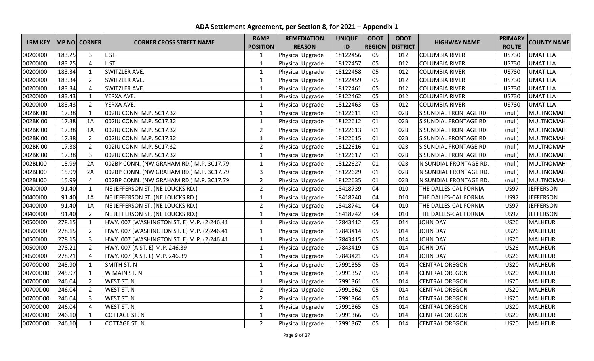|                |        |                     |                                            | <b>RAMP</b>     | <b>REMEDIATION</b> | <b>UNIQUE</b> | <b>ODOT</b>   | <b>ODOT</b>     | <b>HIGHWAY NAME</b>    | <b>PRIMARY</b> | <b>COUNTY NAME</b> |
|----------------|--------|---------------------|--------------------------------------------|-----------------|--------------------|---------------|---------------|-----------------|------------------------|----------------|--------------------|
| <b>LRM KEY</b> |        | <b>MP NO CORNER</b> | <b>CORNER CROSS STREET NAME</b>            | <b>POSITION</b> | <b>REASON</b>      | ID            | <b>REGION</b> | <b>DISTRICT</b> |                        | <b>ROUTE</b>   |                    |
| 00200100       | 183.25 | $\overline{3}$      | ST.                                        | $\mathbf{1}$    | Physical Upgrade   | 18122456      | 05            | 012             | <b>COLUMBIA RIVER</b>  | <b>US730</b>   | <b>UMATILLA</b>    |
| 00200100       | 183.25 | $\overline{4}$      | .ST.                                       | $\mathbf{1}$    | Physical Upgrade   | 18122457      | 05            | 012             | <b>COLUMBIA RIVER</b>  | <b>US730</b>   | <b>UMATILLA</b>    |
| 00200100       | 183.34 | $\mathbf{1}$        | SWITZLER AVE.                              | $\mathbf{1}$    | Physical Upgrade   | 18122458      | 05            | 012             | <b>COLUMBIA RIVER</b>  | <b>US730</b>   | <b>UMATILLA</b>    |
| 00200100       | 183.34 | $\overline{2}$      | SWITZLER AVE.                              | $\mathbf{1}$    | Physical Upgrade   | 18122459      | 05            | 012             | <b>COLUMBIA RIVER</b>  | <b>US730</b>   | <b>UMATILLA</b>    |
| 00200100       | 183.34 | $\overline{4}$      | SWITZLER AVE.                              | $\mathbf{1}$    | Physical Upgrade   | 18122461      | 05            | 012             | <b>COLUMBIA RIVER</b>  | <b>US730</b>   | <b>UMATILLA</b>    |
| 00200100       | 183.43 | $\mathbf{1}$        | YERXA AVE.                                 | $\mathbf{1}$    | Physical Upgrade   | 18122462      | 05            | 012             | <b>COLUMBIA RIVER</b>  | <b>US730</b>   | <b>UMATILLA</b>    |
| 00200100       | 183.43 | $\overline{2}$      | YERXA AVE.                                 | $\mathbf{1}$    | Physical Upgrade   | 18122463      | 05            | 012             | <b>COLUMBIA RIVER</b>  | <b>US730</b>   | <b>UMATILLA</b>    |
| 002BKI00       | 17.38  | $\mathbf{1}$        | 002IU CONN. M.P. 5C17.32                   | $\mathbf 1$     | Physical Upgrade   | 18122611      | 01            | 02B             | S SUNDIAL FRONTAGE RD. | (null)         | <b>MULTNOMAH</b>   |
| 002BKI00       | 17.38  | 1A                  | 002IU CONN. M.P. 5C17.32                   | $\mathbf{1}$    | Physical Upgrade   | 18122612      | 01            | 02B             | S SUNDIAL FRONTAGE RD. | (null)         | <b>MULTNOMAH</b>   |
| 002BKI00       | 17.38  | 1A                  | 002IU CONN. M.P. 5C17.32                   | $\overline{2}$  | Physical Upgrade   | 18122613      | 01            | 02B             | S SUNDIAL FRONTAGE RD. | (null)         | <b>MULTNOMAH</b>   |
| 002BKI00       | 17.38  | $\overline{2}$      | 002IU CONN. M.P. 5C17.32                   | $\mathbf{1}$    | Physical Upgrade   | 18122615      | 01            | 02B             | S SUNDIAL FRONTAGE RD. | (null)         | <b>MULTNOMAH</b>   |
| 002BKI00       | 17.38  | $\overline{2}$      | 002IU CONN. M.P. 5C17.32                   | $\overline{2}$  | Physical Upgrade   | 18122616      | 01            | 02B             | S SUNDIAL FRONTAGE RD. | (null)         | <b>MULTNOMAH</b>   |
| 002BKI00       | 17.38  | $\overline{3}$      | 002IU CONN. M.P. 5C17.32                   | $\mathbf{1}$    | Physical Upgrade   | 18122617      | 01            | 02B             | S SUNDIAL FRONTAGE RD. | (null)         | MULTNOMAH          |
| 002BLI00       | 15.99  | 2A                  | 002BP CONN. (NW GRAHAM RD.) M.P. 3C17.79   | $\mathbf{1}$    | Physical Upgrade   | 18122627      | 01            | 02B             | N SUNDIAL FRONTAGE RD. | (null)         | <b>MULTNOMAH</b>   |
| 002BLI00       | 15.99  | 2A                  | 002BP CONN. (NW GRAHAM RD.) M.P. 3C17.79   | 3               | Physical Upgrade   | 18122629      | 01            | 02B             | N SUNDIAL FRONTAGE RD. | (null)         | <b>MULTNOMAH</b>   |
| 002BLI00       | 15.99  | $\overline{4}$      | 002BP CONN. (NW GRAHAM RD.) M.P. 3C17.79   | $\overline{2}$  | Physical Upgrade   | 18122635      | 01            | 02B             | N SUNDIAL FRONTAGE RD. | (null)         | <b>MULTNOMAH</b>   |
| 00400100       | 91.40  | $\mathbf{1}$        | NE JEFFERSON ST. (NE LOUCKS RD.)           | $\overline{2}$  | Physical Upgrade   | 18418739      | 04            | 010             | THE DALLES-CALIFORNIA  | <b>US97</b>    | <b>JEFFERSON</b>   |
| 00400100       | 91.40  | 1A                  | NE JEFFERSON ST. (NE LOUCKS RD.)           | $\mathbf 1$     | Physical Upgrade   | 18418740      | 04            | 010             | THE DALLES-CALIFORNIA  | <b>US97</b>    | <b>JEFFERSON</b>   |
| 00400100       | 91.40  | 1A                  | NE JEFFERSON ST. (NE LOUCKS RD.)           | $\overline{2}$  | Physical Upgrade   | 18418741      | 04            | 010             | THE DALLES-CALIFORNIA  | <b>US97</b>    | <b>JEFFERSON</b>   |
| 00400100       | 91.40  | $\overline{2}$      | NE JEFFERSON ST. (NE LOUCKS RD.)           | $\mathbf{1}$    | Physical Upgrade   | 18418742      | 04            | 010             | THE DALLES-CALIFORNIA  | <b>US97</b>    | <b>JEFFERSON</b>   |
| 00500100       | 278.15 | $\mathbf{1}$        | HWY. 007 (WASHINGTON ST. E) M.P. (2)246.41 | $\mathbf{1}$    | Physical Upgrade   | 17843412      | 05            | 014             | <b>JOHN DAY</b>        | <b>US26</b>    | <b>MALHEUR</b>     |
| 00500100       | 278.15 | $\overline{2}$      | HWY. 007 (WASHINGTON ST. E) M.P. (2)246.41 | $\mathbf{1}$    | Physical Upgrade   | 17843414      | 05            | 014             | <b>JOHN DAY</b>        | <b>US26</b>    | <b>MALHEUR</b>     |
| 00500100       | 278.15 | $\overline{3}$      | HWY. 007 (WASHINGTON ST. E) M.P. (2)246.41 | $\mathbf{1}$    | Physical Upgrade   | 17843415      | 05            | 014             | <b>JOHN DAY</b>        | <b>US26</b>    | <b>MALHEUR</b>     |
| 00500100       | 278.21 | $\overline{2}$      | HWY. 007 (A ST. E) M.P. 246.39             | $\mathbf{1}$    | Physical Upgrade   | 17843419      | 05            | 014             | <b>JOHN DAY</b>        | <b>US26</b>    | <b>MALHEUR</b>     |
| 00500100       | 278.21 | $\overline{4}$      | HWY. 007 (A ST. E) M.P. 246.39             | $\mathbf{1}$    | Physical Upgrade   | 17843421      | 05            | 014             | <b>JOHN DAY</b>        | <b>US26</b>    | <b>MALHEUR</b>     |
| 00700D00       | 245.90 | $\mathbf{1}$        | SMITH ST. N                                | $\mathbf{1}$    | Physical Upgrade   | 17991355      | 05            | 014             | <b>CENTRAL OREGON</b>  | <b>US20</b>    | <b>MALHEUR</b>     |
| 00700D00       | 245.97 | $\mathbf{1}$        | W MAIN ST. N                               | $\mathbf{1}$    | Physical Upgrade   | 17991357      | 05            | 014             | <b>CENTRAL OREGON</b>  | <b>US20</b>    | <b>MALHEUR</b>     |
| 00700D00       | 246.04 | $\overline{2}$      | <b>WEST ST. N</b>                          | $\mathbf 1$     | Physical Upgrade   | 17991361      | 05            | 014             | <b>CENTRAL OREGON</b>  | <b>US20</b>    | MALHEUR            |
| 00700D00       | 246.04 | $\overline{2}$      | <b>WEST ST. N</b>                          | $\overline{2}$  | Physical Upgrade   | 17991362      | 05            | 014             | <b>CENTRAL OREGON</b>  | <b>US20</b>    | <b>MALHEUR</b>     |
| 00700D00       | 246.04 | $\overline{3}$      | <b>WEST ST. N</b>                          | $\overline{2}$  | Physical Upgrade   | 17991364      | 05            | 014             | <b>CENTRAL OREGON</b>  | <b>US20</b>    | <b>MALHEUR</b>     |
| 00700D00       | 246.04 | $\overline{4}$      | <b>WEST ST. N</b>                          | $\mathbf{1}$    | Physical Upgrade   | 17991365      | 05            | 014             | <b>CENTRAL OREGON</b>  | <b>US20</b>    | <b>MALHEUR</b>     |
| 00700D00       | 246.10 | $\mathbf{1}$        | <b>COTTAGE ST. N</b>                       | $\mathbf{1}$    | Physical Upgrade   | 17991366      | 05            | 014             | <b>CENTRAL OREGON</b>  | <b>US20</b>    | <b>MALHEUR</b>     |
| 00700D00       | 246.10 | $\mathbf{1}$        | <b>COTTAGE ST. N</b>                       | $\overline{2}$  | Physical Upgrade   | 17991367      | 05            | 014             | <b>CENTRAL OREGON</b>  | <b>US20</b>    | <b>MALHEUR</b>     |

**ADA Settlement Agreement, per Section 8, for 2021 – Appendix 1**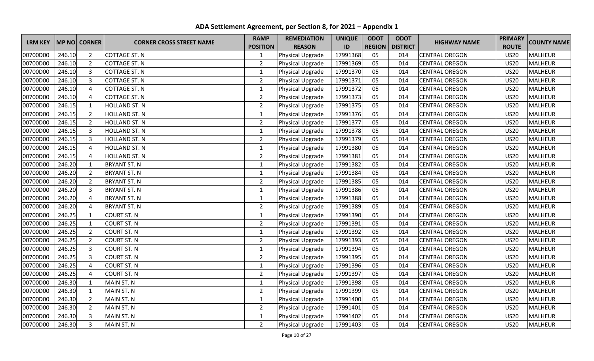|                |        |                |                                 | <b>RAMP</b>     | <b>REMEDIATION</b> | <b>UNIQUE</b> | <b>ODOT</b>   | <b>ODOT</b>     | <b>HIGHWAY NAME</b>   | <b>PRIMARY</b> | <b>COUNTY NAME</b> |
|----------------|--------|----------------|---------------------------------|-----------------|--------------------|---------------|---------------|-----------------|-----------------------|----------------|--------------------|
| <b>LRM KEY</b> |        | MP NO CORNER   | <b>CORNER CROSS STREET NAME</b> | <b>POSITION</b> | <b>REASON</b>      | ID            | <b>REGION</b> | <b>DISTRICT</b> |                       | <b>ROUTE</b>   |                    |
| 00700D00       | 246.10 | $\overline{2}$ | <b>COTTAGE ST. N</b>            | $\mathbf{1}$    | Physical Upgrade   | 17991368      | 05            | 014             | <b>CENTRAL OREGON</b> | <b>US20</b>    | <b>MALHEUR</b>     |
| 00700D00       | 246.10 | $\overline{2}$ | <b>COTTAGE ST. N</b>            | $\overline{2}$  | Physical Upgrade   | 17991369      | 05            | 014             | <b>CENTRAL OREGON</b> | <b>US20</b>    | <b>MALHEUR</b>     |
| 00700D00       | 246.10 | 3              | <b>COTTAGE ST. N</b>            | $\mathbf{1}$    | Physical Upgrade   | 17991370      | 05            | 014             | <b>CENTRAL OREGON</b> | <b>US20</b>    | <b>MALHEUR</b>     |
| 00700D00       | 246.10 | 3              | <b>COTTAGE ST. N</b>            | $\overline{2}$  | Physical Upgrade   | 17991371      | 05            | 014             | <b>CENTRAL OREGON</b> | <b>US20</b>    | <b>MALHEUR</b>     |
| 00700D00       | 246.10 | 4              | <b>COTTAGE ST. N</b>            | $\mathbf{1}$    | Physical Upgrade   | 17991372      | 05            | 014             | <b>CENTRAL OREGON</b> | <b>US20</b>    | <b>MALHEUR</b>     |
| 00700D00       | 246.10 | 4              | <b>COTTAGE ST. N</b>            | $\overline{2}$  | Physical Upgrade   | 17991373      | 05            | 014             | <b>CENTRAL OREGON</b> | <b>US20</b>    | <b>MALHEUR</b>     |
| 00700D00       | 246.15 | $\mathbf{1}$   | <b>HOLLAND ST. N</b>            | $\overline{2}$  | Physical Upgrade   | 17991375      | 05            | 014             | <b>CENTRAL OREGON</b> | <b>US20</b>    | <b>MALHEUR</b>     |
| 00700D00       | 246.15 | $\overline{2}$ | <b>HOLLAND ST. N</b>            | $\mathbf{1}$    | Physical Upgrade   | 17991376      | 05            | 014             | <b>CENTRAL OREGON</b> | <b>US20</b>    | <b>MALHEUR</b>     |
| 00700D00       | 246.15 | $\overline{2}$ | <b>HOLLAND ST. N</b>            | $\overline{2}$  | Physical Upgrade   | 17991377      | 05            | 014             | <b>CENTRAL OREGON</b> | <b>US20</b>    | <b>MALHEUR</b>     |
| 00700D00       | 246.15 | 3              | <b>HOLLAND ST. N</b>            | $\mathbf 1$     | Physical Upgrade   | 17991378      | 05            | 014             | <b>CENTRAL OREGON</b> | <b>US20</b>    | <b>MALHEUR</b>     |
| 00700D00       | 246.15 | $\overline{3}$ | <b>HOLLAND ST. N</b>            | $\overline{2}$  | Physical Upgrade   | 17991379      | 05            | 014             | <b>CENTRAL OREGON</b> | <b>US20</b>    | <b>MALHEUR</b>     |
| 00700D00       | 246.15 | $\overline{4}$ | <b>HOLLAND ST. N</b>            | $\mathbf{1}$    | Physical Upgrade   | 17991380      | 05            | 014             | <b>CENTRAL OREGON</b> | <b>US20</b>    | <b>MALHEUR</b>     |
| 00700D00       | 246.15 | 4              | <b>HOLLAND ST. N</b>            | $\overline{2}$  | Physical Upgrade   | 17991381      | 05            | 014             | <b>CENTRAL OREGON</b> | <b>US20</b>    | <b>MALHEUR</b>     |
| 00700D00       | 246.20 | $\mathbf{1}$   | <b>BRYANT ST. N</b>             | $\mathbf{1}$    | Physical Upgrade   | 17991382      | 05            | 014             | <b>CENTRAL OREGON</b> | <b>US20</b>    | <b>MALHEUR</b>     |
| 00700D00       | 246.20 | $\overline{2}$ | <b>BRYANT ST. N</b>             | $\mathbf{1}$    | Physical Upgrade   | 17991384      | 05            | 014             | <b>CENTRAL OREGON</b> | <b>US20</b>    | <b>MALHEUR</b>     |
| 00700D00       | 246.20 | $\overline{2}$ | <b>BRYANT ST. N</b>             | $\overline{2}$  | Physical Upgrade   | 17991385      | 05            | 014             | <b>CENTRAL OREGON</b> | <b>US20</b>    | <b>MALHEUR</b>     |
| 00700D00       | 246.20 | 3              | <b>BRYANT ST. N</b>             | $\mathbf{1}$    | Physical Upgrade   | 17991386      | 05            | 014             | <b>CENTRAL OREGON</b> | <b>US20</b>    | <b>MALHEUR</b>     |
| 00700D00       | 246.20 | $\overline{4}$ | <b>BRYANT ST. N</b>             | $\mathbf 1$     | Physical Upgrade   | 17991388      | 05            | 014             | <b>CENTRAL OREGON</b> | <b>US20</b>    | <b>MALHEUR</b>     |
| 00700D00       | 246.20 | $\overline{4}$ | <b>BRYANT ST. N</b>             | $\overline{2}$  | Physical Upgrade   | 17991389      | 05            | 014             | <b>CENTRAL OREGON</b> | <b>US20</b>    | <b>MALHEUR</b>     |
| 00700D00       | 246.25 | $\mathbf{1}$   | <b>COURT ST. N</b>              | $\mathbf{1}$    | Physical Upgrade   | 17991390      | 05            | 014             | <b>CENTRAL OREGON</b> | <b>US20</b>    | <b>MALHEUR</b>     |
| 00700D00       | 246.25 | $\mathbf{1}$   | <b>COURT ST. N</b>              | $\overline{2}$  | Physical Upgrade   | 17991391      | 05            | 014             | <b>CENTRAL OREGON</b> | <b>US20</b>    | <b>MALHEUR</b>     |
| 00700D00       | 246.25 | $\overline{2}$ | <b>COURT ST. N</b>              | $\mathbf{1}$    | Physical Upgrade   | 17991392      | 05            | 014             | <b>CENTRAL OREGON</b> | <b>US20</b>    | <b>MALHEUR</b>     |
| 00700D00       | 246.25 | $\overline{2}$ | <b>COURT ST. N</b>              | $\overline{2}$  | Physical Upgrade   | 17991393      | 05            | 014             | <b>CENTRAL OREGON</b> | <b>US20</b>    | <b>MALHEUR</b>     |
| 00700D00       | 246.25 | 3              | <b>COURT ST. N</b>              | $\mathbf{1}$    | Physical Upgrade   | 17991394      | 05            | 014             | <b>CENTRAL OREGON</b> | <b>US20</b>    | <b>MALHEUR</b>     |
| 00700D00       | 246.25 | $\overline{3}$ | <b>COURT ST. N</b>              | $\overline{2}$  | Physical Upgrade   | 17991395      | 05            | 014             | <b>CENTRAL OREGON</b> | <b>US20</b>    | <b>MALHEUR</b>     |
| 00700D00       | 246.25 | $\overline{4}$ | <b>COURT ST. N</b>              | $\mathbf{1}$    | Physical Upgrade   | 17991396      | 05            | 014             | <b>CENTRAL OREGON</b> | <b>US20</b>    | <b>MALHEUR</b>     |
| 00700D00       | 246.25 | $\overline{4}$ | <b>COURT ST. N</b>              | $\overline{2}$  | Physical Upgrade   | 17991397      | 05            | 014             | <b>CENTRAL OREGON</b> | <b>US20</b>    | <b>MALHEUR</b>     |
| 00700D00       | 246.30 | $\mathbf{1}$   | MAIN ST. N                      | $\mathbf{1}$    | Physical Upgrade   | 17991398      | 05            | 014             | <b>CENTRAL OREGON</b> | <b>US20</b>    | <b>MALHEUR</b>     |
| 00700D00       | 246.30 | $\mathbf{1}$   | MAIN ST. N                      | $\overline{2}$  | Physical Upgrade   | 17991399      | 05            | 014             | <b>CENTRAL OREGON</b> | <b>US20</b>    | <b>MALHEUR</b>     |
| 00700D00       | 246.30 | $\overline{2}$ | MAIN ST. N                      | $\mathbf{1}$    | Physical Upgrade   | 17991400      | 05            | 014             | <b>CENTRAL OREGON</b> | <b>US20</b>    | <b>MALHEUR</b>     |
| 00700D00       | 246.30 | $\overline{2}$ | MAIN ST. N                      | $\overline{2}$  | Physical Upgrade   | 17991401      | 05            | 014             | <b>CENTRAL OREGON</b> | <b>US20</b>    | <b>MALHEUR</b>     |
| 00700D00       | 246.30 | 3              | MAIN ST. N                      | $\mathbf{1}$    | Physical Upgrade   | 17991402      | 05            | 014             | <b>CENTRAL OREGON</b> | <b>US20</b>    | <b>MALHEUR</b>     |
| 00700D00       | 246.30 | $\overline{3}$ | MAIN ST. N                      | $\overline{2}$  | Physical Upgrade   | 17991403      | 05            | 014             | <b>CENTRAL OREGON</b> | <b>US20</b>    | <b>MALHEUR</b>     |

**ADA Settlement Agreement, per Section 8, for 2021 – Appendix 1**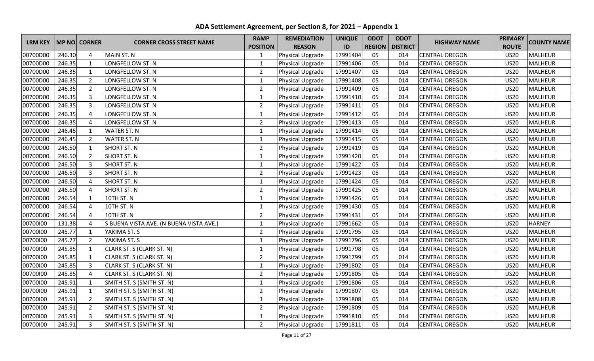|                |        |                     |                                         | <b>RAMP</b>     | <b>REMEDIATION</b> | <b>UNIQUE</b> | <b>ODOT</b>   | <b>ODOT</b>     |                       | <b>PRIMARY</b> |                    |
|----------------|--------|---------------------|-----------------------------------------|-----------------|--------------------|---------------|---------------|-----------------|-----------------------|----------------|--------------------|
| <b>LRM KEY</b> |        | <b>MP NO CORNER</b> | <b>CORNER CROSS STREET NAME</b>         | <b>POSITION</b> | <b>REASON</b>      | ID            | <b>REGION</b> | <b>DISTRICT</b> | <b>HIGHWAY NAME</b>   | <b>ROUTE</b>   | <b>COUNTY NAME</b> |
| 00700D00       | 246.30 | 4                   | <b>MAIN ST. N</b>                       | $\mathbf{1}$    | Physical Upgrade   | 17991404      | 05            | 014             | <b>CENTRAL OREGON</b> | <b>US20</b>    | <b>MALHEUR</b>     |
| 00700D00       | 246.35 | $\mathbf{1}$        | LONGFELLOW ST. N                        | $\mathbf{1}$    | Physical Upgrade   | 17991406      | 05            | 014             | <b>CENTRAL OREGON</b> | <b>US20</b>    | <b>MALHEUR</b>     |
| 00700D00       | 246.35 | $\mathbf{1}$        | LONGFELLOW ST. N                        | $\overline{2}$  | Physical Upgrade   | 17991407      | 05            | 014             | <b>CENTRAL OREGON</b> | <b>US20</b>    | <b>MALHEUR</b>     |
| 00700D00       | 246.35 | $\overline{2}$      | LONGFELLOW ST. N                        | $\mathbf{1}$    | Physical Upgrade   | 17991408      | 05            | 014             | <b>CENTRAL OREGON</b> | <b>US20</b>    | <b>MALHEUR</b>     |
| 00700D00       | 246.35 | $\overline{2}$      | LONGFELLOW ST. N                        | $\overline{2}$  | Physical Upgrade   | 17991409      | 05            | 014             | <b>CENTRAL OREGON</b> | <b>US20</b>    | <b>MALHEUR</b>     |
| 00700D00       | 246.35 | 3                   | LONGFELLOW ST. N                        | $\mathbf 1$     | Physical Upgrade   | 17991410      | 05            | 014             | <b>CENTRAL OREGON</b> | <b>US20</b>    | <b>MALHEUR</b>     |
| 00700D00       | 246.35 | 3                   | LONGFELLOW ST. N                        | $\overline{2}$  | Physical Upgrade   | 17991411      | 05            | 014             | <b>CENTRAL OREGON</b> | <b>US20</b>    | <b>MALHEUR</b>     |
| 00700D00       | 246.35 | $\overline{4}$      | LONGFELLOW ST. N                        | $\mathbf{1}$    | Physical Upgrade   | 17991412      | 05            | 014             | <b>CENTRAL OREGON</b> | <b>US20</b>    | <b>MALHEUR</b>     |
| 00700D00       | 246.35 | $\overline{4}$      | LONGFELLOW ST. N                        | $\overline{2}$  | Physical Upgrade   | 17991413      | 05            | 014             | <b>CENTRAL OREGON</b> | <b>US20</b>    | <b>MALHEUR</b>     |
| 00700D00       | 246.45 | $\mathbf{1}$        | <b>WATER ST. N</b>                      | $\mathbf{1}$    | Physical Upgrade   | 17991414      | 05            | 014             | <b>CENTRAL OREGON</b> | <b>US20</b>    | <b>MALHEUR</b>     |
| 00700D00       | 246.45 | $\overline{2}$      | <b>WATER ST. N</b>                      | $\mathbf{1}$    | Physical Upgrade   | 17991415      | 05            | 014             | <b>CENTRAL OREGON</b> | <b>US20</b>    | <b>MALHEUR</b>     |
| 00700D00       | 246.50 | $\mathbf{1}$        | <b>SHORT ST. N</b>                      | $\overline{2}$  | Physical Upgrade   | 17991419      | 05            | 014             | <b>CENTRAL OREGON</b> | <b>US20</b>    | <b>MALHEUR</b>     |
| 00700D00       | 246.50 | $\overline{2}$      | <b>SHORT ST. N</b>                      | $\mathbf{1}$    | Physical Upgrade   | 17991420      | 05            | 014             | <b>CENTRAL OREGON</b> | <b>US20</b>    | <b>MALHEUR</b>     |
| 00700D00       | 246.50 | 3                   | <b>SHORT ST. N</b>                      | $\mathbf{1}$    | Physical Upgrade   | 17991422      | 05            | 014             | <b>CENTRAL OREGON</b> | <b>US20</b>    | <b>MALHEUR</b>     |
| 00700D00       | 246.50 | 3                   | <b>SHORT ST. N</b>                      | $\overline{2}$  | Physical Upgrade   | 17991423      | 05            | 014             | <b>CENTRAL OREGON</b> | <b>US20</b>    | <b>MALHEUR</b>     |
| 00700D00       | 246.50 | 4                   | <b>SHORT ST. N</b>                      | $\mathbf{1}$    | Physical Upgrade   | 17991424      | 05            | 014             | <b>CENTRAL OREGON</b> | <b>US20</b>    | <b>MALHEUR</b>     |
| 00700D00       | 246.50 | 4                   | <b>SHORT ST. N</b>                      | $\overline{2}$  | Physical Upgrade   | 17991425      | 05            | 014             | <b>CENTRAL OREGON</b> | <b>US20</b>    | <b>MALHEUR</b>     |
| 00700D00       | 246.54 | $\mathbf{1}$        | 10TH ST. N                              | $\mathbf{1}$    | Physical Upgrade   | 17991426      | 05            | 014             | <b>CENTRAL OREGON</b> | <b>US20</b>    | <b>MALHEUR</b>     |
| 00700D00       | 246.54 | $\overline{4}$      | 10TH ST. N                              | $\mathbf{1}$    | Physical Upgrade   | 17991430      | 05            | 014             | <b>CENTRAL OREGON</b> | <b>US20</b>    | <b>MALHEUR</b>     |
| 00700D00       | 246.54 | $\overline{a}$      | 10TH ST. N                              | $\overline{2}$  | Physical Upgrade   | 17991431      | 05            | 014             | <b>CENTRAL OREGON</b> | <b>US20</b>    | <b>MALHEUR</b>     |
| 00700100       | 131.38 | 4                   | S BUENA VISTA AVE. (N BUENA VISTA AVE.) | $\mathbf 1$     | Physical Upgrade   | 17991662      | 05            | 014             | <b>CENTRAL OREGON</b> | <b>US20</b>    | <b>HARNEY</b>      |
| 00700100       | 245.77 | $\mathbf{1}$        | YAKIMA ST. S                            | $\overline{2}$  | Physical Upgrade   | 17991795      | 05            | 014             | <b>CENTRAL OREGON</b> | <b>US20</b>    | <b>MALHEUR</b>     |
| 00700100       | 245.77 | $\overline{2}$      | YAKIMA ST. S                            | $\mathbf{1}$    | Physical Upgrade   | 17991796      | 05            | 014             | <b>CENTRAL OREGON</b> | <b>US20</b>    | <b>MALHEUR</b>     |
| 00700100       | 245.85 | $\mathbf{1}$        | CLARK ST. S (CLARK ST. N)               | $\mathbf{1}$    | Physical Upgrade   | 17991798      | 05            | 014             | <b>CENTRAL OREGON</b> | <b>US20</b>    | <b>MALHEUR</b>     |
| 00700100       | 245.85 | $\mathbf{1}$        | CLARK ST. S (CLARK ST. N)               | $\overline{2}$  | Physical Upgrade   | 17991799      | 05            | 014             | <b>CENTRAL OREGON</b> | <b>US20</b>    | <b>MALHEUR</b>     |
| 00700100       | 245.85 | 3                   | CLARK ST. S (CLARK ST. N)               | $\mathbf{1}$    | Physical Upgrade   | 17991802      | 05            | 014             | <b>CENTRAL OREGON</b> | <b>US20</b>    | <b>MALHEUR</b>     |
| 00700100       | 245.85 | $\overline{4}$      | CLARK ST. S (CLARK ST. N)               | $\overline{2}$  | Physical Upgrade   | 17991805      | 05            | 014             | <b>CENTRAL OREGON</b> | <b>US20</b>    | <b>MALHEUR</b>     |
| 00700100       | 245.91 | $\mathbf{1}$        | SMITH ST. S (SMITH ST. N)               | $\mathbf{1}$    | Physical Upgrade   | 17991806      | 05            | 014             | <b>CENTRAL OREGON</b> | <b>US20</b>    | <b>MALHEUR</b>     |
| 00700100       | 245.91 | $\mathbf{1}$        | SMITH ST. S (SMITH ST. N)               | $\overline{2}$  | Physical Upgrade   | 17991807      | 05            | 014             | <b>CENTRAL OREGON</b> | <b>US20</b>    | <b>MALHEUR</b>     |
| 00700100       | 245.91 | $\overline{2}$      | SMITH ST. S (SMITH ST. N)               | $\mathbf{1}$    | Physical Upgrade   | 17991808      | 05            | 014             | <b>CENTRAL OREGON</b> | <b>US20</b>    | <b>MALHEUR</b>     |
| 00700100       | 245.91 | $\overline{2}$      | SMITH ST. S (SMITH ST. N)               | $\overline{2}$  | Physical Upgrade   | 17991809      | 05            | 014             | <b>CENTRAL OREGON</b> | <b>US20</b>    | <b>MALHEUR</b>     |
| 00700100       | 245.91 | $\overline{3}$      | SMITH ST. S (SMITH ST. N)               | $\mathbf 1$     | Physical Upgrade   | 17991810      | 05            | 014             | <b>CENTRAL OREGON</b> | <b>US20</b>    | <b>MALHEUR</b>     |
| 00700100       | 245.91 | $\overline{3}$      | SMITH ST. S (SMITH ST. N)               | $\overline{2}$  | Physical Upgrade   | 17991811      | 05            | 014             | <b>CENTRAL OREGON</b> | <b>US20</b>    | MALHEUR            |

**ADA Settlement Agreement, per Section 8, for 2021 – Appendix 1**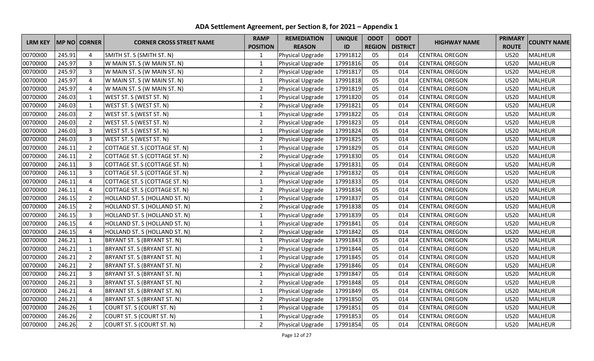| <b>LRM KEY</b><br><b>MP NO CORNER</b> |        | <b>CORNER CROSS STREET NAME</b> | <b>RAMP</b>                   | <b>REMEDIATION</b> | <b>UNIQUE</b>    | <b>ODOT</b> | <b>ODOT</b>   |                 | <b>PRIMARY</b>        |              |                    |
|---------------------------------------|--------|---------------------------------|-------------------------------|--------------------|------------------|-------------|---------------|-----------------|-----------------------|--------------|--------------------|
|                                       |        |                                 |                               | <b>POSITION</b>    | <b>REASON</b>    | ID          | <b>REGION</b> | <b>DISTRICT</b> | <b>HIGHWAY NAME</b>   | <b>ROUTE</b> | <b>COUNTY NAME</b> |
| 00700100                              | 245.91 | 4                               | SMITH ST. S (SMITH ST. N)     | 1                  | Physical Upgrade | 17991812    | 05            | 014             | <b>CENTRAL OREGON</b> | <b>US20</b>  | <b>MALHEUR</b>     |
| 00700100                              | 245.97 | $\mathbf{3}$                    | W MAIN ST. S (W MAIN ST. N)   | $\mathbf{1}$       | Physical Upgrade | 17991816    | 05            | 014             | <b>CENTRAL OREGON</b> | <b>US20</b>  | <b>MALHEUR</b>     |
| 00700100                              | 245.97 | 3                               | W MAIN ST. S (W MAIN ST. N)   | $\overline{2}$     | Physical Upgrade | 17991817    | 05            | 014             | <b>CENTRAL OREGON</b> | <b>US20</b>  | <b>MALHEUR</b>     |
| 00700100                              | 245.97 | $\overline{4}$                  | W MAIN ST. S (W MAIN ST. N)   | $\mathbf{1}$       | Physical Upgrade | 17991818    | 05            | 014             | <b>CENTRAL OREGON</b> | <b>US20</b>  | <b>MALHEUR</b>     |
| 00700100                              | 245.97 | 4                               | W MAIN ST. S (W MAIN ST. N)   | $\overline{2}$     | Physical Upgrade | 17991819    | 05            | 014             | <b>CENTRAL OREGON</b> | <b>US20</b>  | <b>MALHEUR</b>     |
| 00700100                              | 246.03 | $\mathbf{1}$                    | WEST ST. S (WEST ST. N)       | $\mathbf{1}$       | Physical Upgrade | 17991820    | 05            | 014             | <b>CENTRAL OREGON</b> | <b>US20</b>  | <b>MALHEUR</b>     |
| 00700100                              | 246.03 | $\mathbf{1}$                    | WEST ST. S (WEST ST. N)       | $\overline{2}$     | Physical Upgrade | 17991821    | 05            | 014             | <b>CENTRAL OREGON</b> | <b>US20</b>  | <b>MALHEUR</b>     |
| 00700100                              | 246.03 | $\overline{2}$                  | WEST ST. S (WEST ST. N)       | $\mathbf{1}$       | Physical Upgrade | 17991822    | 05            | 014             | <b>CENTRAL OREGON</b> | <b>US20</b>  | <b>MALHEUR</b>     |
| 00700100                              | 246.03 | $\overline{2}$                  | WEST ST. S (WEST ST. N)       | $\overline{2}$     | Physical Upgrade | 17991823    | 05            | 014             | <b>CENTRAL OREGON</b> | <b>US20</b>  | <b>MALHEUR</b>     |
| 00700100                              | 246.03 | 3                               | WEST ST. S (WEST ST. N)       | $\mathbf{1}$       | Physical Upgrade | 17991824    | 05            | 014             | <b>CENTRAL OREGON</b> | <b>US20</b>  | <b>MALHEUR</b>     |
| 00700100                              | 246.03 | 3                               | WEST ST. S (WEST ST. N)       | $\overline{2}$     | Physical Upgrade | 17991825    | 05            | 014             | <b>CENTRAL OREGON</b> | <b>US20</b>  | <b>MALHEUR</b>     |
| 00700100                              | 246.11 | $\overline{2}$                  | COTTAGE ST. S (COTTAGE ST. N) | $\mathbf{1}$       | Physical Upgrade | 17991829    | 05            | 014             | <b>CENTRAL OREGON</b> | <b>US20</b>  | <b>MALHEUR</b>     |
| 00700100                              | 246.11 | $\overline{2}$                  | COTTAGE ST. S (COTTAGE ST. N) | $\overline{2}$     | Physical Upgrade | 17991830    | 05            | 014             | <b>CENTRAL OREGON</b> | <b>US20</b>  | <b>MALHEUR</b>     |
| 00700100                              | 246.11 | 3                               | COTTAGE ST. S (COTTAGE ST. N) | $\mathbf{1}$       | Physical Upgrade | 17991831    | 05            | 014             | <b>CENTRAL OREGON</b> | <b>US20</b>  | <b>MALHEUR</b>     |
| 00700100                              | 246.11 | 3                               | COTTAGE ST. S (COTTAGE ST. N) | $\overline{2}$     | Physical Upgrade | 17991832    | 05            | 014             | <b>CENTRAL OREGON</b> | <b>US20</b>  | <b>MALHEUR</b>     |
| 00700100                              | 246.11 | 4                               | COTTAGE ST. S (COTTAGE ST. N) | $\mathbf{1}$       | Physical Upgrade | 17991833    | 05            | 014             | <b>CENTRAL OREGON</b> | <b>US20</b>  | <b>MALHEUR</b>     |
| 00700100                              | 246.11 | 4                               | COTTAGE ST. S (COTTAGE ST. N) | $\overline{2}$     | Physical Upgrade | 17991834    | 05            | 014             | <b>CENTRAL OREGON</b> | <b>US20</b>  | <b>MALHEUR</b>     |
| 00700100                              | 246.15 | $\overline{2}$                  | HOLLAND ST. S (HOLLAND ST. N) | $\mathbf{1}$       | Physical Upgrade | 17991837    | 05            | 014             | <b>CENTRAL OREGON</b> | <b>US20</b>  | <b>MALHEUR</b>     |
| 00700100                              | 246.15 | $\overline{2}$                  | HOLLAND ST. S (HOLLAND ST. N) | $\overline{2}$     | Physical Upgrade | 17991838    | 05            | 014             | <b>CENTRAL OREGON</b> | <b>US20</b>  | <b>MALHEUR</b>     |
| 00700100                              | 246.15 | 3                               | HOLLAND ST. S (HOLLAND ST. N) | $\mathbf 1$        | Physical Upgrade | 17991839    | 05            | 014             | <b>CENTRAL OREGON</b> | <b>US20</b>  | <b>MALHEUR</b>     |
| 00700100                              | 246.15 | 4                               | HOLLAND ST. S (HOLLAND ST. N) | $\mathbf{1}$       | Physical Upgrade | 17991841    | 05            | 014             | <b>CENTRAL OREGON</b> | <b>US20</b>  | <b>MALHEUR</b>     |
| 00700100                              | 246.15 | 4                               | HOLLAND ST. S (HOLLAND ST. N) | $\overline{2}$     | Physical Upgrade | 17991842    | 05            | 014             | <b>CENTRAL OREGON</b> | <b>US20</b>  | <b>MALHEUR</b>     |
| 00700100                              | 246.21 | $\mathbf{1}$                    | BRYANT ST. S (BRYANT ST. N)   | $\mathbf{1}$       | Physical Upgrade | 17991843    | 05            | 014             | <b>CENTRAL OREGON</b> | <b>US20</b>  | <b>MALHEUR</b>     |
| 00700100                              | 246.21 | $\mathbf{1}$                    | BRYANT ST. S (BRYANT ST. N)   | $\overline{2}$     | Physical Upgrade | 17991844    | 05            | 014             | <b>CENTRAL OREGON</b> | <b>US20</b>  | <b>MALHEUR</b>     |
| 00700100                              | 246.21 | $\overline{2}$                  | BRYANT ST. S (BRYANT ST. N)   | $\mathbf{1}$       | Physical Upgrade | 17991845    | 05            | 014             | <b>CENTRAL OREGON</b> | <b>US20</b>  | <b>MALHEUR</b>     |
| 00700100                              | 246.21 | $\overline{2}$                  | BRYANT ST. S (BRYANT ST. N)   | $\overline{2}$     | Physical Upgrade | 17991846    | 05            | 014             | <b>CENTRAL OREGON</b> | <b>US20</b>  | <b>MALHEUR</b>     |
| 00700100                              | 246.21 | 3                               | BRYANT ST. S (BRYANT ST. N)   | $\mathbf{1}$       | Physical Upgrade | 17991847    | 05            | 014             | <b>CENTRAL OREGON</b> | <b>US20</b>  | <b>MALHEUR</b>     |
| 00700100                              | 246.21 | $\overline{3}$                  | BRYANT ST. S (BRYANT ST. N)   | $\overline{2}$     | Physical Upgrade | 17991848    | 05            | 014             | <b>CENTRAL OREGON</b> | <b>US20</b>  | <b>MALHEUR</b>     |
| 00700100                              | 246.21 | 4                               | BRYANT ST. S (BRYANT ST. N)   | $\mathbf{1}$       | Physical Upgrade | 17991849    | 05            | 014             | <b>CENTRAL OREGON</b> | <b>US20</b>  | <b>MALHEUR</b>     |
| 00700100                              | 246.21 | 4                               | BRYANT ST. S (BRYANT ST. N)   | $\overline{2}$     | Physical Upgrade | 17991850    | 05            | 014             | <b>CENTRAL OREGON</b> | <b>US20</b>  | <b>MALHEUR</b>     |
| 00700100                              | 246.26 | 1                               | COURT ST. S (COURT ST. N)     | $\mathbf{1}$       | Physical Upgrade | 17991851    | 05            | 014             | <b>CENTRAL OREGON</b> | <b>US20</b>  | <b>MALHEUR</b>     |
| 00700100                              | 246.26 | $\overline{2}$                  | COURT ST. S (COURT ST. N)     | $\mathbf{1}$       | Physical Upgrade | 17991853    | 05            | 014             | <b>CENTRAL OREGON</b> | <b>US20</b>  | <b>MALHEUR</b>     |
| 00700100                              | 246.26 | $\overline{2}$                  | COURT ST. S (COURT ST. N)     | $\overline{2}$     | Physical Upgrade | 17991854    | 05            | 014             | <b>CENTRAL OREGON</b> | <b>US20</b>  | <b>MALHEUR</b>     |

**ADA Settlement Agreement, per Section 8, for 2021 – Appendix 1**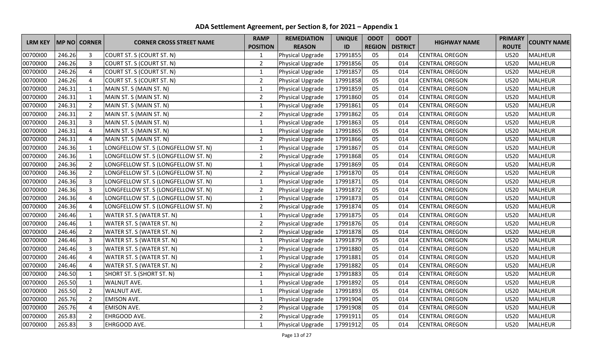|                |        |                |                                     | <b>RAMP</b>     | <b>REMEDIATION</b> | <b>UNIQUE</b> | <b>ODOT</b>   | <b>ODOT</b>     |                       | <b>PRIMARY</b> |                    |
|----------------|--------|----------------|-------------------------------------|-----------------|--------------------|---------------|---------------|-----------------|-----------------------|----------------|--------------------|
| <b>LRM KEY</b> |        | MP NO CORNER   | <b>CORNER CROSS STREET NAME</b>     | <b>POSITION</b> | <b>REASON</b>      | ID            | <b>REGION</b> | <b>DISTRICT</b> | <b>HIGHWAY NAME</b>   | <b>ROUTE</b>   | <b>COUNTY NAME</b> |
| 00700100       | 246.26 | 3              | COURT ST. S (COURT ST. N)           | $\mathbf{1}$    | Physical Upgrade   | 17991855      | 05            | 014             | <b>CENTRAL OREGON</b> | <b>US20</b>    | <b>MALHEUR</b>     |
| 00700100       | 246.26 | $\overline{3}$ | COURT ST. S (COURT ST. N)           | $\overline{2}$  | Physical Upgrade   | 17991856      | 05            | 014             | <b>CENTRAL OREGON</b> | <b>US20</b>    | <b>MALHEUR</b>     |
| 00700100       | 246.26 | $\overline{4}$ | COURT ST. S (COURT ST. N)           | $\mathbf 1$     | Physical Upgrade   | 17991857      | 05            | 014             | <b>CENTRAL OREGON</b> | <b>US20</b>    | <b>MALHEUR</b>     |
| 00700100       | 246.26 | $\overline{4}$ | COURT ST. S (COURT ST. N)           | $\overline{2}$  | Physical Upgrade   | 17991858      | 05            | 014             | <b>CENTRAL OREGON</b> | <b>US20</b>    | <b>MALHEUR</b>     |
| 00700100       | 246.31 | $\mathbf{1}$   | MAIN ST. S (MAIN ST. N)             | $\mathbf{1}$    | Physical Upgrade   | 17991859      | 05            | 014             | <b>CENTRAL OREGON</b> | <b>US20</b>    | MALHEUR            |
| 00700100       | 246.31 | $\mathbf{1}$   | MAIN ST. S (MAIN ST. N)             | $\overline{2}$  | Physical Upgrade   | 17991860      | 05            | 014             | <b>CENTRAL OREGON</b> | <b>US20</b>    | <b>MALHEUR</b>     |
| 00700100       | 246.31 | $\overline{2}$ | MAIN ST. S (MAIN ST. N)             | $\mathbf{1}$    | Physical Upgrade   | 17991861      | 05            | 014             | <b>CENTRAL OREGON</b> | <b>US20</b>    | <b>MALHEUR</b>     |
| 00700100       | 246.31 | $\overline{2}$ | MAIN ST. S (MAIN ST. N)             | $\overline{2}$  | Physical Upgrade   | 17991862      | 05            | 014             | <b>CENTRAL OREGON</b> | <b>US20</b>    | <b>MALHEUR</b>     |
| 00700100       | 246.31 | $\overline{3}$ | MAIN ST. S (MAIN ST. N)             | $\mathbf{1}$    | Physical Upgrade   | 17991863      | 05            | 014             | <b>CENTRAL OREGON</b> | <b>US20</b>    | <b>MALHEUR</b>     |
| 00700100       | 246.31 | 4              | MAIN ST. S (MAIN ST. N)             | $\mathbf{1}$    | Physical Upgrade   | 17991865      | 05            | 014             | <b>CENTRAL OREGON</b> | <b>US20</b>    | <b>MALHEUR</b>     |
| 00700100       | 246.31 | 4              | MAIN ST. S (MAIN ST. N)             | $\overline{2}$  | Physical Upgrade   | 17991866      | 05            | 014             | <b>CENTRAL OREGON</b> | <b>US20</b>    | <b>MALHEUR</b>     |
| 00700100       | 246.36 | $\mathbf{1}$   | LONGFELLOW ST. S (LONGFELLOW ST. N) | $\mathbf{1}$    | Physical Upgrade   | 17991867      | 05            | 014             | <b>CENTRAL OREGON</b> | <b>US20</b>    | <b>MALHEUR</b>     |
| 00700100       | 246.36 | $\mathbf{1}$   | LONGFELLOW ST. S (LONGFELLOW ST. N) | $\overline{2}$  | Physical Upgrade   | 17991868      | 05            | 014             | <b>CENTRAL OREGON</b> | <b>US20</b>    | <b>MALHEUR</b>     |
| 00700100       | 246.36 | $\overline{2}$ | LONGFELLOW ST. S (LONGFELLOW ST. N) | $\mathbf 1$     | Physical Upgrade   | 17991869      | 05            | 014             | <b>CENTRAL OREGON</b> | <b>US20</b>    | <b>MALHEUR</b>     |
| 00700100       | 246.36 | $\overline{2}$ | LONGFELLOW ST. S (LONGFELLOW ST. N) | $\overline{2}$  | Physical Upgrade   | 17991870      | 05            | 014             | <b>CENTRAL OREGON</b> | <b>US20</b>    | <b>MALHEUR</b>     |
| 00700100       | 246.36 | $\overline{3}$ | LONGFELLOW ST. S (LONGFELLOW ST. N) | $\mathbf{1}$    | Physical Upgrade   | 17991871      | 05            | 014             | <b>CENTRAL OREGON</b> | <b>US20</b>    | <b>MALHEUR</b>     |
| 00700100       | 246.36 | $\overline{3}$ | LONGFELLOW ST. S (LONGFELLOW ST. N) | $\overline{2}$  | Physical Upgrade   | 17991872      | 05            | 014             | <b>CENTRAL OREGON</b> | <b>US20</b>    | <b>MALHEUR</b>     |
| 00700100       | 246.36 | $\overline{4}$ | LONGFELLOW ST. S (LONGFELLOW ST. N) | $\mathbf{1}$    | Physical Upgrade   | 17991873      | 05            | 014             | <b>CENTRAL OREGON</b> | <b>US20</b>    | <b>MALHEUR</b>     |
| 00700100       | 246.36 | 4              | LONGFELLOW ST. S (LONGFELLOW ST. N) | $\overline{2}$  | Physical Upgrade   | 17991874      | 05            | 014             | <b>CENTRAL OREGON</b> | <b>US20</b>    | <b>MALHEUR</b>     |
| 00700100       | 246.46 | $\mathbf{1}$   | WATER ST. S (WATER ST. N)           | $\mathbf{1}$    | Physical Upgrade   | 17991875      | 05            | 014             | <b>CENTRAL OREGON</b> | <b>US20</b>    | <b>MALHEUR</b>     |
| 00700100       | 246.46 | $\mathbf{1}$   | WATER ST. S (WATER ST. N)           | $\overline{2}$  | Physical Upgrade   | 17991876      | 05            | 014             | <b>CENTRAL OREGON</b> | <b>US20</b>    | <b>MALHEUR</b>     |
| 00700100       | 246.46 | $\overline{2}$ | WATER ST. S (WATER ST. N)           | $\overline{2}$  | Physical Upgrade   | 17991878      | 05            | 014             | <b>CENTRAL OREGON</b> | <b>US20</b>    | <b>MALHEUR</b>     |
| 00700100       | 246.46 | $\overline{3}$ | WATER ST. S (WATER ST. N)           | $\mathbf 1$     | Physical Upgrade   | 17991879      | 05            | 014             | <b>CENTRAL OREGON</b> | <b>US20</b>    | <b>MALHEUR</b>     |
| 00700100       | 246.46 | $\overline{3}$ | WATER ST. S (WATER ST. N)           | $\overline{2}$  | Physical Upgrade   | 17991880      | 05            | 014             | <b>CENTRAL OREGON</b> | <b>US20</b>    | <b>MALHEUR</b>     |
| 00700100       | 246.46 | $\overline{4}$ | WATER ST. S (WATER ST. N)           | $\mathbf 1$     | Physical Upgrade   | 17991881      | 05            | 014             | <b>CENTRAL OREGON</b> | <b>US20</b>    | <b>MALHEUR</b>     |
| 00700100       | 246.46 | $\overline{4}$ | WATER ST. S (WATER ST. N)           | $\overline{2}$  | Physical Upgrade   | 17991882      | 05            | 014             | <b>CENTRAL OREGON</b> | <b>US20</b>    | <b>MALHEUR</b>     |
| 00700100       | 246.50 | $\mathbf{1}$   | SHORT ST. S (SHORT ST. N)           | $\mathbf{1}$    | Physical Upgrade   | 17991883      | 05            | 014             | <b>CENTRAL OREGON</b> | <b>US20</b>    | <b>MALHEUR</b>     |
| 00700100       | 265.50 | $\mathbf{1}$   | WALNUT AVE.                         | $\mathbf{1}$    | Physical Upgrade   | 17991892      | 05            | 014             | <b>CENTRAL OREGON</b> | <b>US20</b>    | <b>MALHEUR</b>     |
| 00700100       | 265.50 | $\overline{2}$ | WALNUT AVE.                         | $\mathbf{1}$    | Physical Upgrade   | 17991893      | 05            | 014             | <b>CENTRAL OREGON</b> | <b>US20</b>    | <b>MALHEUR</b>     |
| 00700100       | 265.76 | $\overline{2}$ | <b>EMISON AVE.</b>                  | $\mathbf{1}$    | Physical Upgrade   | 17991904      | 05            | 014             | <b>CENTRAL OREGON</b> | <b>US20</b>    | <b>MALHEUR</b>     |
| 00700100       | 265.76 | 4              | <b>EMISON AVE.</b>                  | $\overline{2}$  | Physical Upgrade   | 17991908      | 05            | 014             | <b>CENTRAL OREGON</b> | <b>US20</b>    | <b>MALHEUR</b>     |
| 00700100       | 265.83 | $\overline{2}$ | EHRGOOD AVE.                        | $\overline{2}$  | Physical Upgrade   | 17991911      | 05            | 014             | <b>CENTRAL OREGON</b> | <b>US20</b>    | <b>MALHEUR</b>     |
| 00700100       | 265.83 | $\overline{3}$ | EHRGOOD AVE.                        | $\mathbf{1}$    | Physical Upgrade   | 17991912      | 05            | 014             | <b>CENTRAL OREGON</b> | <b>US20</b>    | MALHEUR            |

**ADA Settlement Agreement, per Section 8, for 2021 – Appendix 1**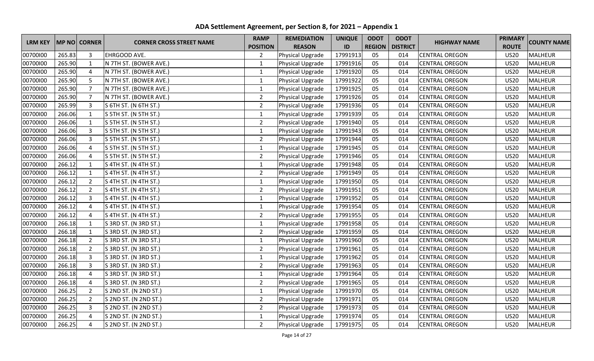|                |        |                |                                 | <b>RAMP</b>     | <b>REMEDIATION</b> | <b>UNIQUE</b> | <b>ODOT</b>   | <b>ODOT</b>     |                       | <b>PRIMARY</b> |                    |
|----------------|--------|----------------|---------------------------------|-----------------|--------------------|---------------|---------------|-----------------|-----------------------|----------------|--------------------|
| <b>LRM KEY</b> |        | MP NO CORNER   | <b>CORNER CROSS STREET NAME</b> | <b>POSITION</b> | <b>REASON</b>      | ID            | <b>REGION</b> | <b>DISTRICT</b> | <b>HIGHWAY NAME</b>   | <b>ROUTE</b>   | <b>COUNTY NAME</b> |
| 00700100       | 265.83 | 3              | EHRGOOD AVE.                    | $\overline{2}$  | Physical Upgrade   | 17991913      | 05            | 014             | <b>CENTRAL OREGON</b> | <b>US20</b>    | <b>MALHEUR</b>     |
| 00700100       | 265.90 | $\mathbf{1}$   | N 7TH ST. (BOWER AVE.)          | $\mathbf{1}$    | Physical Upgrade   | 17991916      | 05            | 014             | <b>CENTRAL OREGON</b> | <b>US20</b>    | <b>MALHEUR</b>     |
| 00700100       | 265.90 | 4              | N 7TH ST. (BOWER AVE.)          | $\mathbf{1}$    | Physical Upgrade   | 17991920      | 05            | 014             | <b>CENTRAL OREGON</b> | <b>US20</b>    | <b>MALHEUR</b>     |
| 00700100       | 265.90 | 5              | N 7TH ST. (BOWER AVE.)          | $\mathbf{1}$    | Physical Upgrade   | 17991922      | 05            | 014             | <b>CENTRAL OREGON</b> | <b>US20</b>    | <b>MALHEUR</b>     |
| 00700100       | 265.90 | $\overline{7}$ | N 7TH ST. (BOWER AVE.)          | $\mathbf{1}$    | Physical Upgrade   | 17991925      | 05            | 014             | <b>CENTRAL OREGON</b> | <b>US20</b>    | <b>MALHEUR</b>     |
| 00700100       | 265.90 | $\overline{7}$ | N 7TH ST. (BOWER AVE.)          | $\overline{2}$  | Physical Upgrade   | 17991926      | 05            | 014             | <b>CENTRAL OREGON</b> | <b>US20</b>    | <b>MALHEUR</b>     |
| 00700100       | 265.99 | $\overline{3}$ | S 6TH ST. (N 6TH ST.)           | $\overline{2}$  | Physical Upgrade   | 17991936      | 05            | 014             | <b>CENTRAL OREGON</b> | <b>US20</b>    | <b>MALHEUR</b>     |
| 00700100       | 266.06 | $\mathbf{1}$   | S 5TH ST. (N 5TH ST.)           | $\mathbf{1}$    | Physical Upgrade   | 17991939      | 05            | 014             | <b>CENTRAL OREGON</b> | <b>US20</b>    | <b>MALHEUR</b>     |
| 00700100       | 266.06 | $\mathbf{1}$   | S 5TH ST. (N 5TH ST.)           | $\overline{2}$  | Physical Upgrade   | 17991940      | 05            | 014             | <b>CENTRAL OREGON</b> | <b>US20</b>    | <b>MALHEUR</b>     |
| 00700100       | 266.06 | 3              | S 5TH ST. (N 5TH ST.)           | $\mathbf{1}$    | Physical Upgrade   | 17991943      | 05            | 014             | <b>CENTRAL OREGON</b> | <b>US20</b>    | <b>MALHEUR</b>     |
| 00700100       | 266.06 | 3              | S 5TH ST. (N 5TH ST.)           | $\overline{2}$  | Physical Upgrade   | 17991944      | 05            | 014             | <b>CENTRAL OREGON</b> | <b>US20</b>    | <b>MALHEUR</b>     |
| 00700100       | 266.06 | 4              | S 5TH ST. (N 5TH ST.)           | $\mathbf{1}$    | Physical Upgrade   | 17991945      | 05            | 014             | <b>CENTRAL OREGON</b> | <b>US20</b>    | <b>MALHEUR</b>     |
| 00700100       | 266.06 | $\overline{4}$ | S 5TH ST. (N 5TH ST.)           | $\overline{2}$  | Physical Upgrade   | 17991946      | 05            | 014             | <b>CENTRAL OREGON</b> | <b>US20</b>    | <b>MALHEUR</b>     |
| 00700100       | 266.12 | $\mathbf 1$    | S 4TH ST. (N 4TH ST.)           | $\mathbf 1$     | Physical Upgrade   | 17991948      | 05            | 014             | <b>CENTRAL OREGON</b> | <b>US20</b>    | <b>MALHEUR</b>     |
| 00700100       | 266.12 | $\mathbf{1}$   | S 4TH ST. (N 4TH ST.)           | $\overline{2}$  | Physical Upgrade   | 17991949      | 05            | 014             | <b>CENTRAL OREGON</b> | <b>US20</b>    | <b>MALHEUR</b>     |
| 00700100       | 266.12 | $\overline{2}$ | S 4TH ST. (N 4TH ST.)           | $\mathbf{1}$    | Physical Upgrade   | 17991950      | 05            | 014             | <b>CENTRAL OREGON</b> | <b>US20</b>    | <b>MALHEUR</b>     |
| 00700100       | 266.12 | $\overline{2}$ | S 4TH ST. (N 4TH ST.)           | $\overline{2}$  | Physical Upgrade   | 17991951      | 05            | 014             | <b>CENTRAL OREGON</b> | <b>US20</b>    | <b>MALHEUR</b>     |
| 00700100       | 266.12 | 3              | S 4TH ST. (N 4TH ST.)           | $\mathbf{1}$    | Physical Upgrade   | 17991952      | 05            | 014             | <b>CENTRAL OREGON</b> | <b>US20</b>    | <b>MALHEUR</b>     |
| 00700100       | 266.12 | 4              | S 4TH ST. (N 4TH ST.)           | $\mathbf{1}$    | Physical Upgrade   | 17991954      | 05            | 014             | <b>CENTRAL OREGON</b> | <b>US20</b>    | <b>MALHEUR</b>     |
| 00700100       | 266.12 | $\overline{a}$ | S 4TH ST. (N 4TH ST.)           | $\overline{2}$  | Physical Upgrade   | 17991955      | 05            | 014             | <b>CENTRAL OREGON</b> | <b>US20</b>    | <b>MALHEUR</b>     |
| 00700100       | 266.18 | $\mathbf{1}$   | S 3RD ST. (N 3RD ST.)           | $\mathbf{1}$    | Physical Upgrade   | 17991958      | 05            | 014             | <b>CENTRAL OREGON</b> | <b>US20</b>    | <b>MALHEUR</b>     |
| 00700100       | 266.18 | $\mathbf{1}$   | S 3RD ST. (N 3RD ST.)           | $\overline{2}$  | Physical Upgrade   | 17991959      | 05            | 014             | <b>CENTRAL OREGON</b> | <b>US20</b>    | <b>MALHEUR</b>     |
| 00700100       | 266.18 | $\overline{2}$ | S 3RD ST. (N 3RD ST.)           | $\mathbf 1$     | Physical Upgrade   | 17991960      | 05            | 014             | <b>CENTRAL OREGON</b> | <b>US20</b>    | <b>MALHEUR</b>     |
| 00700100       | 266.18 | $\overline{2}$ | S 3RD ST. (N 3RD ST.)           | $\overline{2}$  | Physical Upgrade   | 17991961      | 05            | 014             | <b>CENTRAL OREGON</b> | <b>US20</b>    | <b>MALHEUR</b>     |
| 00700100       | 266.18 | $\overline{3}$ | S 3RD ST. (N 3RD ST.)           | $\mathbf 1$     | Physical Upgrade   | 17991962      | 05            | 014             | <b>CENTRAL OREGON</b> | <b>US20</b>    | <b>MALHEUR</b>     |
| 00700100       | 266.18 | 3              | S 3RD ST. (N 3RD ST.)           | $\overline{2}$  | Physical Upgrade   | 17991963      | 05            | 014             | <b>CENTRAL OREGON</b> | <b>US20</b>    | <b>MALHEUR</b>     |
| 00700100       | 266.18 | $\overline{4}$ | S 3RD ST. (N 3RD ST.)           | $\mathbf{1}$    | Physical Upgrade   | 17991964      | 05            | 014             | <b>CENTRAL OREGON</b> | <b>US20</b>    | <b>MALHEUR</b>     |
| 00700100       | 266.18 | 4              | S 3RD ST. (N 3RD ST.)           | $\overline{2}$  | Physical Upgrade   | 17991965      | 05            | 014             | <b>CENTRAL OREGON</b> | <b>US20</b>    | <b>MALHEUR</b>     |
| 00700100       | 266.25 | $\overline{2}$ | S 2ND ST. (N 2ND ST.)           | $\mathbf{1}$    | Physical Upgrade   | 17991970      | 05            | 014             | <b>CENTRAL OREGON</b> | <b>US20</b>    | <b>MALHEUR</b>     |
| 00700100       | 266.25 | $\overline{2}$ | S 2ND ST. (N 2ND ST.)           | $\overline{2}$  | Physical Upgrade   | 17991971      | 05            | 014             | <b>CENTRAL OREGON</b> | <b>US20</b>    | <b>MALHEUR</b>     |
| 00700100       | 266.25 | 3              | S 2ND ST. (N 2ND ST.)           | $\overline{2}$  | Physical Upgrade   | 17991973      | 05            | 014             | <b>CENTRAL OREGON</b> | <b>US20</b>    | <b>MALHEUR</b>     |
| 00700100       | 266.25 | 4              | S 2ND ST. (N 2ND ST.)           | $\mathbf{1}$    | Physical Upgrade   | 17991974      | 05            | 014             | <b>CENTRAL OREGON</b> | <b>US20</b>    | <b>MALHEUR</b>     |
| 00700100       | 266.25 | $\overline{4}$ | S 2ND ST. (N 2ND ST.)           | $\overline{2}$  | Physical Upgrade   | 17991975      | 05            | 014             | <b>CENTRAL OREGON</b> | <b>US20</b>    | MALHEUR            |

**ADA Settlement Agreement, per Section 8, for 2021 – Appendix 1**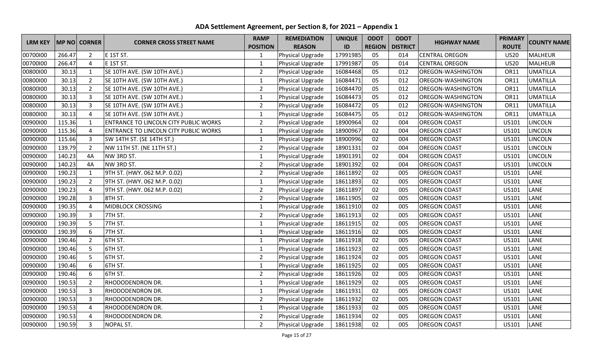| <b>LRM KEY</b> |        | <b>MP NO CORNER</b> | <b>CORNER CROSS STREET NAME</b>              | <b>RAMP</b>     | <b>REMEDIATION</b> | <b>UNIQUE</b> | <b>ODOT</b>   | <b>ODOT</b>     | <b>HIGHWAY NAME</b>      | <b>PRIMARY</b> | <b>COUNTY NAME</b> |
|----------------|--------|---------------------|----------------------------------------------|-----------------|--------------------|---------------|---------------|-----------------|--------------------------|----------------|--------------------|
|                |        |                     |                                              | <b>POSITION</b> | <b>REASON</b>      | ID            | <b>REGION</b> | <b>DISTRICT</b> |                          | <b>ROUTE</b>   |                    |
| 00700100       | 266.47 | $\overline{2}$      | E 1ST ST.                                    | 1               | Physical Upgrade   | 17991985      | 05            | 014             | <b>CENTRAL OREGON</b>    | <b>US20</b>    | <b>MALHEUR</b>     |
| 00700100       | 266.47 | $\overline{4}$      | E 1ST ST.                                    | $\mathbf{1}$    | Physical Upgrade   | 17991987      | 05            | 014             | <b>CENTRAL OREGON</b>    | <b>US20</b>    | <b>MALHEUR</b>     |
| 00800100       | 30.13  | $\mathbf{1}$        | SE 10TH AVE. (SW 10TH AVE.)                  | $\overline{2}$  | Physical Upgrade   | 16084468      | 05            | 012             | <b>OREGON-WASHINGTON</b> | OR11           | <b>UMATILLA</b>    |
| 00800100       | 30.13  | $\overline{2}$      | SE 10TH AVE. (SW 10TH AVE.)                  | $\mathbf{1}$    | Physical Upgrade   | 16084471      | 05            | 012             | <b>OREGON-WASHINGTON</b> | OR11           | <b>UMATILLA</b>    |
| 00800100       | 30.13  | $\overline{2}$      | SE 10TH AVE. (SW 10TH AVE.)                  | $\overline{2}$  | Physical Upgrade   | 16084470      | 05            | 012             | <b>OREGON-WASHINGTON</b> | OR11           | <b>UMATILLA</b>    |
| 00800100       | 30.13  | 3                   | SE 10TH AVE. (SW 10TH AVE.)                  | $\mathbf{1}$    | Physical Upgrade   | 16084473      | 05            | 012             | <b>OREGON-WASHINGTON</b> | <b>OR11</b>    | <b>UMATILLA</b>    |
| 00800100       | 30.13  | $\overline{3}$      | SE 10TH AVE. (SW 10TH AVE.)                  | $\overline{2}$  | Physical Upgrade   | 16084472      | 05            | 012             | OREGON-WASHINGTON        | <b>OR11</b>    | <b>UMATILLA</b>    |
| 00800100       | 30.13  | $\overline{4}$      | SE 10TH AVE. (SW 10TH AVE.)                  | $\mathbf{1}$    | Physical Upgrade   | 16084475      | 05            | 012             | OREGON-WASHINGTON        | <b>OR11</b>    | <b>UMATILLA</b>    |
| 00900100       | 115.36 | $\mathbf{1}$        | <b>ENTRANCE TO LINCOLN CITY PUBLIC WORKS</b> | $\overline{2}$  | Physical Upgrade   | 18900964      | 02            | 004             | <b>OREGON COAST</b>      | US101          | <b>LINCOLN</b>     |
| 00900100       | 115.36 | 4                   | <b>ENTRANCE TO LINCOLN CITY PUBLIC WORKS</b> | $\mathbf 1$     | Physical Upgrade   | 18900967      | 02            | 004             | <b>OREGON COAST</b>      | US101          | LINCOLN            |
| 00900100       | 115.66 | $\overline{3}$      | SW 14TH ST. (SE 14TH ST.)                    | $\mathbf{1}$    | Physical Upgrade   | 18900996      | 02            | 004             | <b>OREGON COAST</b>      | US101          | <b>LINCOLN</b>     |
| 00900100       | 139.79 | $\overline{2}$      | NW 11TH ST. (NE 11TH ST.)                    | $\overline{2}$  | Physical Upgrade   | 18901331      | 02            | 004             | <b>OREGON COAST</b>      | US101          | LINCOLN            |
| 00900100       | 140.23 | 4A                  | NW 3RD ST.                                   | $\mathbf{1}$    | Physical Upgrade   | 18901391      | 02            | 004             | <b>OREGON COAST</b>      | US101          | <b>LINCOLN</b>     |
| 00900100       | 140.23 | 4A                  | NW 3RD ST.                                   | $\overline{2}$  | Physical Upgrade   | 18901392      | 02            | 004             | <b>OREGON COAST</b>      | US101          | <b>LINCOLN</b>     |
| 00900100       | 190.23 | 1                   | 9TH ST. (HWY. 062 M.P. 0.02)                 | $\overline{2}$  | Physical Upgrade   | 18611892      | 02            | 005             | <b>OREGON COAST</b>      | US101          | LANE               |
| 00900100       | 190.23 | $\overline{2}$      | 9TH ST. (HWY. 062 M.P. 0.02)                 | $\mathbf{1}$    | Physical Upgrade   | 18611893      | 02            | 005             | <b>OREGON COAST</b>      | US101          | LANE               |
| 00900100       | 190.23 | $\overline{4}$      | 9TH ST. (HWY. 062 M.P. 0.02)                 | $\overline{2}$  | Physical Upgrade   | 18611897      | 02            | 005             | <b>OREGON COAST</b>      | US101          | LANE               |
| 00900100       | 190.28 | $\overline{3}$      | 8TH ST.                                      | $\overline{2}$  | Physical Upgrade   | 18611905      | 02            | 005             | <b>OREGON COAST</b>      | US101          | LANE               |
| 00900100       | 190.35 | 4                   | <b>MIDBLOCK CROSSING</b>                     | $\mathbf{1}$    | Physical Upgrade   | 18611910      | 02            | 005             | <b>OREGON COAST</b>      | US101          | LANE               |
| 00900100       | 190.39 | 3                   | 7TH ST.                                      | $\overline{2}$  | Physical Upgrade   | 18611913      | 02            | 005             | <b>OREGON COAST</b>      | US101          | LANE               |
| 00900100       | 190.39 | 5                   | 7TH ST.                                      | $\mathbf{1}$    | Physical Upgrade   | 18611915      | 02            | 005             | <b>OREGON COAST</b>      | US101          | LANE               |
| 00900100       | 190.39 | 6                   | 7TH ST.                                      | $\mathbf{1}$    | Physical Upgrade   | 18611916      | 02            | 005             | <b>OREGON COAST</b>      | US101          | LANE               |
| 00900100       | 190.46 | $\overline{2}$      | 6TH ST.                                      | $\mathbf 1$     | Physical Upgrade   | 18611918      | 02            | 005             | <b>OREGON COAST</b>      | US101          | LANE               |
| 00900100       | 190.46 | 5                   | 6TH ST.                                      | $\mathbf{1}$    | Physical Upgrade   | 18611923      | 02            | 005             | <b>OREGON COAST</b>      | US101          | LANE               |
| 00900100       | 190.46 | 5                   | 6TH ST.                                      | $\overline{2}$  | Physical Upgrade   | 18611924      | 02            | 005             | <b>OREGON COAST</b>      | US101          | LANE               |
| 00900100       | 190.46 | 6                   | 6TH ST.                                      | $\mathbf{1}$    | Physical Upgrade   | 18611925      | 02            | 005             | <b>OREGON COAST</b>      | US101          | LANE               |
| 00900100       | 190.46 | 6                   | <b>6TH ST.</b>                               | $\overline{2}$  | Physical Upgrade   | 18611926      | 02            | 005             | <b>OREGON COAST</b>      | US101          | LANE               |
| 00900100       | 190.53 | $\overline{2}$      | <b>RHODODENDRON DR.</b>                      | $\mathbf 1$     | Physical Upgrade   | 18611929      | 02            | 005             | <b>OREGON COAST</b>      | US101          | LANE               |
| 00900100       | 190.53 | $\overline{3}$      | RHODODENDRON DR.                             | $\mathbf{1}$    | Physical Upgrade   | 18611931      | 02            | 005             | <b>OREGON COAST</b>      | US101          | LANE               |
| 00900100       | 190.53 | 3                   | <b>RHODODENDRON DR.</b>                      | $\overline{2}$  | Physical Upgrade   | 18611932      | 02            | 005             | <b>OREGON COAST</b>      | US101          | LANE               |
| 00900100       | 190.53 | 4                   | RHODODENDRON DR.                             | $\mathbf{1}$    | Physical Upgrade   | 18611933      | 02            | 005             | <b>OREGON COAST</b>      | US101          | LANE               |
| 00900100       | 190.53 | 4                   | <b>RHODODENDRON DR.</b>                      | $\overline{2}$  | Physical Upgrade   | 18611934      | 02            | 005             | <b>OREGON COAST</b>      | US101          | LANE               |
| 00900100       | 190.59 | $\overline{3}$      | <b>NOPAL ST.</b>                             | $\overline{2}$  | Physical Upgrade   | 18611938      | 02            | 005             | <b>OREGON COAST</b>      | US101          | LANE               |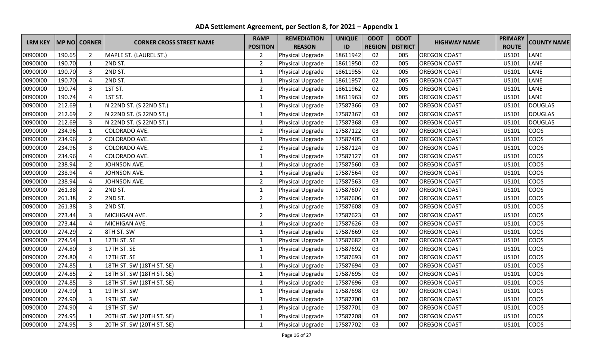| <b>LRM KEY</b> |        | <b>MP NO CORNER</b> | <b>CORNER CROSS STREET NAME</b> | <b>RAMP</b>     | <b>REMEDIATION</b> | <b>UNIQUE</b> | <b>ODOT</b>   | <b>ODOT</b>     | <b>HIGHWAY NAME</b> | <b>PRIMARY</b> | <b>COUNTY NAME</b> |
|----------------|--------|---------------------|---------------------------------|-----------------|--------------------|---------------|---------------|-----------------|---------------------|----------------|--------------------|
|                |        |                     |                                 | <b>POSITION</b> | <b>REASON</b>      | ID            | <b>REGION</b> | <b>DISTRICT</b> |                     | <b>ROUTE</b>   |                    |
| 00900100       | 190.65 | $\overline{2}$      | MAPLE ST. (LAUREL ST.)          | $\overline{2}$  | Physical Upgrade   | 18611942      | 02            | 005             | <b>OREGON COAST</b> | US101          | LANE               |
| 00900100       | 190.70 | $\mathbf{1}$        | 2ND ST.                         | $\overline{2}$  | Physical Upgrade   | 18611950      | 02            | 005             | <b>OREGON COAST</b> | US101          | LANE               |
| 00900100       | 190.70 | $\overline{3}$      | 2ND ST.                         | $\mathbf{1}$    | Physical Upgrade   | 18611955      | 02            | 005             | <b>OREGON COAST</b> | US101          | LANE               |
| 00900100       | 190.70 | $\overline{4}$      | 2ND ST.                         | $\mathbf{1}$    | Physical Upgrade   | 18611957      | 02            | 005             | <b>OREGON COAST</b> | US101          | LANE               |
| 00900100       | 190.74 | 3                   | 1ST ST.                         | $\overline{2}$  | Physical Upgrade   | 18611962      | 02            | 005             | <b>OREGON COAST</b> | US101          | LANE               |
| 00900100       | 190.74 | 4                   | 1ST ST.                         | $\mathbf{1}$    | Physical Upgrade   | 18611963      | 02            | 005             | <b>OREGON COAST</b> | US101          | LANE               |
| 00900100       | 212.69 | $\mathbf{1}$        | N 22ND ST. (S 22ND ST.)         | $\mathbf{1}$    | Physical Upgrade   | 17587366      | 03            | 007             | <b>OREGON COAST</b> | US101          | <b>DOUGLAS</b>     |
| 00900100       | 212.69 | $\overline{2}$      | N 22ND ST. (S 22ND ST.)         | $\mathbf{1}$    | Physical Upgrade   | 17587367      | 03            | 007             | <b>OREGON COAST</b> | US101          | <b>DOUGLAS</b>     |
| 00900100       | 212.69 | 3                   | N 22ND ST. (S 22ND ST.)         | $\mathbf{1}$    | Physical Upgrade   | 17587368      | 03            | 007             | <b>OREGON COAST</b> | US101          | <b>DOUGLAS</b>     |
| 00900100       | 234.96 | $\mathbf{1}$        | COLORADO AVE.                   | $\overline{2}$  | Physical Upgrade   | 17587122      | 03            | 007             | <b>OREGON COAST</b> | US101          | COOS               |
| 00900100       | 234.96 | $\overline{2}$      | COLORADO AVE.                   | $\mathbf 1$     | Physical Upgrade   | 17587405      | 03            | 007             | <b>OREGON COAST</b> | US101          | <b>COOS</b>        |
| 00900100       | 234.96 | 3                   | COLORADO AVE.                   | $\overline{2}$  | Physical Upgrade   | 17587124      | 03            | 007             | <b>OREGON COAST</b> | US101          | <b>COOS</b>        |
| 00900100       | 234.96 | $\overline{4}$      | COLORADO AVE.                   | $\mathbf{1}$    | Physical Upgrade   | 17587127      | 03            | 007             | <b>OREGON COAST</b> | US101          | <b>COOS</b>        |
| 00900100       | 238.94 | $\overline{2}$      | JOHNSON AVE.                    | $\mathbf{1}$    | Physical Upgrade   | 17587560      | 03            | 007             | <b>OREGON COAST</b> | US101          | COOS               |
| 00900100       | 238.94 | 4                   | JOHNSON AVE.                    | $\mathbf{1}$    | Physical Upgrade   | 17587564      | 03            | 007             | <b>OREGON COAST</b> | US101          | <b>COOS</b>        |
| 00900100       | 238.94 | 4                   | JOHNSON AVE.                    | $\overline{2}$  | Physical Upgrade   | 17587563      | 03            | 007             | <b>OREGON COAST</b> | US101          | <b>COOS</b>        |
| 00900100       | 261.38 | $\overline{2}$      | 2ND ST.                         | $\mathbf 1$     | Physical Upgrade   | 17587607      | 03            | 007             | <b>OREGON COAST</b> | US101          | <b>COOS</b>        |
| 00900100       | 261.38 | $\overline{2}$      | 2ND ST.                         | $\overline{2}$  | Physical Upgrade   | 17587606      | 03            | 007             | <b>OREGON COAST</b> | US101          | <b>COOS</b>        |
| 00900100       | 261.38 | $\overline{3}$      | 2ND ST.                         | $\mathbf{1}$    | Physical Upgrade   | 17587608      | 03            | 007             | <b>OREGON COAST</b> | US101          | <b>COOS</b>        |
| 00900100       | 273.44 | $\overline{3}$      | MICHIGAN AVE.                   | $\overline{2}$  | Physical Upgrade   | 17587623      | 03            | 007             | <b>OREGON COAST</b> | US101          | <b>COOS</b>        |
| 00900100       | 273.44 | $\overline{4}$      | MICHIGAN AVE.                   | $\mathbf{1}$    | Physical Upgrade   | 17587626      | 03            | 007             | <b>OREGON COAST</b> | US101          | <b>COOS</b>        |
| 00900100       | 274.29 | $\overline{2}$      | 8TH ST. SW                      | $\mathbf{1}$    | Physical Upgrade   | 17587669      | 03            | 007             | <b>OREGON COAST</b> | US101          | COOS               |
| 00900100       | 274.54 | $\mathbf{1}$        | 12TH ST. SE                     | $\mathbf{1}$    | Physical Upgrade   | 17587682      | 03            | 007             | <b>OREGON COAST</b> | US101          | <b>COOS</b>        |
| 00900100       | 274.80 | $\overline{3}$      | 17TH ST. SE                     | $\mathbf{1}$    | Physical Upgrade   | 17587692      | 03            | 007             | <b>OREGON COAST</b> | US101          | <b>COOS</b>        |
| 00900100       | 274.80 | 4                   | 17TH ST. SE                     | $\mathbf{1}$    | Physical Upgrade   | 17587693      | 03            | 007             | <b>OREGON COAST</b> | US101          | <b>COOS</b>        |
| 00900100       | 274.85 | $\mathbf{1}$        | 18TH ST. SW (18TH ST. SE)       | $\mathbf{1}$    | Physical Upgrade   | 17587694      | 03            | 007             | <b>OREGON COAST</b> | US101          | <b>COOS</b>        |
| 00900100       | 274.85 | $\overline{2}$      | 18TH ST. SW (18TH ST. SE)       | $\mathbf{1}$    | Physical Upgrade   | 17587695      | 03            | 007             | <b>OREGON COAST</b> | US101          | <b>COOS</b>        |
| 00900100       | 274.85 | 3                   | 18TH ST. SW (18TH ST. SE)       | $\mathbf{1}$    | Physical Upgrade   | 17587696      | 03            | 007             | <b>OREGON COAST</b> | US101          | <b>COOS</b>        |
| 00900100       | 274.90 | $\mathbf{1}$        | 19TH ST. SW                     | $\mathbf{1}$    | Physical Upgrade   | 17587698      | 03            | 007             | <b>OREGON COAST</b> | US101          | <b>COOS</b>        |
| 00900100       | 274.90 | $\overline{3}$      | 19TH ST. SW                     | 1               | Physical Upgrade   | 17587700      | 03            | 007             | <b>OREGON COAST</b> | US101          | <b>COOS</b>        |
| 00900100       | 274.90 | $\overline{4}$      | 19TH ST. SW                     | $\mathbf{1}$    | Physical Upgrade   | 17587701      | 03            | 007             | <b>OREGON COAST</b> | US101          | <b>COOS</b>        |
| 00900100       | 274.95 | $\mathbf{1}$        | 20TH ST. SW (20TH ST. SE)       | $\mathbf{1}$    | Physical Upgrade   | 17587208      | 03            | 007             | <b>OREGON COAST</b> | US101          | COOS               |
| 00900100       | 274.95 | $\overline{3}$      | 20TH ST. SW (20TH ST. SE)       | $\mathbf 1$     | Physical Upgrade   | 17587702      | 03            | 007             | <b>OREGON COAST</b> | US101          | <b>COOS</b>        |

**ADA Settlement Agreement, per Section 8, for 2021 – Appendix 1**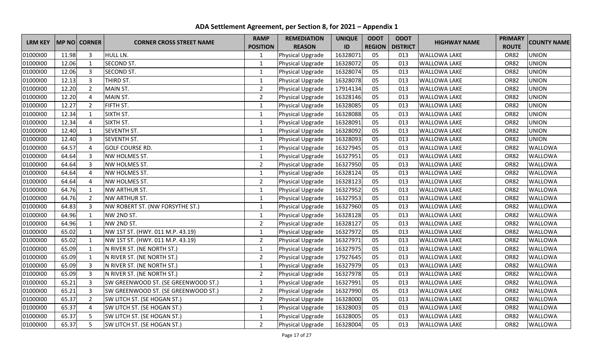| <b>LRM KEY</b> |       | <b>MP NO CORNER</b> | <b>CORNER CROSS STREET NAME</b>     | <b>RAMP</b>     | <b>REMEDIATION</b> | <b>UNIQUE</b> | <b>ODOT</b>   | <b>ODOT</b>     | <b>HIGHWAY NAME</b> | <b>PRIMARY</b> | <b>COUNTY NAME</b> |
|----------------|-------|---------------------|-------------------------------------|-----------------|--------------------|---------------|---------------|-----------------|---------------------|----------------|--------------------|
|                |       |                     |                                     | <b>POSITION</b> | <b>REASON</b>      | ID            | <b>REGION</b> | <b>DISTRICT</b> |                     | <b>ROUTE</b>   |                    |
| 01000100       | 11.98 | 3                   | HULL LN.                            | 1               | Physical Upgrade   | 16328071      | 05            | 013             | <b>WALLOWA LAKE</b> | <b>OR82</b>    | <b>UNION</b>       |
| 01000100       | 12.06 | $\mathbf{1}$        | <b>SECOND ST.</b>                   | $\mathbf{1}$    | Physical Upgrade   | 16328072      | 05            | 013             | <b>WALLOWA LAKE</b> | <b>OR82</b>    | <b>UNION</b>       |
| 01000100       | 12.06 | 3                   | SECOND ST.                          | $\mathbf{1}$    | Physical Upgrade   | 16328074      | 05            | 013             | <b>WALLOWA LAKE</b> | <b>OR82</b>    | <b>UNION</b>       |
| 01000100       | 12.13 | $\overline{3}$      | THIRD ST.                           | $\mathbf{1}$    | Physical Upgrade   | 16328078      | 05            | 013             | <b>WALLOWA LAKE</b> | <b>OR82</b>    | <b>UNION</b>       |
| 01000100       | 12.20 | $\overline{2}$      | MAIN ST.                            | $\overline{2}$  | Physical Upgrade   | 17914134      | 05            | 013             | <b>WALLOWA LAKE</b> | <b>OR82</b>    | <b>UNION</b>       |
| 01000100       | 12.20 | $\overline{4}$      | MAIN ST.                            | $\overline{2}$  | Physical Upgrade   | 16328146      | 05            | 013             | <b>WALLOWA LAKE</b> | <b>OR82</b>    | <b>UNION</b>       |
| 01000100       | 12.27 | $\overline{2}$      | FIFTH ST.                           | $\mathbf{1}$    | Physical Upgrade   | 16328085      | 05            | 013             | <b>WALLOWA LAKE</b> | <b>OR82</b>    | <b>UNION</b>       |
| 01000100       | 12.34 | 1                   | SIXTH ST.                           | $\mathbf{1}$    | Physical Upgrade   | 16328088      | 05            | 013             | <b>WALLOWA LAKE</b> | <b>OR82</b>    | <b>UNION</b>       |
| 01000100       | 12.34 | $\overline{4}$      | SIXTH ST.                           | $\mathbf{1}$    | Physical Upgrade   | 16328091      | 05            | 013             | <b>WALLOWA LAKE</b> | <b>OR82</b>    | <b>UNION</b>       |
| 01000100       | 12.40 | $\mathbf{1}$        | <b>SEVENTH ST.</b>                  | $\mathbf{1}$    | Physical Upgrade   | 16328092      | 05            | 013             | <b>WALLOWA LAKE</b> | <b>OR82</b>    | <b>UNION</b>       |
| 01000100       | 12.40 | $\overline{3}$      | <b>SEVENTH ST.</b>                  | $\mathbf{1}$    | Physical Upgrade   | 16328093      | 05            | 013             | <b>WALLOWA LAKE</b> | <b>OR82</b>    | <b>UNION</b>       |
| 01000100       | 64.57 | $\overline{4}$      | <b>GOLF COURSE RD.</b>              | $\mathbf{1}$    | Physical Upgrade   | 16327945      | 05            | 013             | <b>WALLOWA LAKE</b> | <b>OR82</b>    | WALLOWA            |
| 01000100       | 64.64 | $\overline{3}$      | NW HOLMES ST.                       | $\mathbf{1}$    | Physical Upgrade   | 16327951      | 05            | 013             | <b>WALLOWA LAKE</b> | <b>OR82</b>    | WALLOWA            |
| 01000100       | 64.64 | $\overline{3}$      | NW HOLMES ST.                       | $\overline{2}$  | Physical Upgrade   | 16327950      | 05            | 013             | <b>WALLOWA LAKE</b> | <b>OR82</b>    | WALLOWA            |
| 01000100       | 64.64 | $\overline{4}$      | NW HOLMES ST.                       | $\mathbf{1}$    | Physical Upgrade   | 16328124      | 05            | 013             | <b>WALLOWA LAKE</b> | <b>OR82</b>    | WALLOWA            |
| 01000100       | 64.64 | $\overline{4}$      | NW HOLMES ST.                       | $\overline{2}$  | Physical Upgrade   | 16328123      | 05            | 013             | <b>WALLOWA LAKE</b> | <b>OR82</b>    | WALLOWA            |
| 01000100       | 64.76 | $\mathbf{1}$        | NW ARTHUR ST.                       | $\mathbf{1}$    | Physical Upgrade   | 16327952      | 05            | 013             | <b>WALLOWA LAKE</b> | <b>OR82</b>    | WALLOWA            |
| 01000100       | 64.76 | $\overline{2}$      | NW ARTHUR ST.                       | $\mathbf{1}$    | Physical Upgrade   | 16327953      | 05            | 013             | <b>WALLOWA LAKE</b> | <b>OR82</b>    | WALLOWA            |
| 01000100       | 64.83 | 3                   | NW ROBERT ST. (NW FORSYTHE ST.)     | $\mathbf{1}$    | Physical Upgrade   | 16327960      | 05            | 013             | <b>WALLOWA LAKE</b> | <b>OR82</b>    | WALLOWA            |
| 01000100       | 64.96 | $\mathbf{1}$        | NW 2ND ST.                          | $\mathbf{1}$    | Physical Upgrade   | 16328128      | 05            | 013             | <b>WALLOWA LAKE</b> | <b>OR82</b>    | WALLOWA            |
| 01000100       | 64.96 | $\mathbf{1}$        | NW 2ND ST.                          | $\overline{2}$  | Physical Upgrade   | 16328127      | 05            | 013             | <b>WALLOWA LAKE</b> | <b>OR82</b>    | WALLOWA            |
| 01000100       | 65.02 | $\mathbf{1}$        | NW 1ST ST. (HWY. 011 M.P. 43.19)    | $\mathbf{1}$    | Physical Upgrade   | 16327972      | 05            | 013             | <b>WALLOWA LAKE</b> | <b>OR82</b>    | WALLOWA            |
| 01000100       | 65.02 | $\mathbf{1}$        | NW 1ST ST. (HWY. 011 M.P. 43.19)    | $\overline{2}$  | Physical Upgrade   | 16327971      | 05            | 013             | <b>WALLOWA LAKE</b> | <b>OR82</b>    | WALLOWA            |
| 01000100       | 65.09 | $\mathbf{1}$        | N RIVER ST. (NE NORTH ST.)          | $\mathbf 1$     | Physical Upgrade   | 16327975      | 05            | 013             | <b>WALLOWA LAKE</b> | <b>OR82</b>    | WALLOWA            |
| 01000100       | 65.09 | $\mathbf{1}$        | N RIVER ST. (NE NORTH ST.)          | $\overline{2}$  | Physical Upgrade   | 17927645      | 05            | 013             | <b>WALLOWA LAKE</b> | <b>OR82</b>    | WALLOWA            |
| 01000100       | 65.09 | $\overline{3}$      | N RIVER ST. (NE NORTH ST.)          | $\mathbf{1}$    | Physical Upgrade   | 16327979      | 05            | 013             | <b>WALLOWA LAKE</b> | <b>OR82</b>    | WALLOWA            |
| 01000100       | 65.09 | $\overline{3}$      | N RIVER ST. (NE NORTH ST.)          | $\overline{2}$  | Physical Upgrade   | 16327978      | 05            | 013             | <b>WALLOWA LAKE</b> | <b>OR82</b>    | WALLOWA            |
| 01000100       | 65.21 | $\overline{3}$      | SW GREENWOOD ST. (SE GREENWOOD ST.) | $\mathbf{1}$    | Physical Upgrade   | 16327991      | 05            | 013             | <b>WALLOWA LAKE</b> | <b>OR82</b>    | WALLOWA            |
| 01000100       | 65.21 | $\overline{3}$      | SW GREENWOOD ST. (SE GREENWOOD ST.) | $\overline{2}$  | Physical Upgrade   | 16327990      | 05            | 013             | <b>WALLOWA LAKE</b> | <b>OR82</b>    | WALLOWA            |
| 01000100       | 65.37 | $\overline{2}$      | SW LITCH ST. (SE HOGAN ST.)         | $\overline{2}$  | Physical Upgrade   | 16328000      | 05            | 013             | <b>WALLOWA LAKE</b> | <b>OR82</b>    | WALLOWA            |
| 01000100       | 65.37 | $\overline{a}$      | SW LITCH ST. (SE HOGAN ST.)         | $\mathbf{1}$    | Physical Upgrade   | 16328003      | 05            | 013             | <b>WALLOWA LAKE</b> | <b>OR82</b>    | WALLOWA            |
| 01000100       | 65.37 | 5                   | SW LITCH ST. (SE HOGAN ST.)         | $\mathbf 1$     | Physical Upgrade   | 16328005      | 05            | 013             | <b>WALLOWA LAKE</b> | <b>OR82</b>    | WALLOWA            |
| 01000100       | 65.37 | 5                   | SW LITCH ST. (SE HOGAN ST.)         | $\overline{2}$  | Physical Upgrade   | 16328004      | 05            | 013             | <b>WALLOWA LAKE</b> | <b>OR82</b>    | WALLOWA            |

**ADA Settlement Agreement, per Section 8, for 2021 – Appendix 1**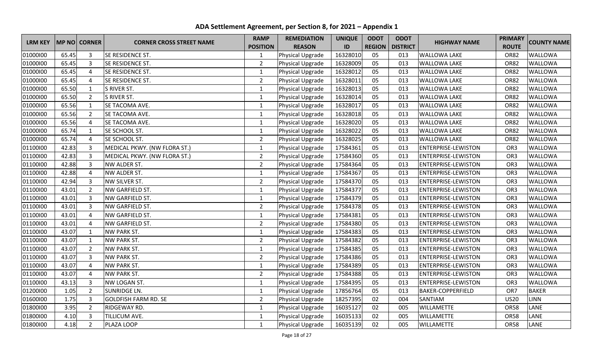| <b>LRM KEY</b> |       | <b>MP NO CORNER</b> | <b>CORNER CROSS STREET NAME</b> | <b>RAMP</b>     | <b>REMEDIATION</b>      | <b>UNIQUE</b> | <b>ODOT</b>   | <b>ODOT</b>     | <b>HIGHWAY NAME</b>        | <b>PRIMARY</b>  | <b>COUNTY NAME</b> |
|----------------|-------|---------------------|---------------------------------|-----------------|-------------------------|---------------|---------------|-----------------|----------------------------|-----------------|--------------------|
|                |       |                     |                                 | <b>POSITION</b> | <b>REASON</b>           | ID            | <b>REGION</b> | <b>DISTRICT</b> |                            | <b>ROUTE</b>    |                    |
| 01000100       | 65.45 | 3                   | SE RESIDENCE ST.                | 1               | <b>Physical Upgrade</b> | 16328010      | 05            | 013             | <b>WALLOWA LAKE</b>        | <b>OR82</b>     | WALLOWA            |
| 01000100       | 65.45 | $\overline{3}$      | SE RESIDENCE ST.                | $\overline{2}$  | Physical Upgrade        | 16328009      | 05            | 013             | <b>WALLOWA LAKE</b>        | <b>OR82</b>     | <b>WALLOWA</b>     |
| 01000100       | 65.45 | $\overline{4}$      | SE RESIDENCE ST.                | $\mathbf 1$     | Physical Upgrade        | 16328012      | 05            | 013             | <b>WALLOWA LAKE</b>        | <b>OR82</b>     | WALLOWA            |
| 01000100       | 65.45 | $\overline{4}$      | SE RESIDENCE ST.                | $\overline{2}$  | Physical Upgrade        | 16328011      | 05            | 013             | <b>WALLOWA LAKE</b>        | <b>OR82</b>     | WALLOWA            |
| 01000100       | 65.50 | $\mathbf{1}$        | S RIVER ST.                     | $\mathbf{1}$    | Physical Upgrade        | 16328013      | 05            | 013             | <b>WALLOWA LAKE</b>        | <b>OR82</b>     | WALLOWA            |
| 01000100       | 65.50 | $\overline{2}$      | S RIVER ST.                     | $\mathbf{1}$    | Physical Upgrade        | 16328014      | 05            | 013             | <b>WALLOWA LAKE</b>        | <b>OR82</b>     | WALLOWA            |
| 01000100       | 65.56 | $\mathbf{1}$        | SE TACOMA AVE.                  | $\mathbf{1}$    | Physical Upgrade        | 16328017      | 05            | 013             | <b>WALLOWA LAKE</b>        | <b>OR82</b>     | WALLOWA            |
| 01000100       | 65.56 | $\overline{2}$      | SE TACOMA AVE.                  | $\mathbf{1}$    | Physical Upgrade        | 16328018      | 05            | 013             | <b>WALLOWA LAKE</b>        | <b>OR82</b>     | WALLOWA            |
| 01000100       | 65.56 | $\overline{4}$      | SE TACOMA AVE.                  | $\mathbf{1}$    | Physical Upgrade        | 16328020      | 05            | 013             | <b>WALLOWA LAKE</b>        | <b>OR82</b>     | WALLOWA            |
| 01000100       | 65.74 | $\mathbf{1}$        | SE SCHOOL ST.                   | $\mathbf{1}$    | Physical Upgrade        | 16328022      | 05            | 013             | <b>WALLOWA LAKE</b>        | <b>OR82</b>     | WALLOWA            |
| 01000100       | 65.74 | $\overline{4}$      | SE SCHOOL ST.                   | $\overline{2}$  | Physical Upgrade        | 16328025      | 05            | 013             | <b>WALLOWA LAKE</b>        | <b>OR82</b>     | WALLOWA            |
| 01100100       | 42.83 | $\overline{3}$      | MEDICAL PKWY. (NW FLORA ST.)    | $\mathbf{1}$    | Physical Upgrade        | 17584361      | 05            | 013             | <b>ENTERPRISE-LEWISTON</b> | OR <sub>3</sub> | WALLOWA            |
| 01100100       | 42.83 | $\overline{3}$      | MEDICAL PKWY. (NW FLORA ST.)    | $\overline{2}$  | Physical Upgrade        | 17584360      | 05            | 013             | <b>ENTERPRISE-LEWISTON</b> | OR <sub>3</sub> | WALLOWA            |
| 01100100       | 42.88 | $\overline{3}$      | NW ALDER ST.                    | $\overline{2}$  | Physical Upgrade        | 17584364      | 05            | 013             | <b>ENTERPRISE-LEWISTON</b> | OR <sub>3</sub> | WALLOWA            |
| 01100100       | 42.88 | $\overline{a}$      | NW ALDER ST.                    | $\mathbf{1}$    | Physical Upgrade        | 17584367      | 05            | 013             | <b>ENTERPRISE-LEWISTON</b> | OR <sub>3</sub> | WALLOWA            |
| 01100100       | 42.94 | $\overline{3}$      | NW SILVER ST.                   | $\overline{2}$  | Physical Upgrade        | 17584370      | 05            | 013             | <b>ENTERPRISE-LEWISTON</b> | OR <sub>3</sub> | WALLOWA            |
| 01100100       | 43.01 | $\overline{2}$      | NW GARFIELD ST.                 | $\mathbf{1}$    | Physical Upgrade        | 17584377      | 05            | 013             | <b>ENTERPRISE-LEWISTON</b> | OR <sub>3</sub> | WALLOWA            |
| 01100100       | 43.01 | $\overline{3}$      | NW GARFIELD ST.                 | $\mathbf 1$     | Physical Upgrade        | 17584379      | 05            | 013             | <b>ENTERPRISE-LEWISTON</b> | OR <sub>3</sub> | WALLOWA            |
| 01100100       | 43.01 | $\overline{3}$      | NW GARFIELD ST.                 | $\overline{2}$  | Physical Upgrade        | 17584378      | 05            | 013             | <b>ENTERPRISE-LEWISTON</b> | OR <sub>3</sub> | WALLOWA            |
| 01100100       | 43.01 | $\overline{A}$      | NW GARFIELD ST.                 | $\mathbf{1}$    | Physical Upgrade        | 17584381      | 05            | 013             | <b>ENTERPRISE-LEWISTON</b> | OR <sub>3</sub> | WALLOWA            |
| 01100100       | 43.01 | $\overline{4}$      | NW GARFIELD ST.                 | $\overline{2}$  | Physical Upgrade        | 17584380      | 05            | 013             | <b>ENTERPRISE-LEWISTON</b> | OR <sub>3</sub> | WALLOWA            |
| 01100100       | 43.07 | $\mathbf{1}$        | <b>NW PARK ST.</b>              | $\mathbf{1}$    | Physical Upgrade        | 17584383      | 05            | 013             | <b>ENTERPRISE-LEWISTON</b> | OR <sub>3</sub> | WALLOWA            |
| 01100100       | 43.07 | 1                   | <b>NW PARK ST.</b>              | $\overline{2}$  | Physical Upgrade        | 17584382      | 05            | 013             | <b>ENTERPRISE-LEWISTON</b> | OR <sub>3</sub> | WALLOWA            |
| 01100100       | 43.07 | $\overline{2}$      | <b>NW PARK ST.</b>              | $\mathbf{1}$    | Physical Upgrade        | 17584385      | 05            | 013             | <b>ENTERPRISE-LEWISTON</b> | OR <sub>3</sub> | WALLOWA            |
| 01100100       | 43.07 | $\overline{3}$      | <b>NW PARK ST.</b>              | $\overline{2}$  | Physical Upgrade        | 17584386      | 05            | 013             | <b>ENTERPRISE-LEWISTON</b> | OR <sub>3</sub> | WALLOWA            |
| 01100100       | 43.07 | $\overline{4}$      | <b>NW PARK ST.</b>              | $\mathbf{1}$    | Physical Upgrade        | 17584389      | 05            | 013             | <b>ENTERPRISE-LEWISTON</b> | OR <sub>3</sub> | WALLOWA            |
| 01100100       | 43.07 | $\overline{4}$      | <b>NW PARK ST.</b>              | $\overline{2}$  | Physical Upgrade        | 17584388      | 05            | 013             | <b>ENTERPRISE-LEWISTON</b> | OR3             | WALLOWA            |
| 01100100       | 43.13 | 3                   | NW LOGAN ST.                    | $\mathbf{1}$    | Physical Upgrade        | 17584395      | 05            | 013             | <b>ENTERPRISE-LEWISTON</b> | OR <sub>3</sub> | WALLOWA            |
| 01200100       | 1.05  | $\overline{2}$      | <b>SUNRIDGE LN.</b>             | $\mathbf{1}$    | Physical Upgrade        | 17856764      | 05            | 013             | <b>BAKER-COPPERFIELD</b>   | OR7             | <b>BAKER</b>       |
| 01600100       | 1.75  | $\overline{3}$      | <b>GOLDFISH FARM RD. SE</b>     | $\overline{2}$  | Physical Upgrade        | 18257395      | 02            | 004             | SANTIAM                    | <b>US20</b>     | <b>LINN</b>        |
| 01800100       | 3.95  | $\overline{2}$      | <b>RIDGEWAY RD.</b>             | $\mathbf{1}$    | Physical Upgrade        | 16035127      | 02            | 005             | <b>WILLAMETTE</b>          | <b>OR58</b>     | LANE               |
| 01800100       | 4.10  | $\overline{3}$      | TILLICUM AVE.                   | $\mathbf{1}$    | Physical Upgrade        | 16035133      | 02            | 005             | <b>WILLAMETTE</b>          | <b>OR58</b>     | LANE               |
| 01800100       | 4.18  | $\overline{2}$      | PLAZA LOOP                      | $\mathbf{1}$    | Physical Upgrade        | 16035139      | 02            | 005             | <b>WILLAMETTE</b>          | <b>OR58</b>     | LANE               |

**ADA Settlement Agreement, per Section 8, for 2021 – Appendix 1**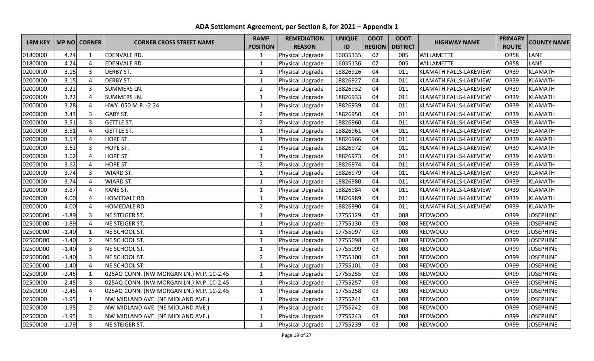| <b>LRM KEY</b> |         | <b>MP NO CORNER</b> | <b>CORNER CROSS STREET NAME</b>          | <b>RAMP</b>     | <b>REMEDIATION</b> | <b>UNIQUE</b> | <b>ODOT</b>   | <b>ODOT</b>     | <b>HIGHWAY NAME</b>           | <b>PRIMARY</b> | <b>COUNTY NAME</b> |
|----------------|---------|---------------------|------------------------------------------|-----------------|--------------------|---------------|---------------|-----------------|-------------------------------|----------------|--------------------|
|                |         |                     |                                          | <b>POSITION</b> | <b>REASON</b>      | ID            | <b>REGION</b> | <b>DISTRICT</b> |                               | <b>ROUTE</b>   |                    |
| 01800100       | 4.24    | 1                   | <b>EDENVALE RD.</b>                      | 1               | Physical Upgrade   | 16035135      | 02            | 005             | <b>WILLAMETTE</b>             | <b>OR58</b>    | LANE               |
| 01800100       | 4.24    | 4                   | <b>EDENVALE RD.</b>                      | $\mathbf{1}$    | Physical Upgrade   | 16035136      | 02            | 005             | <b>WILLAMETTE</b>             | <b>OR58</b>    | LANE               |
| 02000100       | 3.15    | 3                   | <b>DERBY ST.</b>                         | $\mathbf{1}$    | Physical Upgrade   | 18826926      | 04            | 011             | KLAMATH FALLS-LAKEVIEW        | <b>OR39</b>    | <b>KLAMATH</b>     |
| 02000100       | 3.15    | $\overline{4}$      | <b>DERBY ST.</b>                         | $\mathbf{1}$    | Physical Upgrade   | 18826927      | 04            | 011             | KLAMATH FALLS-LAKEVIEW        | <b>OR39</b>    | <b>KLAMATH</b>     |
| 02000100       | 3.22    | 3                   | <b>SUMMERS LN.</b>                       | $\overline{2}$  | Physical Upgrade   | 18826932      | 04            | 011             | KLAMATH FALLS-LAKEVIEW        | <b>OR39</b>    | <b>KLAMATH</b>     |
| 02000100       | 3.22    | $\overline{4}$      | <b>SUMMERS LN.</b>                       | $\mathbf 1$     | Physical Upgrade   | 18826933      | 04            | 011             | KLAMATH FALLS-LAKEVIEW        | <b>OR39</b>    | KLAMATH            |
| 02000100       | 3.28    | $\overline{4}$      | HWY. 050 M.P. - 2.24                     | $\mathbf{1}$    | Physical Upgrade   | 18826939      | 04            | 011             | KLAMATH FALLS-LAKEVIEW        | <b>OR39</b>    | <b>KLAMATH</b>     |
| 02000100       | 3.43    | 3                   | <b>GARY ST.</b>                          | $\overline{2}$  | Physical Upgrade   | 18826950      | 04            | 011             | KLAMATH FALLS-LAKEVIEW        | <b>OR39</b>    | <b>KLAMATH</b>     |
| 02000100       | 3.51    | $\overline{3}$      | <b>GETTLE ST.</b>                        | $\overline{2}$  | Physical Upgrade   | 18826960      | 04            | 011             | KLAMATH FALLS-LAKEVIEW        | OR39           | <b>KLAMATH</b>     |
| 02000100       | 3.51    | $\overline{4}$      | <b>GETTLE ST.</b>                        | $\mathbf 1$     | Physical Upgrade   | 18826961      | 04            | 011             | KLAMATH FALLS-LAKEVIEW        | <b>OR39</b>    | <b>KLAMATH</b>     |
| 02000100       | 3.57    | $\overline{4}$      | <b>HOPE ST.</b>                          | $\mathbf 1$     | Physical Upgrade   | 18826966      | 04            | 011             | KLAMATH FALLS-LAKEVIEW        | <b>OR39</b>    | <b>KLAMATH</b>     |
| 02000100       | 3.62    | 3                   | <b>HOPE ST.</b>                          | $\overline{2}$  | Physical Upgrade   | 18826972      | 04            | 011             | KLAMATH FALLS-LAKEVIEW        | <b>OR39</b>    | KLAMATH            |
| 02000100       | 3.62    | $\overline{4}$      | <b>HOPE ST.</b>                          | $\mathbf{1}$    | Physical Upgrade   | 18826973      | 04            | 011             | KLAMATH FALLS-LAKEVIEW        | <b>OR39</b>    | <b>KLAMATH</b>     |
| 02000100       | 3.62    | $\overline{4}$      | HOPE ST.                                 | $\overline{2}$  | Physical Upgrade   | 18826974      | 04            | 011             | <b>KLAMATH FALLS-LAKEVIEW</b> | <b>OR39</b>    | <b>KLAMATH</b>     |
| 02000100       | 3.74    | $\overline{3}$      | <b>WIARD ST.</b>                         | $\mathbf 1$     | Physical Upgrade   | 18826979      | 04            | 011             | KLAMATH FALLS-LAKEVIEW        | <b>OR39</b>    | <b>KLAMATH</b>     |
| 02000100       | 3.74    | $\overline{4}$      | <b>WIARD ST.</b>                         | $\mathbf{1}$    | Physical Upgrade   | 18826980      | 04            | 011             | KLAMATH FALLS-LAKEVIEW        | <b>OR39</b>    | <b>KLAMATH</b>     |
| 02000100       | 3.87    | $\overline{4}$      | <b>KANE ST.</b>                          | $\mathbf{1}$    | Physical Upgrade   | 18826984      | 04            | 011             | KLAMATH FALLS-LAKEVIEW        | <b>OR39</b>    | <b>KLAMATH</b>     |
| 02000100       | 4.00    | $\overline{4}$      | HOMEDALE RD.                             | 1               | Physical Upgrade   | 18826989      | 04            | 011             | KLAMATH FALLS-LAKEVIEW        | <b>OR39</b>    | <b>KLAMATH</b>     |
| 02000100       | 4.00    | 4                   | HOMEDALE RD.                             | $\overline{2}$  | Physical Upgrade   | 18826990      | 04            | 011             | KLAMATH FALLS-LAKEVIEW        | <b>OR39</b>    | <b>KLAMATH</b>     |
| 02500D00       | $-1.89$ | 3                   | NE STEIGER ST.                           | $\mathbf{1}$    | Physical Upgrade   | 17755129      | 03            | 008             | <b>REDWOOD</b>                | OR99           | <b>JOSEPHINE</b>   |
| 02500D00       | $-1.89$ | 4                   | NE STEIGER ST.                           | $\mathbf 1$     | Physical Upgrade   | 17755130      | 03            | 008             | <b>REDWOOD</b>                | OR99           | <b>JOSEPHINE</b>   |
| 02500D00       | $-1.40$ | $\mathbf{1}$        | NE SCHOOL ST.                            | $\mathbf{1}$    | Physical Upgrade   | 17755097      | 03            | 008             | <b>REDWOOD</b>                | OR99           | <b>JOSEPHINE</b>   |
| 02500D00       | $-1.40$ | $\overline{2}$      | NE SCHOOL ST.                            | $\mathbf{1}$    | Physical Upgrade   | 17755098      | 03            | 008             | <b>REDWOOD</b>                | OR99           | <b>JOSEPHINE</b>   |
| 02500D00       | $-1.40$ | 3                   | NE SCHOOL ST.                            | $\mathbf{1}$    | Physical Upgrade   | 17755099      | 03            | 008             | <b>REDWOOD</b>                | OR99           | <b>JOSEPHINE</b>   |
| 02500D00       | $-1.40$ | 3                   | NE SCHOOL ST.                            | $\overline{2}$  | Physical Upgrade   | 17755100      | 03            | 008             | <b>REDWOOD</b>                | OR99           | <b>JOSEPHINE</b>   |
| 02500D00       | $-1.40$ | $\overline{4}$      | NE SCHOOL ST.                            | $\mathbf{1}$    | Physical Upgrade   | 17755101      | 03            | 008             | <b>REDWOOD</b>                | OR99           | <b>JOSEPHINE</b>   |
| 02500100       | $-2.45$ | $\mathbf{1}$        | 025AQ CONN. (NW MORGAN LN.) M.P. 1C-2.45 | 1               | Physical Upgrade   | 17755255      | 03            | 008             | <b>REDWOOD</b>                | OR99           | <b>JOSEPHINE</b>   |
| 02500100       | $-2.45$ | $\overline{3}$      | 025AQ CONN. (NW MORGAN LN.) M.P. 1C-2.45 | $\mathbf{1}$    | Physical Upgrade   | 17755257      | 03            | 008             | <b>REDWOOD</b>                | OR99           | <b>JOSEPHINE</b>   |
| 02500100       | $-2.45$ | $\overline{4}$      | 025AQ CONN. (NW MORGAN LN.) M.P. 1C-2.45 | $\mathbf{1}$    | Physical Upgrade   | 17755258      | 03            | 008             | <b>REDWOOD</b>                | OR99           | <b>JOSEPHINE</b>   |
| 02500100       | $-1.95$ | $\mathbf{1}$        | NW MIDLAND AVE. (NE MIDLAND AVE.)        | $\mathbf 1$     | Physical Upgrade   | 17755241      | 03            | 008             | <b>REDWOOD</b>                | OR99           | <b>JOSEPHINE</b>   |
| 02500100       | $-1.95$ | $\overline{2}$      | NW MIDLAND AVE. (NE MIDLAND AVE.)        | $\mathbf{1}$    | Physical Upgrade   | 17755242      | 03            | 008             | <b>REDWOOD</b>                | <b>OR99</b>    | <b>JOSEPHINE</b>   |
| 02500100       | $-1.95$ | $\overline{3}$      | NW MIDLAND AVE. (NE MIDLAND AVE.)        | $\mathbf{1}$    | Physical Upgrade   | 17755243      | 03            | 008             | <b>REDWOOD</b>                | OR99           | <b>JOSEPHINE</b>   |
| 02500100       | $-1.79$ | $\overline{3}$      | NE STEIGER ST.                           | $\mathbf{1}$    | Physical Upgrade   | 17755239      | 03            | 008             | <b>REDWOOD</b>                | OR99           | <b>JOSEPHINE</b>   |

**ADA Settlement Agreement, per Section 8, for 2021 – Appendix 1**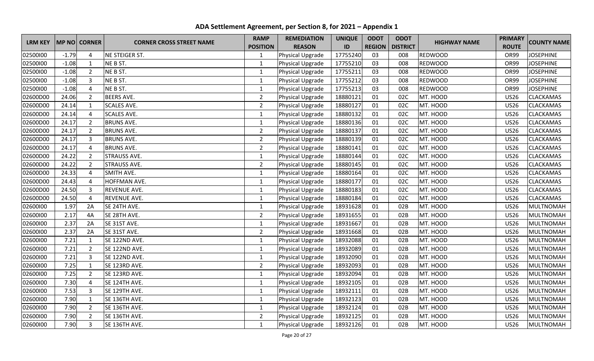| <b>LRM KEY</b> |         | <b>MP NO CORNER</b> | <b>CORNER CROSS STREET NAME</b> | <b>RAMP</b>     | <b>REMEDIATION</b> | <b>UNIQUE</b> | <b>ODOT</b>   | <b>ODOT</b>     | <b>HIGHWAY NAME</b> | <b>PRIMARY</b> | <b>COUNTY NAME</b> |
|----------------|---------|---------------------|---------------------------------|-----------------|--------------------|---------------|---------------|-----------------|---------------------|----------------|--------------------|
|                |         |                     |                                 | <b>POSITION</b> | <b>REASON</b>      | ID            | <b>REGION</b> | <b>DISTRICT</b> |                     | <b>ROUTE</b>   |                    |
| 02500100       | $-1.79$ | 4                   | NE STEIGER ST.                  | 1               | Physical Upgrade   | 17755240      | 03            | 008             | <b>REDWOOD</b>      | OR99           | <b>JOSEPHINE</b>   |
| 02500100       | $-1.08$ | $\mathbf{1}$        | NE B ST.                        | $\mathbf{1}$    | Physical Upgrade   | 17755210      | 03            | 008             | <b>REDWOOD</b>      | OR99           | <b>JOSEPHINE</b>   |
| 02500100       | $-1.08$ | $\overline{2}$      | NE B ST.                        | $\mathbf{1}$    | Physical Upgrade   | 17755211      | 03            | 008             | REDWOOD             | <b>OR99</b>    | <b>JOSEPHINE</b>   |
| 02500100       | $-1.08$ | $\overline{3}$      | NE B ST.                        | $\mathbf{1}$    | Physical Upgrade   | 17755212      | 03            | 008             | <b>REDWOOD</b>      | <b>OR99</b>    | <b>JOSEPHINE</b>   |
| 02500100       | $-1.08$ | $\overline{4}$      | NE B ST.                        | $\mathbf{1}$    | Physical Upgrade   | 17755213      | 03            | 008             | <b>REDWOOD</b>      | OR99           | <b>JOSEPHINE</b>   |
| 02600D00       | 24.06   | $\overline{2}$      | <b>BEERS AVE.</b>               | $\overline{2}$  | Physical Upgrade   | 18880121      | 01            | 02C             | MT. HOOD            | <b>US26</b>    | <b>CLACKAMAS</b>   |
| 02600D00       | 24.14   | $\mathbf{1}$        | <b>SCALES AVE.</b>              | $\overline{2}$  | Physical Upgrade   | 18880127      | 01            | 02C             | MT. HOOD            | <b>US26</b>    | <b>CLACKAMAS</b>   |
| 02600D00       | 24.14   | 4                   | <b>SCALES AVE.</b>              | $\mathbf 1$     | Physical Upgrade   | 18880132      | 01            | 02C             | MT. HOOD            | <b>US26</b>    | <b>CLACKAMAS</b>   |
| 02600D00       | 24.17   | $\overline{2}$      | <b>BRUNS AVE.</b>               | $\mathbf{1}$    | Physical Upgrade   | 18880136      | 01            | 02C             | MT. HOOD            | <b>US26</b>    | <b>CLACKAMAS</b>   |
| 02600D00       | 24.17   | $\overline{2}$      | <b>BRUNS AVE.</b>               | $\overline{2}$  | Physical Upgrade   | 18880137      | 01            | 02C             | MT. HOOD            | <b>US26</b>    | <b>CLACKAMAS</b>   |
| 02600D00       | 24.17   | $\overline{3}$      | <b>BRUNS AVE.</b>               | $\overline{2}$  | Physical Upgrade   | 18880139      | 01            | 02C             | MT. HOOD            | <b>US26</b>    | <b>CLACKAMAS</b>   |
| 02600D00       | 24.17   | $\overline{4}$      | <b>BRUNS AVE.</b>               | $\overline{2}$  | Physical Upgrade   | 18880141      | 01            | 02C             | MT. HOOD            | <b>US26</b>    | <b>CLACKAMAS</b>   |
| 02600D00       | 24.22   | $\overline{2}$      | <b>STRAUSS AVE.</b>             | $\mathbf{1}$    | Physical Upgrade   | 18880144      | 01            | 02C             | MT. HOOD            | <b>US26</b>    | <b>CLACKAMAS</b>   |
| 02600D00       | 24.22   | $\overline{2}$      | <b>STRAUSS AVE.</b>             | $\overline{2}$  | Physical Upgrade   | 18880145      | 01            | 02C             | MT. HOOD            | <b>US26</b>    | <b>CLACKAMAS</b>   |
| 02600D00       | 24.33   | 4                   | SMITH AVE.                      | $\mathbf{1}$    | Physical Upgrade   | 18880164      | 01            | 02C             | MT. HOOD            | <b>US26</b>    | <b>CLACKAMAS</b>   |
| 02600D00       | 24.43   | $\overline{4}$      | <b>HOFFMAN AVE.</b>             | $\mathbf{1}$    | Physical Upgrade   | 18880177      | 01            | 02C             | MT. HOOD            | <b>US26</b>    | <b>CLACKAMAS</b>   |
| 02600D00       | 24.50   | $\overline{3}$      | <b>REVENUE AVE.</b>             | $\mathbf 1$     | Physical Upgrade   | 18880183      | 01            | 02C             | MT. HOOD            | <b>US26</b>    | <b>CLACKAMAS</b>   |
| 02600D00       | 24.50   | $\overline{4}$      | <b>REVENUE AVE.</b>             | $\mathbf{1}$    | Physical Upgrade   | 18880184      | 01            | 02C             | MT. HOOD            | <b>US26</b>    | <b>CLACKAMAS</b>   |
| 02600100       | 1.97    | 2A                  | SE 24TH AVE.                    | $\mathbf{1}$    | Physical Upgrade   | 18931628      | 01            | 02B             | MT. HOOD            | <b>US26</b>    | <b>MULTNOMAH</b>   |
| 02600100       | 2.17    | 4A                  | SE 28TH AVE.                    | $\overline{2}$  | Physical Upgrade   | 18931655      | 01            | 02B             | MT. HOOD            | <b>US26</b>    | <b>MULTNOMAH</b>   |
| 02600100       | 2.37    | 2A                  | SE 31ST AVE.                    | $\mathbf 1$     | Physical Upgrade   | 18931667      | 01            | 02B             | MT. HOOD            | <b>US26</b>    | <b>MULTNOMAH</b>   |
| 02600100       | 2.37    | 2A                  | SE 31ST AVE.                    | $\overline{2}$  | Physical Upgrade   | 18931668      | 01            | 02B             | MT. HOOD            | <b>US26</b>    | <b>MULTNOMAH</b>   |
| 02600100       | 7.21    | $\mathbf{1}$        | SE 122ND AVE.                   | $\mathbf 1$     | Physical Upgrade   | 18932088      | 01            | 02B             | MT. HOOD            | <b>US26</b>    | <b>MULTNOMAH</b>   |
| 02600100       | 7.21    | $\overline{2}$      | SE 122ND AVE.                   | $\mathbf 1$     | Physical Upgrade   | 18932089      | 01            | 02B             | MT. HOOD            | <b>US26</b>    | <b>MULTNOMAH</b>   |
| 02600100       | 7.21    | $\overline{3}$      | SE 122ND AVE.                   | $\mathbf{1}$    | Physical Upgrade   | 18932090      | 01            | 02B             | MT. HOOD            | <b>US26</b>    | <b>MULTNOMAH</b>   |
| 02600100       | 7.25    | $\mathbf{1}$        | SE 123RD AVE.                   | $\overline{2}$  | Physical Upgrade   | 18932093      | 01            | 02B             | MT. HOOD            | <b>US26</b>    | <b>MULTNOMAH</b>   |
| 02600100       | 7.25    | $\overline{2}$      | SE 123RD AVE.                   | $\mathbf{1}$    | Physical Upgrade   | 18932094      | 01            | 02B             | MT. HOOD            | <b>US26</b>    | <b>MULTNOMAH</b>   |
| 02600100       | 7.30    | $\overline{4}$      | SE 124TH AVE.                   | $\mathbf 1$     | Physical Upgrade   | 18932105      | 01            | 02B             | MT. HOOD            | <b>US26</b>    | <b>MULTNOMAH</b>   |
| 02600100       | 7.53    | $\overline{3}$      | SE 129TH AVE.                   | $\mathbf{1}$    | Physical Upgrade   | 18932111      | 01            | 02B             | MT. HOOD            | <b>US26</b>    | <b>MULTNOMAH</b>   |
| 02600100       | 7.90    | $\mathbf{1}$        | SE 136TH AVE.                   | $\mathbf{1}$    | Physical Upgrade   | 18932123      | 01            | 02B             | MT. HOOD            | <b>US26</b>    | <b>MULTNOMAH</b>   |
| 02600100       | 7.90    | $\overline{2}$      | SE 136TH AVE.                   | $\mathbf{1}$    | Physical Upgrade   | 18932124      | 01            | 02B             | MT. HOOD            | <b>US26</b>    | <b>MULTNOMAH</b>   |
| 02600100       | 7.90    | $\overline{2}$      | SE 136TH AVE.                   | $\overline{2}$  | Physical Upgrade   | 18932125      | 01            | 02B             | MT. HOOD            | <b>US26</b>    | <b>MULTNOMAH</b>   |
| 02600100       | 7.90    | $\overline{3}$      | SE 136TH AVE.                   | $\mathbf{1}$    | Physical Upgrade   | 18932126      | 01            | 02B             | MT. HOOD            | <b>US26</b>    | MULTNOMAH          |

**ADA Settlement Agreement, per Section 8, for 2021 – Appendix 1**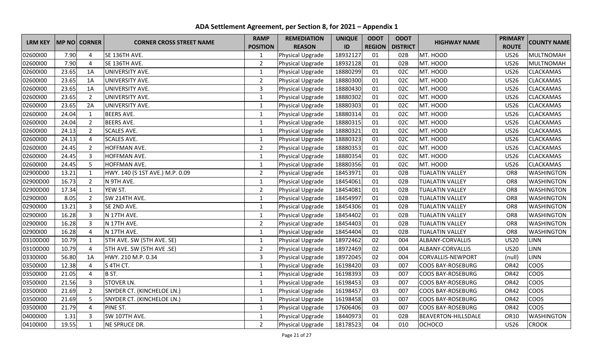| <b>LRM KEY</b> |       | MP NO CORNER   | <b>CORNER CROSS STREET NAME</b>   | <b>RAMP</b>     | <b>REMEDIATION</b>      | <b>UNIQUE</b> | <b>ODOT</b>   | <b>ODOT</b>     | <b>HIGHWAY NAME</b>        | <b>PRIMARY</b>  | <b>COUNTY NAME</b> |
|----------------|-------|----------------|-----------------------------------|-----------------|-------------------------|---------------|---------------|-----------------|----------------------------|-----------------|--------------------|
|                |       |                |                                   | <b>POSITION</b> | <b>REASON</b>           | ID            | <b>REGION</b> | <b>DISTRICT</b> |                            | <b>ROUTE</b>    |                    |
| 02600100       | 7.90  | 4              | SE 136TH AVE.                     | 1               | <b>Physical Upgrade</b> | 18932127      | 01            | 02B             | MT. HOOD                   | <b>US26</b>     | <b>MULTNOMAH</b>   |
| 02600100       | 7.90  | $\overline{4}$ | SE 136TH AVE.                     | $\overline{2}$  | Physical Upgrade        | 18932128      | 01            | 02B             | MT. HOOD                   | <b>US26</b>     | <b>MULTNOMAH</b>   |
| 02600100       | 23.65 | 1A             | UNIVERSITY AVE.                   | $\mathbf{1}$    | Physical Upgrade        | 18880299      | 01            | 02C             | MT. HOOD                   | <b>US26</b>     | CLACKAMAS          |
| 02600100       | 23.65 | 1A             | UNIVERSITY AVE.                   | $\overline{2}$  | Physical Upgrade        | 18880300      | 01            | 02C             | MT. HOOD                   | <b>US26</b>     | CLACKAMAS          |
| 02600100       | 23.65 | 1A             | UNIVERSITY AVE.                   | 3               | Physical Upgrade        | 18880430      | 01            | 02C             | MT. HOOD                   | <b>US26</b>     | CLACKAMAS          |
| 02600100       | 23.65 | $\overline{2}$ | UNIVERSITY AVE.                   | $\mathbf{1}$    | Physical Upgrade        | 18880302      | 01            | 02C             | MT. HOOD                   | <b>US26</b>     | <b>CLACKAMAS</b>   |
| 02600100       | 23.65 | 2A             | UNIVERSITY AVE.                   | $\mathbf{1}$    | Physical Upgrade        | 18880303      | 01            | 02C             | MT. HOOD                   | <b>US26</b>     | <b>CLACKAMAS</b>   |
| 02600100       | 24.04 | 1              | <b>BEERS AVE.</b>                 | $\mathbf{1}$    | Physical Upgrade        | 18880314      | 01            | 02C             | MT. HOOD                   | <b>US26</b>     | <b>CLACKAMAS</b>   |
| 02600100       | 24.04 | $\overline{2}$ | <b>BEERS AVE.</b>                 | $\mathbf{1}$    | Physical Upgrade        | 18880315      | 01            | 02C             | MT. HOOD                   | <b>US26</b>     | <b>CLACKAMAS</b>   |
| 02600100       | 24.13 | $\overline{2}$ | <b>SCALES AVE.</b>                | $\mathbf{1}$    | Physical Upgrade        | 18880321      | 01            | 02C             | MT. HOOD                   | <b>US26</b>     | <b>CLACKAMAS</b>   |
| 02600100       | 24.13 | 4              | <b>SCALES AVE.</b>                | $\mathbf{1}$    | Physical Upgrade        | 18880323      | 01            | 02C             | MT. HOOD                   | <b>US26</b>     | <b>CLACKAMAS</b>   |
| 02600100       | 24.45 | $\overline{2}$ | HOFFMAN AVE.                      | $\overline{2}$  | Physical Upgrade        | 18880353      | 01            | 02C             | MT. HOOD                   | <b>US26</b>     | CLACKAMAS          |
| 02600100       | 24.45 | $\overline{3}$ | HOFFMAN AVE.                      | $\mathbf{1}$    | Physical Upgrade        | 18880354      | 01            | 02C             | MT. HOOD                   | <b>US26</b>     | <b>CLACKAMAS</b>   |
| 02600100       | 24.45 | 5              | HOFFMAN AVE.                      | $\mathbf{1}$    | Physical Upgrade        | 18880356      | 01            | 02C             | MT. HOOD                   | <b>US26</b>     | CLACKAMAS          |
| 02900D00       | 13.21 | $\mathbf{1}$   | HWY. 140 (S 1ST AVE.) M.P. 0.09   | $\overline{2}$  | Physical Upgrade        | 18453971      | 01            | 02B             | <b>TUALATIN VALLEY</b>     | OR8             | <b>WASHINGTON</b>  |
| 02900D00       | 16.73 | $\overline{2}$ | N 9TH AVE.                        | $\mathbf{1}$    | Physical Upgrade        | 18454061      | 01            | 02B             | <b>TUALATIN VALLEY</b>     | OR8             | <b>WASHINGTON</b>  |
| 02900D00       | 17.34 | $\mathbf{1}$   | YEW ST.                           | $\overline{2}$  | Physical Upgrade        | 18454081      | 01            | 02B             | <b>TUALATIN VALLEY</b>     | OR8             | <b>WASHINGTON</b>  |
| 02900100       | 8.05  | $\overline{2}$ | SW 214TH AVE.                     | $\mathbf{1}$    | Physical Upgrade        | 18454997      | 01            | 02B             | <b>TUALATIN VALLEY</b>     | OR <sub>8</sub> | <b>WASHINGTON</b>  |
| 02900100       | 13.21 | $\overline{3}$ | SE 2ND AVE.                       | $\mathbf{1}$    | Physical Upgrade        | 18454306      | 01            | 02B             | <b>TUALATIN VALLEY</b>     | OR8             | <b>WASHINGTON</b>  |
| 02900100       | 16.28 | 3              | N 17TH AVE.                       | $\mathbf{1}$    | Physical Upgrade        | 18454402      | 01            | 02B             | <b>TUALATIN VALLEY</b>     | OR8             | WASHINGTON         |
| 02900100       | 16.28 | $\overline{3}$ | N 17TH AVE.                       | $\overline{2}$  | Physical Upgrade        | 18454403      | 01            | 02B             | <b>TUALATIN VALLEY</b>     | OR <sub>8</sub> | WASHINGTON         |
| 02900100       | 16.28 | 4              | N 17TH AVE.                       | $\mathbf{1}$    | Physical Upgrade        | 18454404      | 01            | 02B             | <b>TUALATIN VALLEY</b>     | OR8             | <b>WASHINGTON</b>  |
| 03100D00       | 10.79 | $\mathbf{1}$   | 5TH AVE. SW (5TH AVE. SE)         | $\mathbf{1}$    | Physical Upgrade        | 18972462      | 02            | 004             | ALBANY-CORVALLIS           | <b>US20</b>     | <b>LINN</b>        |
| 03100D00       | 10.79 | $\overline{4}$ | <b>5TH AVE. SW (5TH AVE .SE)</b>  | $\overline{2}$  | Physical Upgrade        | 18972469      | 02            | 004             | ALBANY-CORVALLIS           | <b>US20</b>     | <b>LINN</b>        |
| 03300100       | 56.80 | 1A             | HWY. 210 M.P. 0.34                | 3               | Physical Upgrade        | 18972045      | 02            | 004             | CORVALLIS-NEWPORT          | (null)          | <b>LINN</b>        |
| 03500100       | 12.38 | 4              | S 4TH CT.                         | $\mathbf{1}$    | Physical Upgrade        | 16198420      | 03            | 007             | <b>COOS BAY-ROSEBURG</b>   | OR42            | COOS               |
| 03500100       | 21.05 | $\overline{4}$ | B ST.                             | $\mathbf{1}$    | Physical Upgrade        | 16198393      | 03            | 007             | <b>COOS BAY-ROSEBURG</b>   | OR42            | COOS               |
| 03500100       | 21.56 | $\overline{3}$ | <b>STOVER LN.</b>                 | $\mathbf{1}$    | Physical Upgrade        | 16198453      | 03            | 007             | <b>COOS BAY-ROSEBURG</b>   | OR42            | coos               |
| 03500100       | 21.69 | $\overline{2}$ | SNYDER CT. (KINCHELOE LN.)        | $\mathbf{1}$    | Physical Upgrade        | 16198457      | 03            | 007             | <b>COOS BAY-ROSEBURG</b>   | OR42            | COOS               |
| 03500100       | 21.69 | 5              | <b>SNYDER CT. (KINCHELOE LN.)</b> | $\mathbf 1$     | Physical Upgrade        | 16198458      | 03            | 007             | <b>COOS BAY-ROSEBURG</b>   | OR42            | COOS               |
| 03500100       | 21.79 | $\overline{4}$ | PINE ST.                          | $\mathbf{1}$    | Physical Upgrade        | 17606406      | 03            | 007             | <b>COOS BAY-ROSEBURG</b>   | OR42            | COOS               |
| 04000100       | 1.31  | $\overline{3}$ | SW 107TH AVE.                     | $\mathbf{1}$    | Physical Upgrade        | 18440973      | 01            | 02B             | <b>BEAVERTON-HILLSDALE</b> | OR10            | <b>WASHINGTON</b>  |
| 04100100       | 19.55 | $\mathbf{1}$   | <b>NE SPRUCE DR.</b>              | $\overline{2}$  | Physical Upgrade        | 18178523      | 04            | 010             | ОСНОСО                     | <b>US26</b>     | <b>CROOK</b>       |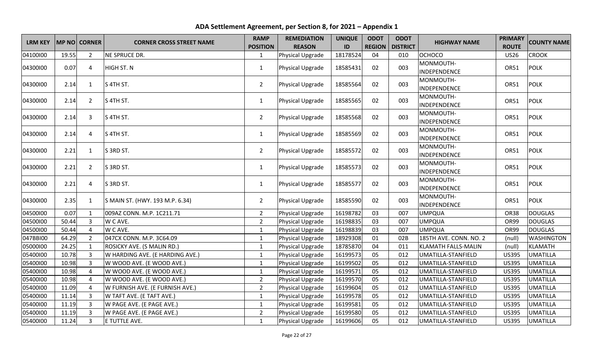| <b>LRM KEY</b> |       | MP NO CORNER   | <b>CORNER CROSS STREET NAME</b> | <b>RAMP</b><br><b>POSITION</b> | <b>REMEDIATION</b><br><b>REASON</b> | <b>UNIQUE</b><br>ID | <b>ODOT</b><br><b>REGION</b> | <b>ODOT</b><br><b>DISTRICT</b> | <b>HIGHWAY NAME</b>        | <b>PRIMARY</b><br><b>ROUTE</b> | <b>COUNTY NAME</b> |
|----------------|-------|----------------|---------------------------------|--------------------------------|-------------------------------------|---------------------|------------------------------|--------------------------------|----------------------------|--------------------------------|--------------------|
| 04100100       | 19.55 | $\overline{2}$ | NE SPRUCE DR.                   | $\mathbf{1}$                   | Physical Upgrade                    | 18178524            | 04                           | 010                            | ОСНОСО                     | <b>US26</b>                    | <b>CROOK</b>       |
| 04300100       | 0.07  | 4              | <b>HIGH ST. N</b>               | $\mathbf{1}$                   | Physical Upgrade                    | 18585431            | 02                           | 003                            | MONMOUTH-<br>INDEPENDENCE  | OR51                           | <b>POLK</b>        |
| 04300100       | 2.14  | $\mathbf{1}$   | S 4TH ST.                       | $\overline{2}$                 | Physical Upgrade                    | 18585564            | 02                           | 003                            | MONMOUTH-<br>INDEPENDENCE  | <b>OR51</b>                    | <b>POLK</b>        |
| 04300100       | 2.14  | $\overline{2}$ | S 4TH ST.                       | $\mathbf{1}$                   | Physical Upgrade                    | 18585565            | 02                           | 003                            | MONMOUTH-<br>INDEPENDENCE  | <b>OR51</b>                    | <b>POLK</b>        |
| 04300100       | 2.14  | 3              | S 4TH ST.                       | $\overline{2}$                 | Physical Upgrade                    | 18585568            | 02                           | 003                            | MONMOUTH-<br>INDEPENDENCE  | OR51                           | <b>POLK</b>        |
| 04300100       | 2.14  | 4              | S 4TH ST.                       | $\mathbf{1}$                   | Physical Upgrade                    | 18585569            | 02                           | 003                            | MONMOUTH-<br>INDEPENDENCE  | OR51                           | <b>POLK</b>        |
| 04300100       | 2.21  | $\mathbf{1}$   | S 3RD ST.                       | $\overline{2}$                 | Physical Upgrade                    | 18585572            | 02                           | 003                            | MONMOUTH-<br>INDEPENDENCE  | OR51                           | <b>POLK</b>        |
| 04300100       | 2.21  | $\overline{2}$ | S 3RD ST.                       | $\mathbf{1}$                   | Physical Upgrade                    | 18585573            | 02                           | 003                            | MONMOUTH-<br>INDEPENDENCE  | <b>OR51</b>                    | <b>POLK</b>        |
| 04300100       | 2.21  | 4              | S 3RD ST.                       | $\mathbf{1}$                   | Physical Upgrade                    | 18585577            | 02                           | 003                            | MONMOUTH-<br>INDEPENDENCE  | <b>OR51</b>                    | <b>POLK</b>        |
| 04300100       | 2.35  | $\mathbf{1}$   | S MAIN ST. (HWY. 193 M.P. 6.34) | $\overline{2}$                 | Physical Upgrade                    | 18585590            | 02                           | 003                            | MONMOUTH-<br>INDEPENDENCE  | OR51                           | <b>POLK</b>        |
| 04500100       | 0.07  | $\mathbf{1}$   | 009AZ CONN. M.P. 1C211.71       | $\overline{2}$                 | Physical Upgrade                    | 16198782            | 03                           | 007                            | <b>UMPQUA</b>              | <b>OR38</b>                    | <b>DOUGLAS</b>     |
| 04500100       | 50.44 | $\overline{3}$ | W C AVE.                        | $\overline{2}$                 | Physical Upgrade                    | 16198835            | 03                           | 007                            | <b>UMPQUA</b>              | OR99                           | <b>DOUGLAS</b>     |
| 04500100       | 50.44 | 4              | W C AVE.                        | $\mathbf{1}$                   | Physical Upgrade                    | 16198839            | 03                           | 007                            | <b>UMPQUA</b>              | OR99                           | <b>DOUGLAS</b>     |
| 047BBI00       | 64.29 | $\overline{2}$ | 047CX CONN. M.P. 3C64.09        | $\mathbf{1}$                   | Physical Upgrade                    | 18929308            | 01                           | 02B                            | 185TH AVE. CONN. NO. 2     | (null)                         | <b>WASHINGTON</b>  |
| 05000100       | 24.25 | $\mathbf{1}$   | ROSICKY AVE. (S MALIN RD.)      | $\mathbf 1$                    | Physical Upgrade                    | 18785870            | 04                           | 011                            | <b>KLAMATH FALLS-MALIN</b> | (null)                         | <b>KLAMATH</b>     |
| 05400100       | 10.78 | 3              | W HARDING AVE. (E HARDING AVE.) | $\mathbf{1}$                   | Physical Upgrade                    | 16199573            | 05                           | 012                            | UMATILLA-STANFIELD         | <b>US395</b>                   | <b>UMATILLA</b>    |
| 05400100       | 10.98 | $\overline{3}$ | W WOOD AVE. (E WOOD AVE.)       | $\mathbf{1}$                   | Physical Upgrade                    | 16199502            | 05                           | 012                            | UMATILLA-STANFIELD         | <b>US395</b>                   | <b>UMATILLA</b>    |
| 05400100       | 10.98 | $\overline{4}$ | W WOOD AVE. (E WOOD AVE.)       | $\mathbf{1}$                   | Physical Upgrade                    | 16199571            | 05                           | 012                            | UMATILLA-STANFIELD         | <b>US395</b>                   | <b>UMATILLA</b>    |
| 05400100       | 10.98 | $\overline{4}$ | W WOOD AVE. (E WOOD AVE.)       | $\overline{2}$                 | Physical Upgrade                    | 16199570            | 05                           | 012                            | UMATILLA-STANFIELD         | <b>US395</b>                   | <b>UMATILLA</b>    |
| 05400100       | 11.09 | 4              | W FURNISH AVE. (E FURNISH AVE.) | $\overline{2}$                 | Physical Upgrade                    | 16199604            | 05                           | 012                            | UMATILLA-STANFIELD         | <b>US395</b>                   | <b>UMATILLA</b>    |
| 05400100       | 11.14 | 3              | W TAFT AVE. (E TAFT AVE.)       | $\mathbf{1}$                   | Physical Upgrade                    | 16199578            | 05                           | 012                            | UMATILLA-STANFIELD         | <b>US395</b>                   | <b>UMATILLA</b>    |
| 05400100       | 11.19 | 3              | W PAGE AVE. (E PAGE AVE.)       | $\mathbf{1}$                   | Physical Upgrade                    | 16199581            | 05                           | 012                            | UMATILLA-STANFIELD         | <b>US395</b>                   | <b>UMATILLA</b>    |
| 05400100       | 11.19 | 3              | W PAGE AVE. (E PAGE AVE.)       | $\overline{2}$                 | Physical Upgrade                    | 16199580            | 05                           | 012                            | UMATILLA-STANFIELD         | <b>US395</b>                   | <b>UMATILLA</b>    |
| 05400100       | 11.24 | $\overline{3}$ | E TUTTLE AVE.                   | $\mathbf{1}$                   | Physical Upgrade                    | 16199606            | 05                           | 012                            | UMATILLA-STANFIELD         | <b>US395</b>                   | <b>UMATILLA</b>    |

**ADA Settlement Agreement, per Section 8, for 2021 – Appendix 1**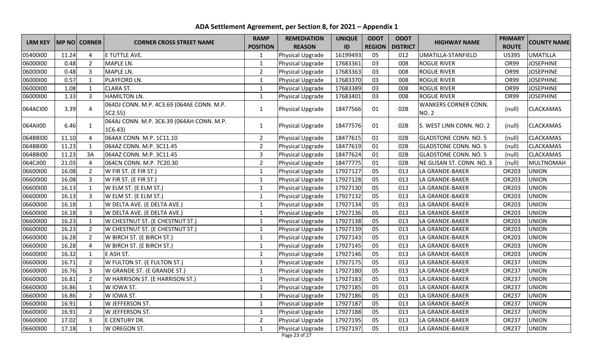| <b>LRM KEY</b> |       | MP NO CORNER   | <b>CORNER CROSS STREET NAME</b>                      | <b>RAMP</b>     | <b>REMEDIATION</b>      | <b>UNIQUE</b> | <b>ODOT</b>   | <b>ODOT</b>     | <b>HIGHWAY NAME</b>                         | <b>PRIMARY</b> | <b>COUNTY NAME</b> |
|----------------|-------|----------------|------------------------------------------------------|-----------------|-------------------------|---------------|---------------|-----------------|---------------------------------------------|----------------|--------------------|
|                |       |                |                                                      | <b>POSITION</b> | <b>REASON</b>           | ID            | <b>REGION</b> | <b>DISTRICT</b> |                                             | <b>ROUTE</b>   |                    |
| 05400100       | 11.24 | $\overline{4}$ | E TUTTLE AVE.                                        | 1               | Physical Upgrade        | 16199493      | 05            | 012             | UMATILLA-STANFIELD                          | <b>US395</b>   | <b>UMATILLA</b>    |
| 06000100       | 0.48  | $\overline{2}$ | <b>MAPLE LN.</b>                                     | $\mathbf{1}$    | Physical Upgrade        | 17683361      | 03            | 008             | <b>ROGUE RIVER</b>                          | OR99           | <b>JOSEPHINE</b>   |
| 06000100       | 0.48  | $\overline{3}$ | MAPLE LN.                                            | $\overline{2}$  | Physical Upgrade        | 17683363      | 03            | 008             | <b>ROGUE RIVER</b>                          | OR99           | <b>JOSEPHINE</b>   |
| 06000100       | 0.57  | $\mathbf{1}$   | PLAYFORD LN.                                         | $\mathbf{1}$    | Physical Upgrade        | 17683370      | 03            | 008             | <b>ROGUE RIVER</b>                          | <b>OR99</b>    | <b>JOSEPHINE</b>   |
| 06000100       | 1.08  | $\mathbf{1}$   | <b>CLARA ST.</b>                                     | $\mathbf{1}$    | Physical Upgrade        | 17683389      | 03            | 008             | <b>ROGUE RIVER</b>                          | OR99           | <b>JOSEPHINE</b>   |
| 06000100       | 1.33  | $\overline{3}$ | <b>HAMILTON LN.</b>                                  | $\mathbf{1}$    | Physical Upgrade        | 17683401      | 03            | 008             | <b>ROGUE RIVER</b>                          | <b>OR99</b>    | <b>JOSEPHINE</b>   |
| 064ACI00       | 3.39  | $\overline{4}$ | 064DJ CONN. M.P. 4C3.69 (064AE CONN. M.P.<br>5C2.55  | $\mathbf{1}$    | <b>Physical Upgrade</b> | 18477566      | 01            | 02B             | <b>WANKERS CORNER CONN.</b><br><b>NO. 2</b> | (null)         | CLACKAMAS          |
| 064AII00       | 6.46  | $\mathbf{1}$   | 064AJ CONN. M.P. 3C6.39 (064AH CONN. M.P.<br>1C6.43) | $\mathbf{1}$    | <b>Physical Upgrade</b> | 18477576      | 01            | 02B             | S. WEST LINN CONN. NO. 2                    | (null)         | CLACKAMAS          |
| 064BBI00       | 11.10 | $\overline{4}$ | 064AX CONN. M.P. 1C11.10                             | $\overline{2}$  | Physical Upgrade        | 18477615      | 01            | 02B             | <b>GLADSTONE CONN. NO. 5</b>                | (null)         | <b>CLACKAMAS</b>   |
| 064BBI00       | 11.23 | $\mathbf{1}$   | 064AZ CONN. M.P. 3C11.45                             | $\overline{2}$  | Physical Upgrade        | 18477619      | 01            | 02B             | <b>GLADSTONE CONN. NO. 5</b>                | (null)         | <b>CLACKAMAS</b>   |
| 064BBI00       | 11.23 | 3A             | 064AZ CONN. M.P. 3C11.45                             | 3               | Physical Upgrade        | 18477624      | 01            | 02B             | <b>GLADSTONE CONN. NO. 5</b>                | (null)         | <b>CLACKAMAS</b>   |
| 064CJI00       | 21.03 | $\overline{4}$ | 064CN CONN. M.P. 7C20.30                             | $\overline{2}$  | Physical Upgrade        | 18477775      | 01            | 02B             | NE GLISAN ST. CONN. NO. 3                   | (null)         | <b>MULTNOMAH</b>   |
| 06600100       | 16.08 | $\overline{2}$ | W FIR ST. (E FIR ST.)                                | $\mathbf{1}$    | Physical Upgrade        | 17927127      | 05            | 013             | LA GRANDE-BAKER                             | OR203          | <b>UNION</b>       |
| 06600100       | 16.08 | $\overline{3}$ | W FIR ST. (E FIR ST.)                                | $\mathbf{1}$    | Physical Upgrade        | 17927128      | 05            | 013             | LA GRANDE-BAKER                             | OR203          | <b>UNION</b>       |
| 06600100       | 16.13 | $\mathbf{1}$   | W ELM ST. (E ELM ST.)                                | $\mathbf{1}$    | Physical Upgrade        | 17927130      | 05            | 013             | LA GRANDE-BAKER                             | OR203          | <b>UNION</b>       |
| 06600100       | 16.13 | $\overline{3}$ | W ELM ST. (E ELM ST.)                                | 1               | Physical Upgrade        | 17927132      | 05            | 013             | LA GRANDE-BAKER                             | OR203          | <b>UNION</b>       |
| 06600100       | 16.18 | $\mathbf{1}$   | W DELTA AVE. (E DELTA AVE.)                          | $\mathbf{1}$    | Physical Upgrade        | 17927134      | 05            | 013             | LA GRANDE-BAKER                             | OR203          | <b>UNION</b>       |
| 06600100       | 16.18 | $\overline{3}$ | W DELTA AVE. (E DELTA AVE.)                          | $\mathbf{1}$    | Physical Upgrade        | 17927136      | 05            | 013             | LA GRANDE-BAKER                             | OR203          | <b>UNION</b>       |
| 06600100       | 16.23 | $\mathbf{1}$   | W CHESTNUT ST. (E CHESTNUT ST.)                      | $\mathbf{1}$    | Physical Upgrade        | 17927138      | 05            | 013             | LA GRANDE-BAKER                             | OR203          | <b>UNION</b>       |
| 06600100       | 16.23 | $\overline{2}$ | W CHESTNUT ST. (E CHESTNUT ST.)                      | $\mathbf{1}$    | Physical Upgrade        | 17927139      | 05            | 013             | LA GRANDE-BAKER                             | OR203          | <b>UNION</b>       |
| 06600100       | 16.28 | $\overline{2}$ | W BIRCH ST. (E BIRCH ST.)                            | $\mathbf{1}$    | Physical Upgrade        | 17927143      | 05            | 013             | LA GRANDE-BAKER                             | OR203          | <b>UNION</b>       |
| 06600100       | 16.28 | $\overline{4}$ | W BIRCH ST. (E BIRCH ST.)                            | $\mathbf 1$     | Physical Upgrade        | 17927145      | 05            | 013             | LA GRANDE-BAKER                             | OR203          | <b>UNION</b>       |
| 06600100       | 16.32 | $\mathbf{1}$   | E ASH ST.                                            | $\mathbf{1}$    | Physical Upgrade        | 17927146      | 05            | 013             | LA GRANDE-BAKER                             | OR203          | <b>UNION</b>       |
| 06600100       | 16.71 | $\overline{2}$ | W FULTON ST. (E FULTON ST.)                          | $\mathbf{1}$    | Physical Upgrade        | 17927175      | 05            | 013             | LA GRANDE-BAKER                             | OR237          | <b>UNION</b>       |
| 06600100       | 16.76 | $\overline{3}$ | W GRANDE ST. (E GRANDE ST.)                          | $\mathbf{1}$    | Physical Upgrade        | 17927180      | 05            | 013             | LA GRANDE-BAKER                             | OR237          | <b>UNION</b>       |
| 06600100       | 16.81 | $\overline{2}$ | W HARRISON ST. (E HARRISON ST.)                      | $\mathbf{1}$    | Physical Upgrade        | 17927183      | 05            | 013             | LA GRANDE-BAKER                             | OR237          | <b>UNION</b>       |
| 06600100       | 16.86 | $\mathbf{1}$   | W IOWA ST.                                           | $\mathbf{1}$    | Physical Upgrade        | 17927185      | 05            | 013             | LA GRANDE-BAKER                             | OR237          | <b>UNION</b>       |
| 06600100       | 16.86 | $\overline{2}$ | W IOWA ST.                                           | $\mathbf{1}$    | Physical Upgrade        | 17927186      | 05            | 013             | LA GRANDE-BAKER                             | OR237          | <b>UNION</b>       |
| 06600100       | 16.91 | $\mathbf{1}$   | W JEFFERSON ST.                                      | $\mathbf 1$     | Physical Upgrade        | 17927187      | 05            | 013             | LA GRANDE-BAKER                             | OR237          | <b>UNION</b>       |
| 06600100       | 16.91 | $\overline{2}$ | W JEFFERSON ST.                                      | $\mathbf{1}$    | <b>Physical Upgrade</b> | 17927188      | 05            | 013             | LA GRANDE-BAKER                             | OR237          | <b>UNION</b>       |
| 06600100       | 17.02 | $\overline{3}$ | E CENTURY DR.                                        | $\overline{2}$  | Physical Upgrade        | 17927195      | 05            | 013             | LA GRANDE-BAKER                             | OR237          | <b>UNION</b>       |
| 06600100       | 17.18 | $\mathbf{1}$   | W OREGON ST.                                         | $\mathbf{1}$    | Physical Upgrade        | 17927197      | 05            | 013             | LA GRANDE-BAKER                             | OR237          | <b>UNION</b>       |

**ADA Settlement Agreement, per Section 8, for 2021 – Appendix 1**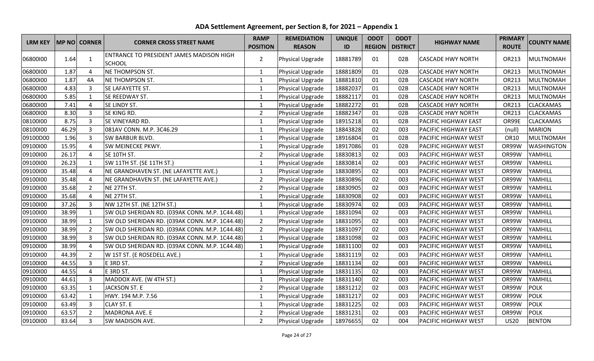| <b>LRM KEY</b> |       | MP NO CORNER   | <b>CORNER CROSS STREET NAME</b>                 | <b>RAMP</b>     | <b>REMEDIATION</b> | <b>UNIQUE</b> | <b>ODOT</b> | <b>ODOT</b>              | <b>HIGHWAY NAME</b>         | <b>PRIMARY</b> | <b>COUNTY NAME</b> |
|----------------|-------|----------------|-------------------------------------------------|-----------------|--------------------|---------------|-------------|--------------------------|-----------------------------|----------------|--------------------|
|                |       |                |                                                 | <b>POSITION</b> | <b>REASON</b>      | ID            |             | <b>REGION   DISTRICT</b> |                             | <b>ROUTE</b>   |                    |
| 06800100       | 1.64  | $\mathbf{1}$   | <b>ENTRANCE TO PRESIDENT JAMES MADISON HIGH</b> | $\overline{2}$  | Physical Upgrade   | 18881789      | 01          | 02B                      | <b>CASCADE HWY NORTH</b>    | OR213          | <b>MULTNOMAH</b>   |
|                |       |                | <b>SCHOOL</b>                                   |                 |                    |               |             |                          |                             |                |                    |
| 06800100       | 1.87  | $\overline{4}$ | NE THOMPSON ST.                                 | $\mathbf{1}$    | Physical Upgrade   | 18881809      | 01          | 02B                      | <b>CASCADE HWY NORTH</b>    | OR213          | <b>MULTNOMAH</b>   |
| 06800100       | 1.87  | 4A             | <b>NE THOMPSON ST.</b>                          | $\mathbf{1}$    | Physical Upgrade   | 18881810      | 01          | 02B                      | <b>CASCADE HWY NORTH</b>    | OR213          | <b>MULTNOMAH</b>   |
| 06800100       | 4.83  | 3              | SE LAFAYETTE ST.                                | $\mathbf{1}$    | Physical Upgrade   | 18882037      | 01          | 02B                      | <b>CASCADE HWY NORTH</b>    | OR213          | <b>MULTNOMAH</b>   |
| 06800100       | 5.85  | $\mathbf{1}$   | SE REEDWAY ST.                                  | $\mathbf{1}$    | Physical Upgrade   | 18882117      | 01          | 02B                      | <b>CASCADE HWY NORTH</b>    | OR213          | <b>MULTNOMAH</b>   |
| 06800100       | 7.41  | $\overline{4}$ | SE LINDY ST.                                    | $\mathbf{1}$    | Physical Upgrade   | 18882272      | 01          | 02B                      | <b>CASCADE HWY NORTH</b>    | OR213          | <b>CLACKAMAS</b>   |
| 06800100       | 8.30  | $\overline{3}$ | SE KING RD.                                     | $\overline{2}$  | Physical Upgrade   | 18882347      | 01          | 02B                      | <b>CASCADE HWY NORTH</b>    | OR213          | <b>CLACKAMAS</b>   |
| 08100100       | 8.75  | $\overline{3}$ | SE VINEYARD RD.                                 | $\mathbf{1}$    | Physical Upgrade   | 18915218      | 01          | 02B                      | <b>PACIFIC HIGHWAY EAST</b> | OR99E          | <b>CLACKAMAS</b>   |
| 08100100       | 46.29 | $\overline{3}$ | 081AV CONN. M.P. 3C46.29                        | $\mathbf{1}$    | Physical Upgrade   | 18843828      | 02          | 003                      | <b>PACIFIC HIGHWAY EAST</b> | (null)         | <b>MARION</b>      |
| 09100D00       | 1.96  | $\overline{3}$ | <b>SW BARBUR BLVD.</b>                          | $\mathbf{1}$    | Physical Upgrade   | 18916804      | 01          | 02B                      | <b>PACIFIC HIGHWAY WEST</b> | OR10           | <b>MULTNOMAH</b>   |
| 09100100       | 15.95 | $\overline{4}$ | <b>SW MEINECKE PKWY.</b>                        | $\mathbf{1}$    | Physical Upgrade   | 18917086      | 01          | 02B                      | <b>PACIFIC HIGHWAY WEST</b> | OR99W          | <b>WASHINGTON</b>  |
| 09100100       | 26.17 | $\overline{4}$ | SE 10TH ST.                                     | $\overline{2}$  | Physical Upgrade   | 18830813      | 02          | 003                      | <b>PACIFIC HIGHWAY WEST</b> | OR99W          | YAMHILL            |
| 09100100       | 26.23 | $\mathbf{1}$   | SW 11TH ST. (SE 11TH ST.)                       | $\mathbf{1}$    | Physical Upgrade   | 18830814      | 02          | 003                      | <b>PACIFIC HIGHWAY WEST</b> | OR99W          | YAMHILL            |
| 09100100       | 35.48 | 4              | NE GRANDHAVEN ST. (NE LAFAYETTE AVE.)           | $\mathbf{1}$    | Physical Upgrade   | 18830895      | 02          | 003                      | <b>PACIFIC HIGHWAY WEST</b> | OR99W          | YAMHILL            |
| 09100100       | 35.48 | $\overline{4}$ | NE GRANDHAVEN ST. (NE LAFAYETTE AVE.)           | $\overline{2}$  | Physical Upgrade   | 18830896      | 02          | 003                      | <b>PACIFIC HIGHWAY WEST</b> | OR99W          | YAMHILL            |
| 09100100       | 35.68 | $\overline{2}$ | NE 27TH ST.                                     | $\overline{2}$  | Physical Upgrade   | 18830905      | 02          | 003                      | <b>PACIFIC HIGHWAY WEST</b> | OR99W          | YAMHILL            |
| 09100100       | 35.68 | $\overline{4}$ | NE 27TH ST.                                     | $\mathbf{1}$    | Physical Upgrade   | 18830908      | 02          | 003                      | <b>PACIFIC HIGHWAY WEST</b> | OR99W          | YAMHILL            |
| 09100100       | 37.26 | $\overline{3}$ | NW 12TH ST. (NE 12TH ST.)                       | $\mathbf{1}$    | Physical Upgrade   | 18830974      | 02          | 003                      | <b>PACIFIC HIGHWAY WEST</b> | OR99W          | YAMHILL            |
| 09100100       | 38.99 | $\mathbf{1}$   | SW OLD SHERIDAN RD. (039AK CONN. M.P. 1C44.48)  | $\mathbf{1}$    | Physical Upgrade   | 18831094      | 02          | 003                      | <b>PACIFIC HIGHWAY WEST</b> | OR99W          | YAMHILL            |
| 09100100       | 38.99 | $\mathbf{1}$   | SW OLD SHERIDAN RD. (039AK CONN. M.P. 1C44.48)  | $\overline{2}$  | Physical Upgrade   | 18831095      | 02          | 003                      | <b>PACIFIC HIGHWAY WEST</b> | OR99W          | YAMHILL            |
| 09100100       | 38.99 | $\overline{2}$ | SW OLD SHERIDAN RD. (039AK CONN. M.P. 1C44.48)  | $\overline{2}$  | Physical Upgrade   | 18831097      | 02          | 003                      | <b>PACIFIC HIGHWAY WEST</b> | OR99W          | YAMHILL            |
| 09100100       | 38.99 | 3              | SW OLD SHERIDAN RD. (039AK CONN. M.P. 1C44.48)  | $\mathbf{1}$    | Physical Upgrade   | 18831098      | 02          | 003                      | <b>PACIFIC HIGHWAY WEST</b> | OR99W          | YAMHILL            |
| 09100100       | 38.99 | $\overline{4}$ | SW OLD SHERIDAN RD. (039AK CONN. M.P. 1C44.48)  | $\mathbf{1}$    | Physical Upgrade   | 18831100      | 02          | 003                      | <b>PACIFIC HIGHWAY WEST</b> | OR99W          | YAMHILL            |
| 09100100       | 44.39 | $\overline{2}$ | W 1ST ST. (E ROSEDELL AVE.)                     | $\mathbf 1$     | Physical Upgrade   | 18831119      | 02          | 003                      | <b>PACIFIC HIGHWAY WEST</b> | OR99W          | YAMHILL            |
| 09100100       | 44.55 | $\overline{3}$ | E 3RD ST.                                       | $\overline{2}$  | Physical Upgrade   | 18831134      | 02          | 003                      | <b>PACIFIC HIGHWAY WEST</b> | OR99W          | YAMHILL            |
| 09100100       | 44.55 | $\overline{4}$ | E 3RD ST.                                       | $\mathbf{1}$    | Physical Upgrade   | 18831135      | 02          | 003                      | <b>PACIFIC HIGHWAY WEST</b> | OR99W          | YAMHILL            |
| 09100100       | 44.61 | $\overline{3}$ | MADDOX AVE. (W 4TH ST.)                         | $\mathbf{1}$    | Physical Upgrade   | 18831140      | 02          | 003                      | <b>PACIFIC HIGHWAY WEST</b> | OR99W          | YAMHILL            |
| 09100100       | 63.35 | $\mathbf{1}$   | <b>JACKSON ST. E</b>                            | $\overline{2}$  | Physical Upgrade   | 18831212      | 02          | 003                      | <b>PACIFIC HIGHWAY WEST</b> | OR99W          | <b>POLK</b>        |
| 09100100       | 63.42 | $\mathbf{1}$   | HWY. 194 M.P. 7.56                              | $\mathbf{1}$    | Physical Upgrade   | 18831217      | 02          | 003                      | <b>PACIFIC HIGHWAY WEST</b> | OR99W          | <b>POLK</b>        |
| 09100100       | 63.49 | 3              | CLAY ST. E                                      | $\mathbf{1}$    | Physical Upgrade   | 18831225      | 02          | 003                      | <b>PACIFIC HIGHWAY WEST</b> | OR99W          | <b>POLK</b>        |
| 09100100       | 63.57 | $\overline{2}$ | MADRONA AVE. E                                  | $\overline{2}$  | Physical Upgrade   | 18831231      | 02          | 003                      | <b>PACIFIC HIGHWAY WEST</b> | OR99W          | <b>POLK</b>        |
| 09100100       | 83.64 | $\overline{3}$ | <b>SW MADISON AVE.</b>                          | $\overline{2}$  | Physical Upgrade   | 18976655      | 02          | 004                      | <b>PACIFIC HIGHWAY WEST</b> | <b>US20</b>    | <b>BENTON</b>      |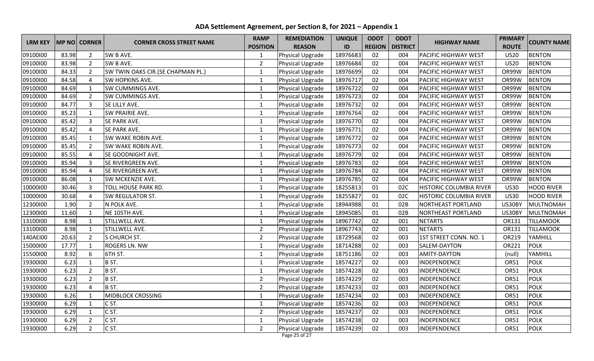| <b>LRM KEY</b> |       | <b>MP NO CORNER</b> | <b>CORNER CROSS STREET NAME</b>    | <b>RAMP</b>     | <b>REMEDIATION</b> | <b>UNIQUE</b> | <b>ODOT</b><br><b>ODOT</b> | <b>HIGHWAY NAME</b> | <b>PRIMARY</b>                 | <b>COUNTY NAME</b> |                   |
|----------------|-------|---------------------|------------------------------------|-----------------|--------------------|---------------|----------------------------|---------------------|--------------------------------|--------------------|-------------------|
|                |       |                     |                                    | <b>POSITION</b> | <b>REASON</b>      | ID            | <b>REGION</b>              | <b>DISTRICT</b>     |                                | <b>ROUTE</b>       |                   |
| 09100100       | 83.98 | $\overline{2}$      | SW B AVE.                          | $\mathbf{1}$    | Physical Upgrade   | 18976683      | 02                         | 004                 | <b>PACIFIC HIGHWAY WEST</b>    | <b>US20</b>        | <b>BENTON</b>     |
| 09100100       | 83.98 | $\overline{2}$      | SW B AVE.                          | $\overline{2}$  | Physical Upgrade   | 18976684      | 02                         | 004                 | <b>PACIFIC HIGHWAY WEST</b>    | <b>US20</b>        | <b>BENTON</b>     |
| 09100100       | 84.33 | $\overline{2}$      | SW TWIN OAKS CIR. (SE CHAPMAN PL.) | $\mathbf{1}$    | Physical Upgrade   | 18976699      | 02                         | 004                 | <b>PACIFIC HIGHWAY WEST</b>    | OR99W              | <b>BENTON</b>     |
| 09100100       | 84.58 | $\overline{4}$      | SW HOPKINS AVE.                    | $\mathbf{1}$    | Physical Upgrade   | 18976717      | 02                         | 004                 | <b>PACIFIC HIGHWAY WEST</b>    | OR99W              | <b>BENTON</b>     |
| 09100100       | 84.69 | $\mathbf{1}$        | SW CUMMINGS AVE.                   | $\mathbf{1}$    | Physical Upgrade   | 18976722      | 02                         | 004                 | <b>PACIFIC HIGHWAY WEST</b>    | OR99W              | <b>BENTON</b>     |
| 09100100       | 84.69 | $\overline{2}$      | SW CUMMINGS AVE.                   | $\mathbf{1}$    | Physical Upgrade   | 18976723      | 02                         | 004                 | <b>PACIFIC HIGHWAY WEST</b>    | OR99W              | <b>BENTON</b>     |
| 09100100       | 84.77 | $\overline{3}$      | SE LILLY AVE.                      | $\mathbf{1}$    | Physical Upgrade   | 18976732      | 02                         | 004                 | <b>PACIFIC HIGHWAY WEST</b>    | OR99W              | <b>BENTON</b>     |
| 09100100       | 85.23 | $\mathbf{1}$        | SW PRAIRIE AVE.                    | $\mathbf{1}$    | Physical Upgrade   | 18976764      | 02                         | 004                 | <b>PACIFIC HIGHWAY WEST</b>    | OR99W              | <b>BENTON</b>     |
| 09100100       | 85.42 | $\overline{3}$      | SE PARK AVE.                       | $\mathbf{1}$    | Physical Upgrade   | 18976770      | 02                         | 004                 | <b>PACIFIC HIGHWAY WEST</b>    | OR99W              | <b>BENTON</b>     |
| 09100100       | 85.42 | $\overline{4}$      | SE PARK AVE.                       | $\mathbf{1}$    | Physical Upgrade   | 18976771      | 02                         | 004                 | <b>PACIFIC HIGHWAY WEST</b>    | OR99W              | <b>BENTON</b>     |
| 09100100       | 85.45 | $\mathbf{1}$        | SW WAKE ROBIN AVE.                 | $\mathbf{1}$    | Physical Upgrade   | 18976772      | 02                         | 004                 | <b>PACIFIC HIGHWAY WEST</b>    | OR99W              | <b>BENTON</b>     |
| 09100100       | 85.45 | $\overline{2}$      | SW WAKE ROBIN AVE.                 | $\mathbf{1}$    | Physical Upgrade   | 18976773      | 02                         | 004                 | <b>PACIFIC HIGHWAY WEST</b>    | OR99W              | <b>BENTON</b>     |
| 09100100       | 85.55 | $\overline{a}$      | SE GOODNIGHT AVE.                  | $\mathbf{1}$    | Physical Upgrade   | 18976779      | 02                         | 004                 | <b>PACIFIC HIGHWAY WEST</b>    | OR99W              | <b>BENTON</b>     |
| 09100100       | 85.94 | 3                   | SE RIVERGREEN AVE.                 | $\mathbf{1}$    | Physical Upgrade   | 18976783      | 02                         | 004                 | <b>PACIFIC HIGHWAY WEST</b>    | OR99W              | <b>BENTON</b>     |
| 09100100       | 85.94 | $\overline{a}$      | SE RIVERGREEN AVE.                 | $\mathbf 1$     | Physical Upgrade   | 18976784      | 02                         | 004                 | <b>PACIFIC HIGHWAY WEST</b>    | OR99W              | <b>BENTON</b>     |
| 09100100       | 86.08 | $\mathbf{1}$        | SW MCKENZIE AVE.                   | $\mathbf{1}$    | Physical Upgrade   | 18976785      | 02                         | 004                 | <b>PACIFIC HIGHWAY WEST</b>    | OR99W              | <b>BENTON</b>     |
| 10000100       | 30.46 | $\overline{3}$      | <b>TOLL HOUSE PARK RD.</b>         | $\mathbf{1}$    | Physical Upgrade   | 18255813      | 01                         | 02C                 | <b>HISTORIC COLUMBIA RIVER</b> | <b>US30</b>        | <b>HOOD RIVER</b> |
| 10000100       | 30.68 | $\overline{4}$      | SW REGULATOR ST.                   | $\mathbf 1$     | Physical Upgrade   | 18255827      | 01                         | 02C                 | <b>HISTORIC COLUMBIA RIVER</b> | <b>US30</b>        | <b>HOOD RIVER</b> |
| 12300100       | 1.90  | $\overline{2}$      | N POLK AVE.                        | $\mathbf{1}$    | Physical Upgrade   | 18944988      | 01                         | 02B                 | <b>NORTHEAST PORTLAND</b>      | US30BY             | <b>MULTNOMAH</b>  |
| 12300100       | 11.60 | $\mathbf{1}$        | NE 105TH AVE.                      | $\mathbf{1}$    | Physical Upgrade   | 18945085      | 01                         | 02B                 | <b>NORTHEAST PORTLAND</b>      | US30BY             | <b>MULTNOMAH</b>  |
| 13100100       | 8.98  | $\mathbf{1}$        | STILLWELL AVE.                     | $\mathbf{1}$    | Physical Upgrade   | 18967742      | 02                         | 001                 | <b>NETARTS</b>                 | OR131              | <b>TILLAMOOK</b>  |
| 13100100       | 8.98  | $\mathbf{1}$        | STILLWELL AVE.                     | $\overline{2}$  | Physical Upgrade   | 18967743      | 02                         | 001                 | <b>NETARTS</b>                 | OR131              | <b>TILLAMOOK</b>  |
| 140AEI00       | 20.63 | $\overline{2}$      | S CHURCH ST.                       | $\overline{2}$  | Physical Upgrade   | 18729568      | 02                         | 003                 | 1ST STREET CONN. NO. 1         | OR219              | YAMHILL           |
| 15000100       | 17.77 | $\mathbf{1}$        | ROGERS LN. NW                      | $\mathbf{1}$    | Physical Upgrade   | 18714288      | 02                         | 003                 | SALEM-DAYTON                   | OR221              | <b>POLK</b>       |
| 15500100       | 8.92  | 6                   | <b>6TH ST.</b>                     | $\mathbf{1}$    | Physical Upgrade   | 18751186      | 02                         | 003                 | <b>AMITY-DAYTON</b>            | (null)             | YAMHILL           |
| 19300100       | 6.23  | $\mathbf{1}$        | B ST.                              | $\mathbf{1}$    | Physical Upgrade   | 18574227      | 02                         | 003                 | INDEPENDENCE                   | <b>OR51</b>        | <b>POLK</b>       |
| 19300100       | 6.23  | $\overline{2}$      | B ST.                              | $\mathbf{1}$    | Physical Upgrade   | 18574228      | 02                         | 003                 | INDEPENDENCE                   | <b>OR51</b>        | <b>POLK</b>       |
| 19300100       | 6.23  | $\overline{2}$      | B ST.                              | $\overline{2}$  | Physical Upgrade   | 18574229      | 02                         | 003                 | INDEPENDENCE                   | <b>OR51</b>        | <b>POLK</b>       |
| 19300100       | 6.23  | $\overline{4}$      | B ST.                              | $\overline{2}$  | Physical Upgrade   | 18574233      | 02                         | 003                 | INDEPENDENCE                   | OR51               | <b>POLK</b>       |
| 19300100       | 6.26  | $\mathbf{1}$        | MIDBLOCK CROSSING                  | $\mathbf{1}$    | Physical Upgrade   | 18574234      | 02                         | 003                 | INDEPENDENCE                   | <b>OR51</b>        | <b>POLK</b>       |
| 19300100       | 6.29  | $\mathbf{1}$        | C ST.                              | $\mathbf{1}$    | Physical Upgrade   | 18574236      | 02                         | 003                 | INDEPENDENCE                   | <b>OR51</b>        | <b>POLK</b>       |
| 19300100       | 6.29  | $\mathbf{1}$        | C ST.                              | $\overline{2}$  | Physical Upgrade   | 18574237      | 02                         | 003                 | INDEPENDENCE                   | <b>OR51</b>        | <b>POLK</b>       |
| 19300100       | 6.29  | $\overline{2}$      | C ST.                              | $\mathbf{1}$    | Physical Upgrade   | 18574238      | 02                         | 003                 | INDEPENDENCE                   | <b>OR51</b>        | <b>POLK</b>       |
| 19300100       | 6.29  | $\overline{2}$      | CST.                               | $\overline{2}$  | Physical Upgrade   | 18574239      | 02                         | 003                 | INDEPENDENCE                   | <b>OR51</b>        | <b>POLK</b>       |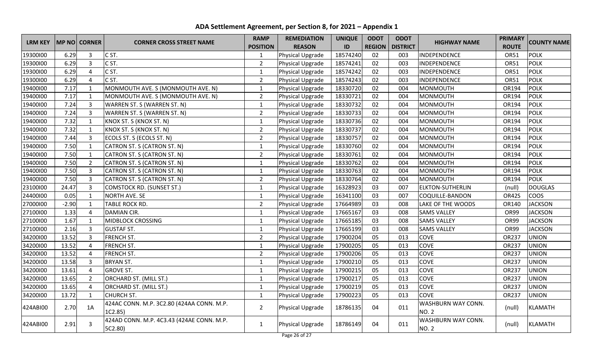| <b>LRM KEY</b> |         | <b>MP NO CORNER</b> | <b>CORNER CROSS STREET NAME</b>                      | <b>RAMP</b>     | <b>REMEDIATION</b> | <b>UNIQUE</b> | <b>ODOT</b>   | <b>ODOT</b>     | <b>HIGHWAY NAME</b>                | <b>PRIMARY</b> | <b>COUNTY NAME</b> |
|----------------|---------|---------------------|------------------------------------------------------|-----------------|--------------------|---------------|---------------|-----------------|------------------------------------|----------------|--------------------|
|                |         |                     |                                                      | <b>POSITION</b> | <b>REASON</b>      | ID            | <b>REGION</b> | <b>DISTRICT</b> |                                    | <b>ROUTE</b>   |                    |
| 19300100       | 6.29    | 3                   | C ST.                                                | $\mathbf 1$     | Physical Upgrade   | 18574240      | 02            | 003             | INDEPENDENCE                       | <b>OR51</b>    | <b>POLK</b>        |
| 19300100       | 6.29    | 3                   | C ST.                                                | $\overline{2}$  | Physical Upgrade   | 18574241      | 02            | 003             | INDEPENDENCE                       | <b>OR51</b>    | <b>POLK</b>        |
| 19300100       | 6.29    | 4                   | C ST.                                                | $\mathbf{1}$    | Physical Upgrade   | 18574242      | 02            | 003             | INDEPENDENCE                       | <b>OR51</b>    | <b>POLK</b>        |
| 19300100       | 6.29    | 4                   | C <sub>ST</sub> .                                    | $\overline{2}$  | Physical Upgrade   | 18574243      | 02            | 003             | INDEPENDENCE                       | <b>OR51</b>    | <b>POLK</b>        |
| 19400100       | 7.17    | $\mathbf{1}$        | MONMOUTH AVE. S (MONMOUTH AVE. N)                    | $\mathbf{1}$    | Physical Upgrade   | 18330720      | 02            | 004             | MONMOUTH                           | OR194          | <b>POLK</b>        |
| 19400100       | 7.17    | $\mathbf{1}$        | MONMOUTH AVE. S (MONMOUTH AVE. N)                    | $\overline{2}$  | Physical Upgrade   | 18330721      | 02            | 004             | MONMOUTH                           | OR194          | <b>POLK</b>        |
| 19400100       | 7.24    | $\mathbf{3}$        | WARREN ST. S (WARREN ST. N)                          | $\mathbf{1}$    | Physical Upgrade   | 18330732      | 02            | 004             | MONMOUTH                           | OR194          | <b>POLK</b>        |
| 19400100       | 7.24    | $\overline{3}$      | WARREN ST. S (WARREN ST. N)                          | $\overline{2}$  | Physical Upgrade   | 18330733      | 02            | 004             | MONMOUTH                           | OR194          | <b>POLK</b>        |
| 19400100       | 7.32    | $\mathbf{1}$        | KNOX ST. S (KNOX ST. N)                              | $\mathbf{1}$    | Physical Upgrade   | 18330736      | 02            | 004             | MONMOUTH                           | OR194          | <b>POLK</b>        |
| 19400100       | 7.32    | $\mathbf{1}$        | KNOX ST. S (KNOX ST. N)                              | $\overline{2}$  | Physical Upgrade   | 18330737      | 02            | 004             | MONMOUTH                           | OR194          | <b>POLK</b>        |
| 19400100       | 7.44    | 3                   | ECOLS ST. S (ECOLS ST. N)                            | $\overline{2}$  | Physical Upgrade   | 18330757      | 02            | 004             | MONMOUTH                           | OR194          | <b>POLK</b>        |
| 19400100       | 7.50    | $\mathbf{1}$        | CATRON ST. S (CATRON ST. N)                          | $\mathbf{1}$    | Physical Upgrade   | 18330760      | 02            | 004             | MONMOUTH                           | OR194          | <b>POLK</b>        |
| 19400100       | 7.50    | $\mathbf{1}$        | CATRON ST. S (CATRON ST. N)                          | $\overline{2}$  | Physical Upgrade   | 18330761      | 02            | 004             | MONMOUTH                           | OR194          | <b>POLK</b>        |
| 19400100       | 7.50    | $\overline{2}$      | CATRON ST. S (CATRON ST. N)                          | $\mathbf{1}$    | Physical Upgrade   | 18330762      | 02            | 004             | <b>MONMOUTH</b>                    | OR194          | <b>POLK</b>        |
| 19400100       | 7.50    | 3                   | CATRON ST. S (CATRON ST. N)                          | $\mathbf 1$     | Physical Upgrade   | 18330763      | 02            | 004             | MONMOUTH                           | OR194          | <b>POLK</b>        |
| 19400100       | 7.50    | $\overline{3}$      | CATRON ST. S (CATRON ST. N)                          | $\overline{2}$  | Physical Upgrade   | 18330764      | 02            | 004             | MONMOUTH                           | OR194          | <b>POLK</b>        |
| 23100100       | 24.47   | 3                   | <b>COMSTOCK RD. (SUNSET ST.)</b>                     | $\mathbf{1}$    | Physical Upgrade   | 16328923      | 03            | 007             | <b>ELKTON-SUTHERLIN</b>            | (null)         | <b>DOUGLAS</b>     |
| 24400100       | 0.05    | $\mathbf{1}$        | <b>NORTH AVE. SE</b>                                 | $\mathbf{1}$    | Physical Upgrade   | 16341100      | 03            | 007             | COQUILLE-BANDON                    | OR42S          | <b>COOS</b>        |
| 27000100       | $-2.90$ | $\mathbf{1}$        | TABLE ROCK RD.                                       | $\overline{2}$  | Physical Upgrade   | 17664989      | 03            | 008             | LAKE OF THE WOODS                  | OR140          | <b>JACKSON</b>     |
| 27100100       | 1.33    | 4                   | <b>DAMIAN CIR.</b>                                   | $\mathbf{1}$    | Physical Upgrade   | 17665167      | 03            | 008             | <b>SAMS VALLEY</b>                 | OR99           | <b>JACKSON</b>     |
| 27100100       | 1.67    | $\mathbf{1}$        | MIDBLOCK CROSSING                                    | $\mathbf{1}$    | Physical Upgrade   | 17665185      | 03            | 008             | <b>SAMS VALLEY</b>                 | <b>OR99</b>    | <b>JACKSON</b>     |
| 27100100       | 2.16    | $\overline{3}$      | <b>GUSTAF ST.</b>                                    | $\mathbf{1}$    | Physical Upgrade   | 17665199      | 03            | 008             | <b>SAMS VALLEY</b>                 | OR99           | <b>JACKSON</b>     |
| 34200100       | 13.52   | $\overline{3}$      | FRENCH ST.                                           | $\overline{2}$  | Physical Upgrade   | 17900204      | 05            | 013             | <b>COVE</b>                        | OR237          | <b>UNION</b>       |
| 34200100       | 13.52   | $\overline{4}$      | <b>FRENCH ST.</b>                                    | $\mathbf{1}$    | Physical Upgrade   | 17900205      | 05            | 013             | <b>COVE</b>                        | <b>OR237</b>   | <b>UNION</b>       |
| 34200100       | 13.52   | $\overline{4}$      | FRENCH ST.                                           | $\overline{2}$  | Physical Upgrade   | 17900206      | 05            | 013             | <b>COVE</b>                        | OR237          | <b>UNION</b>       |
| 34200100       | 13.58   | $\overline{3}$      | <b>BRYAN ST.</b>                                     | $\mathbf{1}$    | Physical Upgrade   | 17900210      | 05            | 013             | <b>COVE</b>                        | OR237          | <b>UNION</b>       |
| 34200100       | 13.61   | 4                   | <b>GROVE ST.</b>                                     | $\mathbf{1}$    | Physical Upgrade   | 17900215      | 05            | 013             | <b>COVE</b>                        | OR237          | <b>UNION</b>       |
| 34200100       | 13.65   | $\overline{2}$      | ORCHARD ST. (MILL ST.)                               | $\mathbf{1}$    | Physical Upgrade   | 17900217      | 05            | 013             | COVE                               | OR237          | <b>UNION</b>       |
| 34200100       | 13.65   | 4                   | ORCHARD ST. (MILL ST.)                               | $\mathbf 1$     | Physical Upgrade   | 17900219      | 05            | 013             | COVE                               | OR237          | <b>UNION</b>       |
| 34200100       | 13.72   | $\mathbf{1}$        | CHURCH ST.                                           | $\mathbf{1}$    | Physical Upgrade   | 17900223      | 05            | 013             | <b>COVE</b>                        | OR237          | <b>UNION</b>       |
| 424ABI00       | 2.70    | 1A                  | 424AC CONN. M.P. 3C2.80 (424AA CONN. M.P.<br>1C2.85) | $\overline{2}$  | Physical Upgrade   | 18786135      | 04            | 011             | WASHBURN WAY CONN.<br><b>NO. 2</b> | (null)         | <b>KLAMATH</b>     |
| 424ABI00       | 2.91    | 3                   | 424AD CONN. M.P. 4C3.43 (424AE CONN. M.P.<br>5C2.80) | $\mathbf{1}$    | Physical Upgrade   | 18786149      | 04            | 011             | WASHBURN WAY CONN.<br><b>NO. 2</b> | (null)         | <b>KLAMATH</b>     |